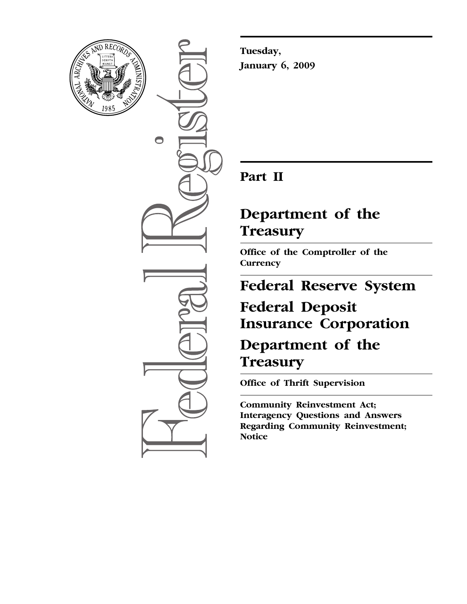

 $\bullet$ 

**Tuesday, January 6, 2009** 

### **Part II**

### **Department of the Treasury**

**Office of the Comptroller of the Currency** 

# **Federal Reserve System Federal Deposit Insurance Corporation**

**Department of the Treasury** 

**Office of Thrift Supervision** 

**Community Reinvestment Act; Interagency Questions and Answers Regarding Community Reinvestment; Notice**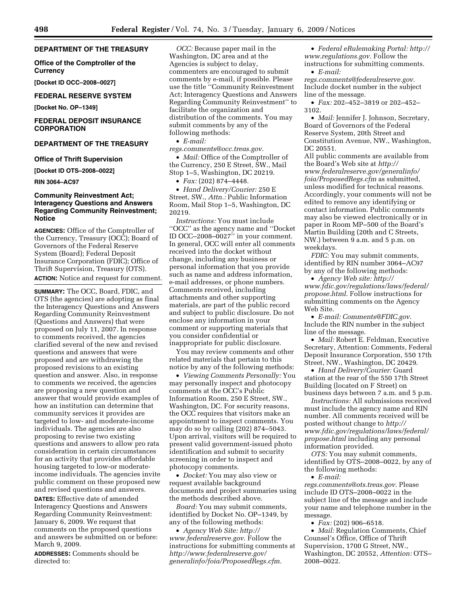#### **DEPARTMENT OF THE TREASURY**

#### **Office of the Comptroller of the Currency**

**[Docket ID OCC–2008–0027]** 

#### **FEDERAL RESERVE SYSTEM**

**[Docket No. OP–1349]** 

#### **FEDERAL DEPOSIT INSURANCE CORPORATION**

#### **DEPARTMENT OF THE TREASURY**

#### **Office of Thrift Supervision**

**[Docket ID OTS–2008–0022]** 

**RIN 3064–AC97** 

#### **Community Reinvestment Act; Interagency Questions and Answers Regarding Community Reinvestment; Notice**

**AGENCIES:** Office of the Comptroller of the Currency, Treasury (OCC); Board of Governors of the Federal Reserve System (Board); Federal Deposit Insurance Corporation (FDIC); Office of Thrift Supervision, Treasury (OTS). **ACTION:** Notice and request for comment.

**SUMMARY:** The OCC, Board, FDIC, and OTS (the agencies) are adopting as final the Interagency Questions and Answers Regarding Community Reinvestment (Questions and Answers) that were proposed on July 11, 2007. In response to comments received, the agencies clarified several of the new and revised questions and answers that were proposed and are withdrawing the proposed revisions to an existing question and answer. Also, in response to comments we received, the agencies are proposing a new question and answer that would provide examples of how an institution can determine that community services it provides are targeted to low- and moderate-income individuals. The agencies are also proposing to revise two existing questions and answers to allow pro rata consideration in certain circumstances for an activity that provides affordable housing targeted to low-or moderateincome individuals. The agencies invite public comment on these proposed new and revised questions and answers.

**DATES:** Effective date of amended Interagency Questions and Answers Regarding Community Reinvestment: January 6, 2009. We request that comments on the proposed questions and answers be submitted on or before: March 9, 2009.

**ADDRESSES:** Comments should be directed to:

*OCC:* Because paper mail in the Washington, DC area and at the Agencies is subject to delay, commenters are encouraged to submit comments by e-mail, if possible. Please use the title ''Community Reinvestment Act; Interagency Questions and Answers Regarding Community Reinvestment'' to facilitate the organization and distribution of the comments. You may submit comments by any of the following methods:

• *E-mail:* 

*regs.comments@occ.treas.gov*.

• *Mail:* Office of the Comptroller of the Currency, 250 E Street, SW., Mail Stop 1–5, Washington, DC 20219.

• *Fax:* (202) 874–4448.

• *Hand Delivery/Courier:* 250 E Street, SW., *Attn.:* Public Information Room, Mail Stop 1–5, Washington, DC 20219.

*Instructions:* You must include ''OCC'' as the agency name and ''Docket ID OCC–2008–0027'' in your comment. In general, OCC will enter all comments received into the docket without change, including any business or personal information that you provide such as name and address information, e-mail addresses, or phone numbers. Comments received, including attachments and other supporting materials, are part of the public record and subject to public disclosure. Do not enclose any information in your comment or supporting materials that you consider confidential or inappropriate for public disclosure.

You may review comments and other related materials that pertain to this notice by any of the following methods:

• *Viewing Comments Personally:* You may personally inspect and photocopy comments at the OCC's Public Information Room, 250 E Street, SW., Washington, DC. For security reasons, the OCC requires that visitors make an appointment to inspect comments. You may do so by calling (202) 874–5043. Upon arrival, visitors will be required to present valid government-issued photo identification and submit to security screening in order to inspect and photocopy comments.

• *Docket:* You may also view or request available background documents and project summaries using the methods described above.

*Board:* You may submit comments, identified by Docket No. OP–1349, by any of the following methods:

• *Agency Web Site: http:// www.federalreserve.gov*. Follow the instructions for submitting comments at *http://www.federalreserve.gov/ generalinfo/foia/ProposedRegs.cfm*.

• *Federal eRulemaking Portal: http:// www.regulations.gov*. Follow the instructions for submitting comments.

• *E-mail:* 

*regs.comments@federalreserve.gov*. Include docket number in the subject line of the message.

• *Fax:* 202–452–3819 or 202–452– 3102.

• *Mail:* Jennifer J. Johnson, Secretary, Board of Governors of the Federal Reserve System, 20th Street and Constitution Avenue, NW., Washington, DC 20551.

All public comments are available from the Board's Web site at *http:// www.federalreserve.gov/generalinfo/ foia/ProposedRegs.cfm* as submitted, unless modified for technical reasons. Accordingly, your comments will not be edited to remove any identifying or contact information. Public comments may also be viewed electronically or in paper in Room MP–500 of the Board's Martin Building (20th and C Streets, NW.) between 9 a.m. and 5 p.m. on weekdays.

*FDIC:* You may submit comments, identified by RIN number 3064–AC97 by any of the following methods:

• *Agency Web site: http:// www.fdic.gov/regulations/laws/federal/ propose.html*. Follow instructions for submitting comments on the Agency Web Site.

• *E-mail: Comments@FDIC.gov*. Include the RIN number in the subject line of the message.

• *Mail:* Robert E. Feldman, Executive Secretary, Attention: Comments, Federal Deposit Insurance Corporation, 550 17th Street, NW., Washington, DC 20429.

• *Hand Delivery/Courier:* Guard station at the rear of the 550 17th Street Building (located on F Street) on business days between 7 a.m. and 5 p.m.

*Instructions:* All submissions received must include the agency name and RIN number. All comments received will be posted without change to *http:// www.fdic.gov/regulations/laws/federal/ propose.html* including any personal information provided.

*OTS:* You may submit comments, identified by OTS–2008–0022, by any of the following methods:

• *E-mail:* 

*regs.comments@ots.treas.gov*. Please include ID OTS–2008–0022 in the subject line of the message and include your name and telephone number in the message.

• *Fax:* (202) 906–6518.

• *Mail:* Regulation Comments, Chief Counsel's Office, Office of Thrift Supervision, 1700 G Street, NW., Washington, DC 20552, *Attention:* OTS– 2008–0022.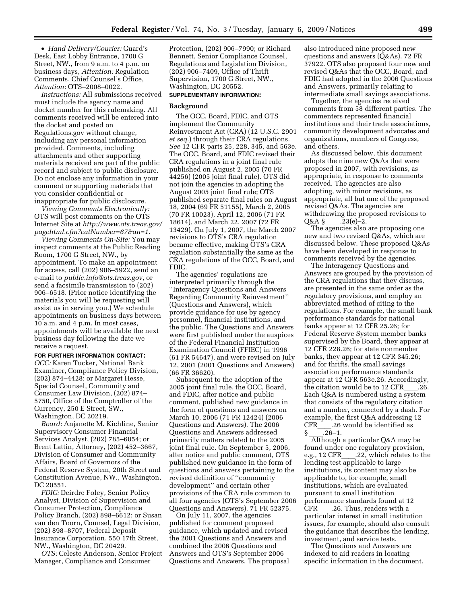• *Hand Delivery/Courier:* Guard's Desk, East Lobby Entrance, 1700 G Street, NW., from 9 a.m. to 4 p.m. on business days, *Attention:* Regulation Comments, Chief Counsel's Office, *Attention:* OTS–2008–0022.

*Instructions:* All submissions received must include the agency name and docket number for this rulemaking. All comments received will be entered into the docket and posted on Regulations.gov without change, including any personal information provided. Comments, including attachments and other supporting materials received are part of the public record and subject to public disclosure. Do not enclose any information in your comment or supporting materials that you consider confidential or inappropriate for public disclosure.

*Viewing Comments Electronically:*  OTS will post comments on the OTS Internet Site at *http://www.ots.treas.gov/ pagehtml.cfm?catNumber=67&an=1*.

*Viewing Comments On-Site:* You may inspect comments at the Public Reading Room, 1700 G Street, NW., by appointment. To make an appointment for access, call (202) 906–5922, send an e-mail to *public.info@ots.treas.gov*, or send a facsimile transmission to (202) 906–6518. (Prior notice identifying the materials you will be requesting will assist us in serving you.) We schedule appointments on business days between 10 a.m. and 4 p.m. In most cases, appointments will be available the next business day following the date we receive a request.

#### **FOR FURTHER INFORMATION CONTACT:**

*OCC:* Karen Tucker, National Bank Examiner, Compliance Policy Division, (202) 874–4428; or Margaret Hesse, Special Counsel, Community and Consumer Law Division, (202) 874– 5750, Office of the Comptroller of the Currency, 250 E Street, SW., Washington, DC 20219.

*Board:* Anjanette M. Kichline, Senior Supervisory Consumer Financial Services Analyst, (202) 785–6054; or Brent Lattin, Attorney, (202) 452–3667, Division of Consumer and Community Affairs, Board of Governors of the Federal Reserve System, 20th Street and Constitution Avenue, NW., Washington, DC 20551.

*FDIC:* Deirdre Foley, Senior Policy Analyst, Division of Supervision and Consumer Protection, Compliance Policy Branch, (202) 898–6612; or Susan van den Toorn, Counsel, Legal Division, (202) 898–8707, Federal Deposit Insurance Corporation, 550 17th Street, NW., Washington, DC 20429.

*OTS:* Celeste Anderson, Senior Project Manager, Compliance and Consumer

Protection, (202) 906–7990; or Richard Bennett, Senior Compliance Counsel, Regulations and Legislation Division, (202) 906–7409, Office of Thrift Supervision, 1700 G Street, NW., Washington, DC 20552.

#### **SUPPLEMENTARY INFORMATION:**

#### **Background**

The OCC, Board, FDIC, and OTS implement the Community Reinvestment Act (CRA) (12 U.S.C. 2901 *et seq.*) through their CRA regulations. *See* 12 CFR parts 25, 228, 345, and 563e. The OCC, Board, and FDIC revised their CRA regulations in a joint final rule published on August 2, 2005 (70 FR 44256) (2005 joint final rule). OTS did not join the agencies in adopting the August 2005 joint final rule; OTS published separate final rules on August 18, 2004 (69 FR 51155), March 2, 2005 (70 FR 10023), April 12, 2006 (71 FR 18614), and March 22, 2007 (72 FR 13429). On July 1, 2007, the March 2007 revisions to OTS's CRA regulation became effective, making OTS's CRA regulation substantially the same as the CRA regulations of the OCC, Board, and FDIC.

The agencies' regulations are interpreted primarily through the ''Interagency Questions and Answers Regarding Community Reinvestment'' (Questions and Answers), which provide guidance for use by agency personnel, financial institutions, and the public. The Questions and Answers were first published under the auspices of the Federal Financial Institution Examination Council (FFIEC) in 1996 (61 FR 54647), and were revised on July 12, 2001 (2001 Questions and Answers) (66 FR 36620).

Subsequent to the adoption of the 2005 joint final rule, the OCC, Board, and FDIC, after notice and public comment, published new guidance in the form of questions and answers on March 10, 2006 (71 FR 12424) (2006 Questions and Answers). The 2006 Questions and Answers addressed primarily matters related to the 2005 joint final rule. On September 5, 2006, after notice and public comment, OTS published new guidance in the form of questions and answers pertaining to the revised definition of ''community development'' and certain other provisions of the CRA rule common to all four agencies (OTS's September 2006 Questions and Answers). 71 FR 52375.

On July 11, 2007, the agencies published for comment proposed guidance, which updated and revised the 2001 Questions and Answers and combined the 2006 Questions and Answers and OTS's September 2006 Questions and Answers. The proposal also introduced nine proposed new questions and answers (Q&As). 72 FR 37922. OTS also proposed four new and revised Q&As that the OCC, Board, and FDIC had adopted in the 2006 Questions and Answers, primarily relating to intermediate small savings associations.

Together, the agencies received comments from 58 different parties. The commenters represented financial institutions and their trade associations, community development advocates and organizations, members of Congress, and others.

As discussed below, this document adopts the nine new Q&As that were proposed in 2007, with revisions, as appropriate, in response to comments received. The agencies are also adopting, with minor revisions, as appropriate, all but one of the proposed revised Q&As. The agencies are withdrawing the proposed revisions to

Q&A § \_\_\_\_.23(e)–2.<br>The agencies also are proposing one new and two revised Q&As, which are discussed below. These proposed Q&As have been developed in response to comments received by the agencies.

The Interagency Questions and Answers are grouped by the provision of the CRA regulations that they discuss, are presented in the same order as the regulatory provisions, and employ an abbreviated method of citing to the regulations. For example, the small bank performance standards for national banks appear at 12 CFR 25.26; for Federal Reserve System member banks supervised by the Board, they appear at 12 CFR 228.26; for state nonmember banks, they appear at 12 CFR 345.26; and for thrifts, the small savings association performance standards appear at 12 CFR 563e.26. Accordingly, the citation would be to  $12$  CFR  $\ldots$  .26. Each Q&A is numbered using a system that consists of the regulatory citation and a number, connected by a dash. For example, the first Q&A addressing 12 CFR $\frac{1}{8}$ . 26 would be identified as  $\frac{1}{8}$ .

§ \_\_\_.26–1.<br>Although a particular Q&A may be found under one regulatory provision, e.g., 12 CFR\_\_\_\_.22, which relates to the<br>lending test applicable to large institutions, its content may also be applicable to, for example, small institutions, which are evaluated pursuant to small institution performance standards found at 12 CFR\_\_\_\_.26. Thus, readers with a<br>particular interest in small institution issues, for example, should also consult the guidance that describes the lending, investment, and service tests.

The Questions and Answers are indexed to aid readers in locating specific information in the document.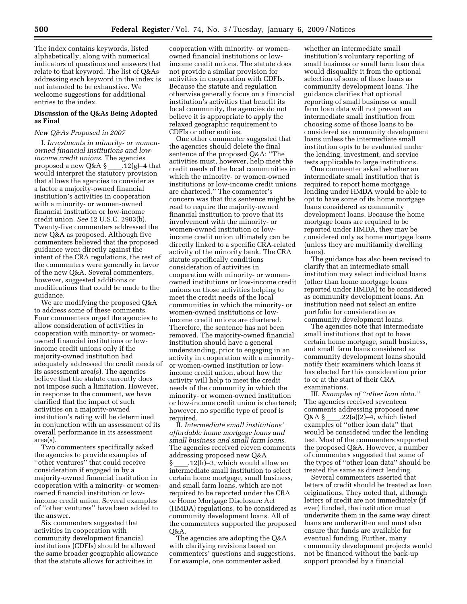The index contains keywords, listed alphabetically, along with numerical indicators of questions and answers that relate to that keyword. The list of Q&As addressing each keyword in the index is not intended to be exhaustive. We welcome suggestions for additional entries to the index.

#### **Discussion of the Q&As Being Adopted as Final**

#### *New Q&As Proposed in 2007*

I. *Investments in minority- or womenowned financial institutions and lowincome credit unions*. The agencies proposed a new Q&A § \_\_\_\_.12(g)–4 that<br>would interpret the statutory provision that allows the agencies to consider as a factor a majority-owned financial institution's activities in cooperation with a minority- or women-owned financial institution or low-income credit union. *See* 12 U.S.C. 2903(b). Twenty-five commenters addressed the new Q&A as proposed. Although five commenters believed that the proposed guidance went directly against the intent of the CRA regulations, the rest of the commenters were generally in favor of the new Q&A. Several commenters, however, suggested additions or modifications that could be made to the guidance.

We are modifying the proposed Q&A to address some of these comments. Four commenters urged the agencies to allow consideration of activities in cooperation with minority- or womenowned financial institutions or lowincome credit unions only if the majority-owned institution had adequately addressed the credit needs of its assessment area(s). The agencies believe that the statute currently does not impose such a limitation. However, in response to the comment, we have clarified that the impact of such activities on a majority-owned institution's rating will be determined in conjunction with an assessment of its overall performance in its assessment area(s).

Two commenters specifically asked the agencies to provide examples of ''other ventures'' that could receive consideration if engaged in by a majority-owned financial institution in cooperation with a minority- or womenowned financial institution or lowincome credit union. Several examples of ''other ventures'' have been added to the answer.

Six commenters suggested that activities in cooperation with community development financial institutions (CDFIs) should be allowed the same broader geographic allowance that the statute allows for activities in

cooperation with minority- or womenowned financial institutions or lowincome credit unions. The statute does not provide a similar provision for activities in cooperation with CDFIs. Because the statute and regulation otherwise generally focus on a financial institution's activities that benefit its local community, the agencies do not believe it is appropriate to apply the relaxed geographic requirement to CDFIs or other entities.

One other commenter suggested that the agencies should delete the final sentence of the proposed Q&A: ''The activities must, however, help meet the credit needs of the local communities in which the minority- or women-owned institutions or low-income credit unions are chartered.'' The commenter's concern was that this sentence might be read to require the majority-owned financial institution to prove that its involvement with the minority- or women-owned institution or lowincome credit union ultimately can be directly linked to a specific CRA-related activity of the minority bank. The CRA statute specifically conditions consideration of activities in cooperation with minority- or womenowned institutions or low-income credit unions on those activities helping to meet the credit needs of the local communities in which the minority- or women-owned institutions or lowincome credit unions are chartered. Therefore, the sentence has not been removed. The majority-owned financial institution should have a general understanding, prior to engaging in an activity in cooperation with a minorityor women-owned institution or lowincome credit union, about how the activity will help to meet the credit needs of the community in which the minority- or women-owned institution or low-income credit union is chartered; however, no specific type of proof is required.

II. *Intermediate small institutions' affordable home mortgage loans and small business and small farm loans*. The agencies received eleven comments

addressing proposed new Q&A<br>§ ...12(h)–3, which would allow an § \_\_\_\_.12(h)–3, which would allow an<br>intermediate small institution to select certain home mortgage, small business, and small farm loans, which are not required to be reported under the CRA or Home Mortgage Disclosure Act (HMDA) regulations, to be considered as community development loans. All of the commenters supported the proposed Q&A.

The agencies are adopting the Q&A with clarifying revisions based on commenters' questions and suggestions. For example, one commenter asked

whether an intermediate small institution's voluntary reporting of small business or small farm loan data would disqualify it from the optional selection of some of those loans as community development loans. The guidance clarifies that optional reporting of small business or small farm loan data will not prevent an intermediate small institution from choosing some of those loans to be considered as community development loans unless the intermediate small institution opts to be evaluated under the lending, investment, and service tests applicable to large institutions.

One commenter asked whether an intermediate small institution that is required to report home mortgage lending under HMDA would be able to opt to have some of its home mortgage loans considered as community development loans. Because the home mortgage loans are required to be reported under HMDA, they may be considered only as home mortgage loans (unless they are multifamily dwelling loans).

The guidance has also been revised to clarify that an intermediate small institution may select individual loans (other than home mortgage loans reported under HMDA) to be considered as community development loans. An institution need not select an entire portfolio for consideration as community development loans.

The agencies note that intermediate small institutions that opt to have certain home mortgage, small business, and small farm loans considered as community development loans should notify their examiners which loans it has elected for this consideration prior to or at the start of their CRA examinations.

III. *Examples of ''other loan data.''*  The agencies received seventeen comments addressing proposed new Q&A §\_\_\_\_.22(a)(2)–4, which listed<br>examples of ''other loan data'' that would be considered under the lending test. Most of the commenters supported the proposed Q&A. However, a number of commenters suggested that some of the types of ''other loan data'' should be treated the same as direct lending.

Several commenters asserted that letters of credit should be treated as loan originations. They noted that, although letters of credit are not immediately (if ever) funded, the institution must underwrite them in the same way direct loans are underwritten and must also ensure that funds are available for eventual funding. Further, many community development projects would not be financed without the back-up support provided by a financial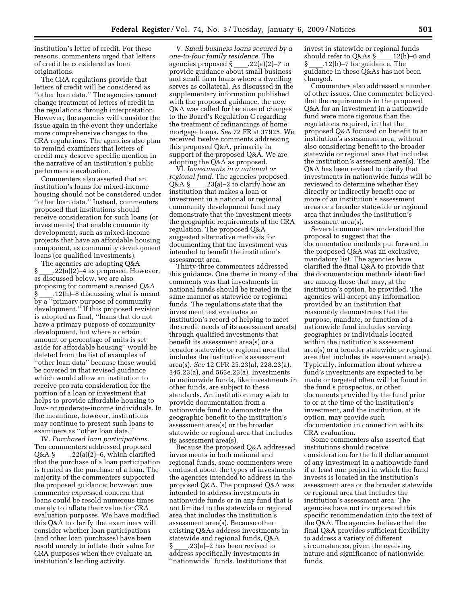institution's letter of credit. For these reasons, commenters urged that letters of credit be considered as loan originations.

The CRA regulations provide that letters of credit will be considered as ''other loan data.'' The agencies cannot change treatment of letters of credit in the regulations through interpretation. However, the agencies will consider the issue again in the event they undertake more comprehensive changes to the CRA regulations. The agencies also plan to remind examiners that letters of credit may deserve specific mention in the narrative of an institution's public performance evaluation.

Commenters also asserted that an institution's loans for mixed-income housing should not be considered under ''other loan data.'' Instead, commenters proposed that institutions should receive consideration for such loans (or investments) that enable community development, such as mixed-income projects that have an affordable housing component, as community development loans (or qualified investments).

The agencies are adopting Q&A  $\S$  .22(a)(2)–4 as proposed. However, as discussed below, we are also proposing for comment a revised Q&A  $\S$  .12(h)–8 discussing what is meant by a ''primary purpose of community development.'' If this proposed revision is adopted as final, ''loans that do not have a primary purpose of community development, but where a certain amount or percentage of units is set aside for affordable housing'' would be deleted from the list of examples of ''other loan data'' because these would be covered in that revised guidance which would allow an institution to receive pro rata consideration for the portion of a loan or investment that helps to provide affordable housing to low- or moderate-income individuals. In the meantime, however, institutions may continue to present such loans to examiners as ''other loan data.''

IV. *Purchased loan participations*. Ten commenters addressed proposed Q&A § \_\_\_\_.22(a)(2)–6, which clarified<br>that the purchase of a loan participation is treated as the purchase of a loan. The majority of the commenters supported the proposed guidance; however, one commenter expressed concern that loans could be resold numerous times merely to inflate their value for CRA evaluation purposes. We have modified this Q&A to clarify that examiners will consider whether loan participations (and other loan purchases) have been resold merely to inflate their value for CRA purposes when they evaluate an institution's lending activity.

V. *Small business loans secured by a one-to-four family residence*. The agencies proposed § \_\_\_\_.22(a)(2)–7 to<br>provide guidance about small business and small farm loans where a dwelling serves as collateral. As discussed in the supplementary information published with the proposed guidance, the new Q&A was called for because of changes to the Board's Regulation C regarding the treatment of refinancings of home mortgage loans. *See* 72 FR at 37925. We received twelve comments addressing this proposed Q&A, primarily in support of the proposed Q&A. We are adopting the Q&A as proposed.

VI. *Investments in a national or regional fund.* The agencies proposed Q&A §\_\_\_\_.23(a)–2 to clarify how an<br>institution that makes a loan or investment in a national or regional community development fund may demonstrate that the investment meets the geographic requirements of the CRA regulation. The proposed Q&A suggested alternative methods for documenting that the investment was intended to benefit the institution's assessment area.

Thirty-three commenters addressed this guidance. One theme in many of the comments was that investments in national funds should be treated in the same manner as statewide or regional funds. The regulations state that the investment test evaluates an institution's record of helping to meet the credit needs of its assessment area(s) through qualified investments that benefit its assessment area(s) or a broader statewide or regional area that includes the institution's assessment area(s). *See* 12 CFR 25.23(a), 228.23(a), 345.23(a), and 563e.23(a). Investments in nationwide funds, like investments in other funds, are subject to these standards. An institution may wish to provide documentation from a nationwide fund to demonstrate the geographic benefit to the institution's assessment area(s) or the broader statewide or regional area that includes its assessment area(s).

Because the proposed Q&A addressed investments in both national and regional funds, some commenters were confused about the types of investments the agencies intended to address in the proposed Q&A. The proposed Q&A was intended to address investments in nationwide funds or in any fund that is not limited to the statewide or regional area that includes the institution's assessment area(s). Because other existing Q&As address investments in statewide and regional funds, Q&A § \_\_\_\_.23(a)–2 has been revised to<br>address specifically investments in ''nationwide'' funds. Institutions that

invest in statewide or regional funds should refer to Q&As  $\S$  \_\_\_\_\_.12(h)–6 and  $\S$  ...12(h)–7 for guidance. The §ll.12(h)–7 for guidance. The guidance in these Q&As has not been changed.

Commenters also addressed a number of other issues. One commenter believed that the requirements in the proposed Q&A for an investment in a nationwide fund were more rigorous than the regulations required, in that the proposed Q&A focused on benefit to an institution's assessment area, without also considering benefit to the broader statewide or regional area that includes the institution's assessment area(s). The Q&A has been revised to clarify that investments in nationwide funds will be reviewed to determine whether they directly or indirectly benefit one or more of an institution's assessment areas or a broader statewide or regional area that includes the institution's assessment area(s).

Several commenters understood the proposal to suggest that the documentation methods put forward in the proposed Q&A was an exclusive, mandatory list. The agencies have clarified the final Q&A to provide that the documentation methods identified are among those that may, at the institution's option, be provided. The agencies will accept any information provided by an institution that reasonably demonstrates that the purpose, mandate, or function of a nationwide fund includes serving geographies or individuals located within the institution's assessment area(s) or a broader statewide or regional area that includes its assessment area(s). Typically, information about where a fund's investments are expected to be made or targeted often will be found in the fund's prospectus, or other documents provided by the fund prior to or at the time of the institution's investment, and the institution, at its option, may provide such documentation in connection with its CRA evaluation.

Some commenters also asserted that institutions should receive consideration for the full dollar amount of any investment in a nationwide fund if at least one project in which the fund invests is located in the institution's assessment area or the broader statewide or regional area that includes the institution's assessment area. The agencies have not incorporated this specific recommendation into the text of the Q&A. The agencies believe that the final Q&A provides sufficient flexibility to address a variety of different circumstances, given the evolving nature and significance of nationwide funds.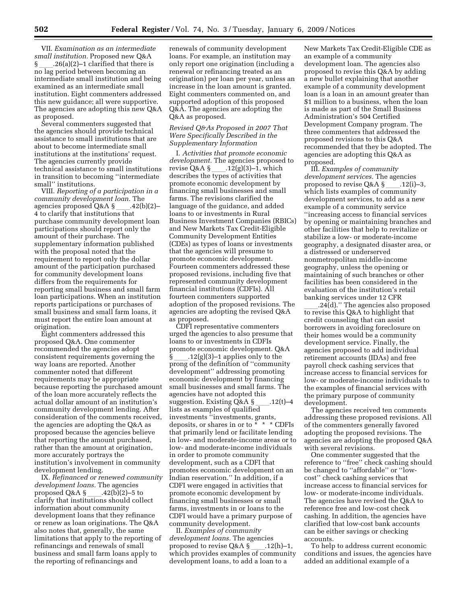VII. *Examination as an intermediate small institution.* Proposed new Q&A  $\S$  .26(a)(2)–1 clarified that there is no lag period between becoming an intermediate small institution and being examined as an intermediate small institution. Eight commenters addressed this new guidance; all were supportive. The agencies are adopting this new Q&A as proposed.

Several commenters suggested that the agencies should provide technical assistance to small institutions that are about to become intermediate small institutions at the institutions' request. The agencies currently provide technical assistance to small institutions in transition to becoming ''intermediate small'' institutions.

VIII. *Reporting of a participation in a community development loan.* The agencies proposed Q&A §\_\_\_\_.42(b)(2)–<br>4 to clarify that institutions that purchase community development loan participations should report only the amount of their purchase. The supplementary information published with the proposal noted that the requirement to report only the dollar amount of the participation purchased for community development loans differs from the requirements for reporting small business and small farm loan participations. When an institution reports participations or purchases of small business and small farm loans, it must report the entire loan amount at origination.

Eight commenters addressed this proposed Q&A. One commenter recommended the agencies adopt consistent requirements governing the way loans are reported. Another commenter noted that different requirements may be appropriate because reporting the purchased amount of the loan more accurately reflects the actual dollar amount of an institution's community development lending. After consideration of the comments received, the agencies are adopting the Q&A as proposed because the agencies believe that reporting the amount purchased, rather than the amount at origination, more accurately portrays the institution's involvement in community development lending.

IX. *Refinanced or renewed community development loans.* The agencies proposed Q&A § \_\_\_.42(b)(2)–5 to<br>clarify that institutions should collect information about community development loans that they refinance or renew as loan originations. The Q&A also notes that, generally, the same limitations that apply to the reporting of refinancings and renewals of small business and small farm loans apply to the reporting of refinancings and

renewals of community development loans. For example, an institution may only report one origination (including a renewal or refinancing treated as an origination) per loan per year, unless an increase in the loan amount is granted. Eight commenters commented on, and supported adoption of this proposed Q&A. The agencies are adopting the Q&A as proposed.

#### *Revised Q&As Proposed in 2007 That Were Specifically Described in the Supplementary Information*

I. *Activities that promote economic development.* The agencies proposed to revise Q&A § \_\_\_\_.12(g)(3)–1, which<br>describes the types of activities that promote economic development by financing small businesses and small farms. The revisions clarified the language of the guidance, and added loans to or investments in Rural Business Investment Companies (RBICs) and New Markets Tax Credit-Eligible Community Development Entities (CDEs) as types of loans or investments that the agencies will presume to promote economic development. Fourteen commenters addressed these proposed revisions, including five that represented community development financial institutions (CDFIs). All fourteen commenters supported adoption of the proposed revisions. The agencies are adopting the revised Q&A as proposed.

CDFI representative commenters urged the agencies to also presume that loans to or investments in CDFIs promote economic development. Q&A<br>§ .12(g)(3)–1 applies only to the § \_\_\_\_.12(g)(3)–1 applies only to the<br>prong of the definition of "community development'' addressing promoting economic development by financing small businesses and small farms. The agencies have not adopted this suggestion. Existing  $Q&A\$ §\_\_\_\_.12(t)–4 lists as examples of qualified investments ''investments, grants, deposits, or shares in or to \* \* \* CDFIs that primarily lend or facilitate lending in low- and moderate-income areas or to low- and moderate-income individuals in order to promote community development, such as a CDFI that promotes economic development on an Indian reservation.'' In addition, if a CDFI were engaged in activities that promote economic development by financing small businesses or small farms, investments in or loans to the CDFI would have a primary purpose of community development.

II. *Examples of community development loans.* The agencies<br>proposed to revise Q&A §\_\_\_\_.12 proposed to revise Q&A §\_\_\_\_.12(h)–1,<br>which provides examples of community development loans, to add a loan to a

New Markets Tax Credit-Eligible CDE as an example of a community development loan. The agencies also proposed to revise this Q&A by adding a new bullet explaining that another example of a community development loan is a loan in an amount greater than \$1 million to a business, when the loan is made as part of the Small Business Administration's 504 Certified Development Company program. The three commenters that addressed the proposed revisions to this Q&A recommended that they be adopted. The agencies are adopting this Q&A as proposed.

III. *Examples of community development services.* The agencies proposed to revise Q&A § \_\_\_\_.12(i)–3,<br>which lists examples of community development services, to add as a new example of a community service ''increasing access to financial services by opening or maintaining branches and other facilities that help to revitalize or stabilize a low- or moderate-income geography, a designated disaster area, or a distressed or underserved nonmetropolitan middle-income geography, unless the opening or maintaining of such branches or other facilities has been considered in the evaluation of the institution's retail banking services under 12 CFR

 $.24(d)$ ." The agencies also proposed to revise this Q&A to highlight that credit counseling that can assist borrowers in avoiding foreclosure on their homes would be a community development service. Finally, the agencies proposed to add individual retirement accounts (IDAs) and free payroll check cashing services that increase access to financial services for low- or moderate-income individuals to the examples of financial services with the primary purpose of community development.

The agencies received ten comments addressing these proposed revisions. All of the commenters generally favored adopting the proposed revisions. The agencies are adopting the proposed Q&A with several revisions.

One commenter suggested that the reference to ''free'' check cashing should be changed to ''affordable'' or ''lowcost'' check cashing services that increase access to financial services for low- or moderate-income individuals. The agencies have revised the Q&A to reference free and low-cost check cashing. In addition, the agencies have clarified that low-cost bank accounts can be either savings or checking accounts.

To help to address current economic conditions and issues, the agencies have added an additional example of a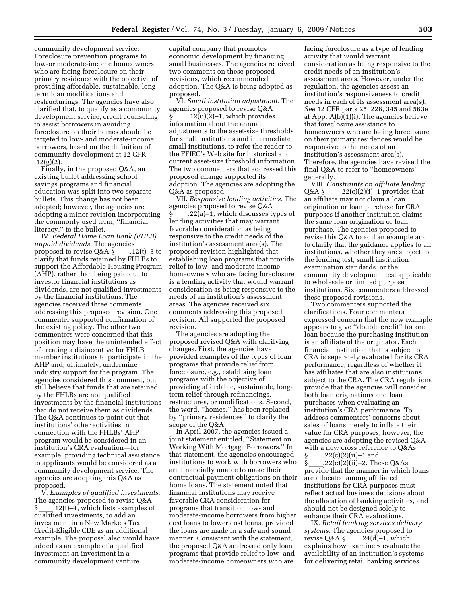community development service: Foreclosure prevention programs to low-or moderate-income homeowners who are facing foreclosure on their primary residence with the objective of providing affordable, sustainable, longterm loan modifications and restructurings. The agencies have also clarified that, to qualify as a community development service, credit counseling to assist borrowers in avoiding foreclosure on their homes should be targeted to low- and moderate-income borrowers, based on the definition of community development at 12 CFR  $.12(g)(2).$ 

Finally, in the proposed Q&A, an existing bullet addressing school savings programs and financial education was split into two separate bullets. This change has not been adopted; however, the agencies are adopting a minor revision incorporating the commonly used term, ''financial literacy,'' to the bullet.

IV. *Federal Home Loan Bank (FHLB) unpaid dividends.* The agencies proposed to revise Q&A §\_\_\_\_.12(t)–3 to<br>clarify that funds retained by FHLBs to support the Affordable Housing Program (AHP), rather than being paid out to investor financial institutions as dividends, are not qualified investments by the financial institutions. The agencies received three comments addressing this proposed revision. One commenter supported confirmation of the existing policy. The other two commenters were concerned that this position may have the unintended effect of creating a disincentive for FHLB member institutions to participate in the AHP and, ultimately, undermine industry support for the program. The agencies considered this comment, but still believe that funds that are retained by the FHLBs are not qualified investments by the financial institutions that do not receive them as dividends. The Q&A continues to point out that institutions' other activities in connection with the FHLBs' AHP program would be considered in an institution's CRA evaluation—for example, providing technical assistance to applicants would be considered as a community development service. The agencies are adopting this Q&A as proposed.

V. *Examples of qualified investments.*  The agencies proposed to revise Q&A §ll.12(t)–4, which lists examples of qualified investments, to add an investment in a New Markets Tax Credit-Eligible CDE as an additional example. The proposal also would have added as an example of a qualified investment an investment in a community development venture

capital company that promotes economic development by financing small businesses. The agencies received two comments on these proposed revisions, which recommended adoption. The Q&A is being adopted as proposed.

VI. *Small institution adjustment.* The agencies proposed to revise Q&A  $\S$  .12(u)(2)–1, which provides information about the annual adjustments to the asset-size thresholds for small institutions and intermediate small institutions, to refer the reader to the FFIEC's Web site for historical and current asset-size threshold information. The two commenters that addressed this proposed change supported its adoption. The agencies are adopting the Q&A as proposed.

VII. *Responsive lending activities.* The agencies proposed to revise Q&A §<sub>201</sub>.22(a)–1, which discusses types of lending activities that may warrant favorable consideration as being responsive to the credit needs of the institution's assessment area(s). The proposed revision highlighted that establishing loan programs that provide relief to low- and moderate-income homeowners who are facing foreclosure is a lending activity that would warrant consideration as being responsive to the needs of an institution's assessment areas. The agencies received six comments addressing this proposed revision. All supported the proposed revision.

The agencies are adopting the proposed revised Q&A with clarifying changes. First, the agencies have provided examples of the types of loan programs that provide relief from foreclosure, e.g., establising loan programs with the objective of providing affordable, sustainable, longterm relief through refinancings, restructures, or modifications. Second, the word, ''homes,'' has been replaced by ''primary residences'' to clarify the scope of the Q&A.

In April 2007, the agencies issued a joint statement entitled, ''Statement on Working With Mortgage Borrowers.'' In that statement, the agencies encouraged institutions to work with borrowers who are financially unable to make their contractual payment obligations on their home loans. The statement noted that financial institutions may receive favorable CRA consideration for programs that transition low- and moderate-income borrowers from higher cost loans to lower cost loans, provided the loans are made in a safe and sound manner. Consistent with the statement, the proposed Q&A addressed only loan programs that provide relief to low- and moderate-income homeowners who are

facing foreclosure as a type of lending activity that would warrant consideration as being responsive to the credit needs of an institution's assessment areas. However, under the regulation, the agencies assess an institution's responsiveness to credit needs in each of its assessment area(s). *See* 12 CFR parts 25, 228, 345 and 563e at App. A(b)(1)(i). The agencies believe that foreclosure assistance to homeowners who are facing foreclosure on their primary residences would be responsive to the needs of an institution's assessment area(s). Therefore, the agencies have revised the final Q&A to refer to ''homeowners'' generally.

VIII. *Constraints on affiliate lending.*  .22(c)(2)(i)–1 provides that an affiliate may not claim a loan origination or loan purchase for CRA purposes if another institution claims the same loan origination or loan purchase. The agencies proposed to revise this Q&A to add an example and to clarify that the guidance applies to all institutions, whether they are subject to the lending test, small institution examination standards, or the community development test applicable to wholesale or limited purpose institutions. Six commenters addressed these proposed revisions.

Two commenters supported the clarifications. Four commenters expressed concern that the new example appears to give ''double credit'' for one loan because the purchasing institution is an affiliate of the originator. Each financial institution that is subject to CRA is separately evaluated for its CRA performance, regardless of whether it has affiliates that are also institutions subject to the CRA. The CRA regulations provide that the agencies will consider both loan originations and loan purchases when evaluating an institution's CRA performance. To address commenters' concerns about sales of loans merely to inflate their value for CRA purposes, however, the agencies are adopting the revised Q&A with a new cross reference to  $Q&As$ <br>§ .22(c)(2)(ii)–1 and §ll.22(c)(2)(ii)–1 and

§ \_\_\_\_.22(c)(2)(ii)–2. These Q&As<br>provide that the manner in which loans are allocated among affiliated institutions for CRA purposes must reflect actual business decisions about the allocation of banking activities, and should not be designed solely to enhance their CRA evaluations.

IX. *Retail banking services delivery systems.* The agencies proposed to revise Q&A §\_\_\_\_.24(d)–1, which<br>explains how examiners evaluate the availability of an institution's systems for delivering retail banking services.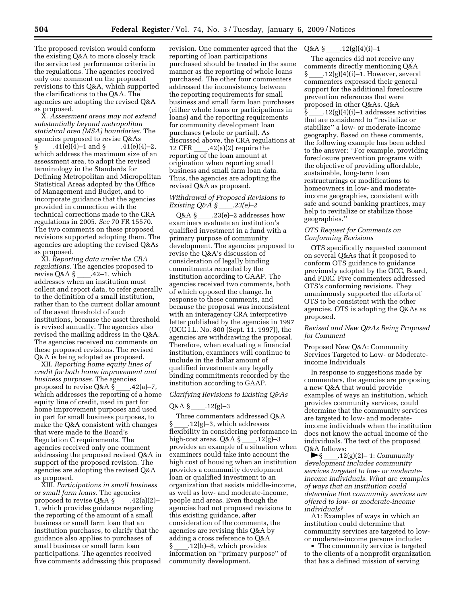The proposed revision would conform the existing Q&A to more closely track the service test performance criteria in the regulations. The agencies received only one comment on the proposed revisions to this Q&A, which supported the clarifications to the Q&A. The agencies are adopting the revised Q&A as proposed.

X. *Assessment areas may not extend substantially beyond metropolitan statistical area (MSA) boundaries.* The agencies proposed to revise Q&As  $\sum_{i=1}^{n} (41(e)(4)-1)$  and  $\sum_{i=1}^{n} (41(e)(4)-2)$ , which address the maximum size of an assessment area, to adopt the revised terminology in the Standards for Defining Metropolitan and Micropolitan Statistical Areas adopted by the Office of Management and Budget, and to incorporate guidance that the agencies provided in connection with the technical corrections made to the CRA regulations in 2005. *See* 70 FR 15570. The two comments on these proposed revisions supported adopting them. The agencies are adopting the revised Q&As as proposed.

XI. *Reporting data under the CRA regulations.* The agencies proposed to revise  $Q&A\$  .42–1, which addresses when an institution must collect and report data, to refer generally to the definition of a small institution, rather than to the current dollar amount of the asset threshold of such institutions, because the asset threshold is revised annually. The agencies also revised the mailing address in the Q&A. The agencies received no comments on these proposed revisions. The revised Q&A is being adopted as proposed.

XII. *Reporting home equity lines of credit for both home improvement and business purposes.* The agencies proposed to revise Q&A §\_\_\_\_.42(a)–7,<br>which addresses the reporting of a home equity line of credit, used in part for home improvement purposes and used in part for small business purposes, to make the Q&A consistent with changes that were made to the Board's Regulation C requirements. The agencies received only one comment addressing the proposed revised Q&A in support of the proposed revision. The agencies are adopting the revised Q&A as proposed.

XIII. *Participations in small business or small farm loans.* The agencies proposed to revise Q&A § \_\_\_\_.42(a)(2)–<br>1, which provides guidance regarding the reporting of the amount of a small business or small farm loan that an institution purchases, to clarify that the guidance also applies to purchases of small business or small farm loan participations. The agencies received five comments addressing this proposed

revision. One commenter agreed that the reporting of loan participations purchased should be treated in the same manner as the reporting of whole loans purchased. The other four commenters addressed the inconsistency between the reporting requirements for small business and small farm loan purchases (either whole loans or participations in loans) and the reporting requirements for community development loan purchases (whole or partial). As discussed above, the CRA regulations at 12 CFR \_\_\_\_.42(a)(2) require the<br>reporting of the loan amount at origination when reporting small business and small farm loan data. Thus, the agencies are adopting the revised Q&A as proposed.

### *Withdrawal of Proposed Revisions to Existing Q&A §*<sub>ll</sub>.23(e)–2<br>Q&A § 23(e)–2 addresses how

Q&A § \_\_\_\_.23(e)–2 addresses how examiners evaluate an institution's qualified investment in a fund with a primary purpose of community development. The agencies proposed to revise the Q&A's discussion of consideration of legally binding commitments recorded by the institution according to GAAP. The agencies received two comments, both of which opposed the change. In response to these comments, and because the proposal was inconsistent with an interagency CRA interpretive letter published by the agencies in 1997 (OCC I.L. No. 800 (Sept. 11, 1997)), the agencies are withdrawing the proposal. Therefore, when evaluating a financial institution, examiners will continue to include in the dollar amount of qualified investments any legally binding commitments recorded by the institution according to GAAP.

#### *Clarifying Revisions to Existing Q&As*

#### $Q&A\$  .12(g)–3

Three commenters addressed Q&A  $\S$  .12(g)–3, which addresses flexibility in considering performance in<br>high-cost areas. Q&A §  $.12(g)-3$ high-cost areas. Q&A § \_\_\_\_.12(g)–3<br>provides an example of a situation when examiners could take into account the high cost of housing when an institution provides a community development loan or qualified investment to an organization that assists middle-income, as well as low- and moderate-income, people and areas. Even though the agencies had not proposed revisions to this existing guidance, after consideration of the comments, the agencies are revising this Q&A by adding a cross reference to Q&A

§ll.12(h)–8, which provides information on ''primary purpose'' of community development.

Q&A §ll.12(g)(4)(i)–1

The agencies did not receive any comments directly mentioning Q&A  $.12(g)(4)(i)-1.$  However, several commenters expressed their general support for the additional foreclosure prevention references that were proposed in other Q&As. Q&A  $.12(g)(4)(i)-1$  addresses activities that are considered to ''revitalize or stabilize'' a low- or moderate-income geography. Based on these comments, the following example has been added to the answer: ''For example, providing foreclosure prevention programs with the objective of providing affordable, sustainable, long-term loan restructurings or modifications to homeowners in low- and moderateincome geographies, consistent with safe and sound banking practices, may help to revitalize or stabilize those geographies.''

#### *OTS Request for Comments on Conforming Revisions*

OTS specifically requested comment on several Q&As that it proposed to conform OTS guidance to guidance previously adopted by the OCC, Board, and FDIC. Five commenters addressed OTS's conforming revisions. They unanimously supported the efforts of OTS to be consistent with the other agencies. OTS is adopting the Q&As as proposed.

#### *Revised and New Q&As Being Proposed for Comment*

Proposed New Q&A: Community Services Targeted to Low- or Moderateincome Individuals

In response to suggestions made by commenters, the agencies are proposing a new Q&A that would provide examples of ways an institution, which provides community services, could determine that the community services are targeted to low- and moderateincome individuals when the institution does not know the actual income of the individuals. The text of the proposed  $Q$ &A follows:<br>12. 5.

fl§ll.12(g)(2)– 1: *Community development includes community services targeted to low- or moderateincome individuals. What are examples of ways that an institution could determine that community services are offered to low- or moderate-income individuals?* 

A1: Examples of ways in which an institution could determine that community services are targeted to lowor moderate-income persons include:

• The community service is targeted to the clients of a nonprofit organization that has a defined mission of serving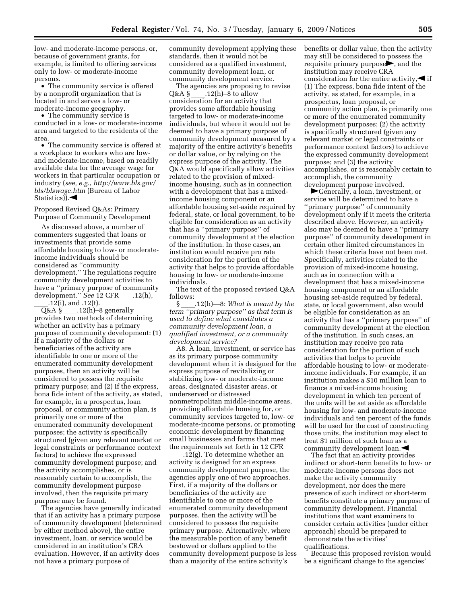low- and moderate-income persons, or, because of government grants, for example, is limited to offering services only to low- or moderate-income persons.

• The community service is offered by a nonprofit organization that is located in and serves a low- or moderate-income geography.

• The community service is conducted in a low- or moderate-income area and targeted to the residents of the area.

• The community service is offered at a workplace to workers who are lowand moderate-income, based on readily available data for the average wage for workers in that particular occupation or industry (*see, e.g.*, *http://www.bls.gov/ bls/blswage.htm* (Bureau of Labor Statistics). $\blacktriangleleft$ 

Proposed Revised Q&As: Primary Purpose of Community Development

As discussed above, a number of commenters suggested that loans or investments that provide some affordable housing to low- or moderateincome individuals should be considered as ''community development.'' The regulations require community development activities to have a ''primary purpose of community development." *See* 12 CFR .12(h),

\_\_.12(i), and .12(t).<br>Q&A § \_\_\_\_.12(h)–8 generally Q&A §  $\_\_$ .12(h)–8 generally<br>provides two methods of determining whether an activity has a primary purpose of community development: (1) If a majority of the dollars or beneficiaries of the activity are identifiable to one or more of the enumerated community development purposes, then an activity will be considered to possess the requisite primary purpose; and (2) If the express, bona fide intent of the activity, as stated, for example, in a prospectus, loan proposal, or community action plan, is primarily one or more of the enumerated community development purposes; the activity is specifically structured (given any relevant market or legal constraints or performance context factors) to achieve the expressed community development purpose; and the activity accomplishes, or is reasonably certain to accomplish, the community development purpose involved, then the requisite primary purpose may be found.

The agencies have generally indicated that if an activity has a primary purpose of community development (determined by either method above), the entire investment, loan, or service would be considered in an institution's CRA evaluation. However, if an activity does not have a primary purpose of

community development applying these standards, then it would not be considered as a qualified investment, community development loan, or community development service.

The agencies are proposing to revise Q&A § \_\_\_\_.12(h)–8 to allow<br>consideration for an activity that provides some affordable housing targeted to low- or moderate-income individuals, but where it would not be deemed to have a primary purpose of community development measured by a majority of the entire activity's benefits or dollar value, or by relying on the express purpose of the activity. The Q&A would specifically allow activities related to the provision of mixedincome housing, such as in connection with a development that has a mixedincome housing component or an affordable housing set-aside required by federal, state, or local government, to be eligible for consideration as an activity that has a ''primary purpose'' of community development at the election of the institution. In those cases, an institution would receive pro rata consideration for the portion of the activity that helps to provide affordable housing to low- or moderate-income individuals.

The text of the proposed revised Q&A follows:<br>§  $.12(h)$ —8: What is meant by the

§ll.12(h)—8: *What is meant by the term ''primary purpose'' as that term is used to define what constitutes a community development loan, a qualified investment, or a community development service?* 

A8. A loan, investment, or service has as its primary purpose community development when it is designed for the express purpose of revitalizing or stabilizing low- or moderate-income areas, designated disaster areas, or underserved or distressed nonmetropolitan middle-income areas, providing affordable housing for, or community services targeted to, low- or moderate-income persons, or promoting economic development by financing small businesses and farms that meet the requirements set forth in 12 CFR

.12(g). To determine whether an activity is designed for an express community development purpose, the agencies apply one of two approaches. First, if a majority of the dollars or beneficiaries of the activity are identifiable to one or more of the enumerated community development purposes, then the activity will be considered to possess the requisite primary purpose. Alternatively, where the measurable portion of any benefit bestowed or dollars applied to the community development purpose is less than a majority of the entire activity's

benefits or dollar value, then the activity may still be considered to possess the requisite primary purpose $\blacktriangleright$ , and the institution may receive CRA consideration for the entire activity,  $\blacktriangle$  if (1) The express, bona fide intent of the activity, as stated, for example, in a prospectus, loan proposal, or community action plan, is primarily one or more of the enumerated community development purposes; (2) the activity is specifically structured (given any relevant market or legal constraints or performance context factors) to achieve the expressed community development purpose; and (3) the activity accomplishes, or is reasonably certain to accomplish, the community development purpose involved.

Generally, a loan, investment, or service will be determined to have a ''primary purpose'' of community development only if it meets the criteria described above. However, an activity also may be deemed to have a ''primary purpose'' of community development in certain other limited circumstances in which these criteria have not been met. Specifically, activities related to the provision of mixed-income housing, such as in connection with a development that has a mixed-income housing component or an affordable housing set-aside required by federal, state, or local government, also would be eligible for consideration as an activity that has a ''primary purpose'' of community development at the election of the institution. In such cases, an institution may receive pro rata consideration for the portion of such activities that helps to provide affordable housing to low- or moderateincome individuals. For example, if an institution makes a \$10 million loan to finance a mixed-income housing development in which ten percent of the units will be set aside as affordable housing for low- and moderate-income individuals and ten percent of the funds will be used for the cost of constructing those units, the institution may elect to treat \$1 million of such loan as a community development loan.

The fact that an activity provides indirect or short-term benefits to low- or moderate-income persons does not make the activity community development, nor does the mere presence of such indirect or short-term benefits constitute a primary purpose of community development. Financial institutions that want examiners to consider certain activities (under either approach) should be prepared to demonstrate the activities' qualifications.

Because this proposed revision would be a significant change to the agencies'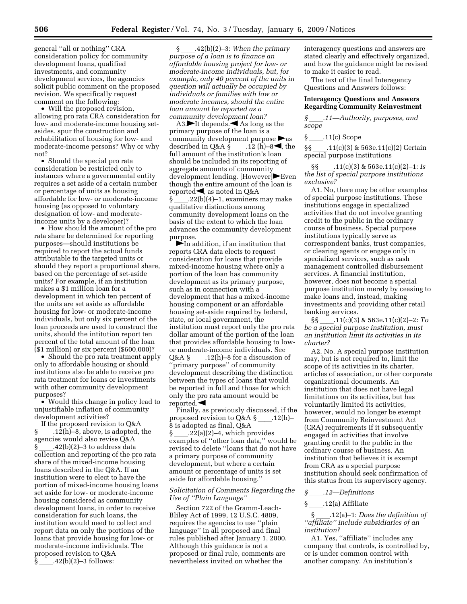general ''all or nothing'' CRA consideration policy for community development loans, qualified investments, and community development services, the agencies solicit public comment on the proposed revision. We specifically request comment on the following:

• Will the proposed revision, allowing pro rata CRA consideration for low- and moderate-income housing setasides, spur the construction and rehabilitation of housing for low- and moderate-income persons? Why or why not?

• Should the special pro rata consideration be restricted only to instances where a governmental entity requires a set aside of a certain number or percentage of units as housing affordable for low- or moderate-income housing (as opposed to voluntary designation of low- and moderateincome units by a developer)?

• How should the amount of the pro rata share be determined for reporting purposes—should institutions be required to report the actual funds attributable to the targeted units or should they report a proportional share, based on the percentage of set-aside units? For example, if an institution makes a \$1 million loan for a development in which ten percent of the units are set aside as affordable housing for low- or moderate-income individuals, but only six percent of the loan proceeds are used to construct the units, should the intitution report ten percent of the total amount of the loan (\$1 million) or six percent (\$600,000)?

• Should the pro rata treatment apply only to affordable housing or should institutions also be able to receive pro rata treatment for loans or investments with other community development purposes?

• Would this change in policy lead to unjustifiable inflation of community development activities?

If the proposed revision to Q&A §ll.12(h)–8, above, is adopted, the agencies would also revise Q&A  $\S$  .42(b)(2)–3 to address data collection and reporting of the pro rata share of the mixed-income housing loans described in the Q&A. If an institution were to elect to have the portion of mixed-income housing loans set aside for low- or moderate-income housing considered as community development loans, in order to receive consideration for such loans, the institution would need to collect and report data on only the portions of the loans that provide housing for low- or moderate-income individuals. The proposed revision to Q&A  $\S$  .42(b)(2)–3 follows:

§ll.42(b)(2)–3: *When the primary purpose of a loan is to finance an affordable housing project for low- or moderate-income individuals, but, for example, only 40 percent of the units in question will actually be occupied by individuals or families with low or moderate incomes, should the entire loan amount be reported as a community development loan?* 

A3. $\blacktriangleright$ It depends. As long as the primary purpose of the loan is a community development purpose  $\blacktriangleright$  as described in Q&A §\_\_\_.12 (h)–8◀, the full amount of the institution's loan should be included in its reporting of aggregate amounts of community development lending. [However] $\blacktriangleright$ Even though the entire amount of the loan is reported  $\blacktriangleleft$ , as noted in Q&A  $\S$  .22(b)(4)–1, examiners may make qualitative distinctions among community development loans on the basis of the extent to which the loan advances the community development purpose.

 $\blacktriangleright$  In addition, if an institution that reports CRA data elects to request consideration for loans that provide mixed-income housing where only a portion of the loan has community development as its primary purpose, such as in connection with a development that has a mixed-income housing component or an affordable housing set-aside required by federal, state, or local government, the institution must report only the pro rata dollar amount of the portion of the loan that provides affordable housing to lowor moderate-income individuals. See Q&A § \_\_\_\_.12(h)–8 for a discussion of<br>''primary purpose'' of community development describing the distinction between the types of loans that would be reported in full and those for which only the pro rata amount would be reported. $\blacktriangleleft$ 

Finally, as previously discussed, if the proposed revision to  $Q&A\&$ <sub>0</sub>.12(h)– 8 is adopted as final, Q&A<br>§ 22(a)(2)–4, which provides § \_\_\_\_.22(a)(2)–4, which provides<br>examples of ''other loan data,'' would be revised to delete ''loans that do not have a primary purpose of community development, but where a certain amount or percentage of units is set aside for affordable housing.''

#### *Solicitation of Comments Regarding the Use of ''Plain Language''*

Section 722 of the Gramm-Leach-Bliley Act of 1999, 12 U.S.C. 4809, requires the agencies to use ''plain language'' in all proposed and final rules published after January 1, 2000. Although this guidance is not a proposed or final rule, comments are nevertheless invited on whether the

interagency questions and answers are stated clearly and effectively organized, and how the guidance might be revised to make it easier to read.

The text of the final Interagency Questions and Answers follows:

#### **Interagency Questions and Answers Regarding Community Reinvestment**

*§*ll*.11—Authority, purposes, and scope* 

 $\S$  \_\_\_\_\_.11(c) Scope

§§ .11(c)(3) & 563e.11(c)(2) Certain special purpose institutions

§§ll.11(c)(3) & 563e.11(c)(2)–1: *Is the list of special purpose institutions exclusive?* 

A1. No, there may be other examples of special purpose institutions. These institutions engage in specialized activities that do not involve granting credit to the public in the ordinary course of business. Special purpose institutions typically serve as correspondent banks, trust companies, or clearing agents or engage only in specialized services, such as cash management controlled disbursement services. A financial institution, however, does not become a special purpose institution merely by ceasing to make loans and, instead, making investments and providing other retail banking services.

§§ ll.11(c)(3) & 563e.11(c)(2)–2: *To be a special purpose institution, must an institution limit its activities in its charter?* 

A2. No. A special purpose institution may, but is not required to, limit the scope of its activities in its charter, articles of association, or other corporate organizational documents. An institution that does not have legal limitations on its activities, but has voluntarily limited its activities, however, would no longer be exempt from Community Reinvestment Act (CRA) requirements if it subsequently engaged in activities that involve granting credit to the public in the ordinary course of business. An institution that believes it is exempt from CRA as a special purpose institution should seek confirmation of this status from its supervisory agency.

#### § .12(a) Affiliate

§ll.12(a)–1: *Does the definition of ''affiliate'' include subsidiaries of an institution?* 

A1. Yes, ''affiliate'' includes any company that controls, is controlled by, or is under common control with another company. An institution's

*<sup>§</sup>*ll*.12—Definitions*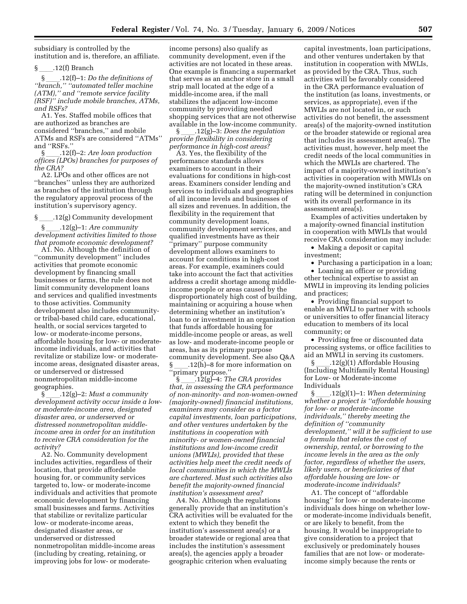subsidiary is controlled by the institution and is, therefore, an affiliate.

 $\frac{12(11)}{2}$ .12(f) Branch<br>§ \_\_\_\_,12(f)–1: *Do the definitions of* §ll.12(f)–1: *Do the definitions of ''branch,'' ''automated teller machine (ATM),'' and ''remote service facility (RSF)'' include mobile branches, ATMs, and RSFs?* 

A1. Yes. Staffed mobile offices that are authorized as branches are considered ''branches,'' and mobile ATMs and RSFs are considered ''ATMs'' and "RSFs."<br>§ .12(f)-2: Are loan production

§ll.12(f)–2: *Are loan production offices (LPOs) branches for purposes of the CRA?* 

A2. LPOs and other offices are not ''branches'' unless they are authorized as branches of the institution through the regulatory approval process of the institution's supervisory agency.

§ll.12(g) Community development

§ll.12(g)–1: *Are community development activities limited to those that promote economic development?* 

A1. No. Although the definition of ''community development'' includes activities that promote economic development by financing small businesses or farms, the rule does not limit community development loans and services and qualified investments to those activities. Community development also includes communityor tribal-based child care, educational, health, or social services targeted to low- or moderate-income persons, affordable housing for low- or moderateincome individuals, and activities that revitalize or stabilize low- or moderateincome areas, designated disaster areas, or underserved or distressed nonmetropolitan middle-income geographies.

§ll.12(g)–2: *Must a community development activity occur inside a lowor moderate-income area, designated disaster area, or underserved or distressed nonmetropolitan middleincome area in order for an institution to receive CRA consideration for the activity?* 

A2. No. Community development includes activities, regardless of their location, that provide affordable housing for, or community services targeted to, low- or moderate-income individuals and activities that promote economic development by financing small businesses and farms. Activities that stabilize or revitalize particular low- or moderate-income areas, designated disaster areas, or underserved or distressed nonmetropolitan middle-income areas (including by creating, retaining, or improving jobs for low- or moderateincome persons) also qualify as community development, even if the activities are not located in these areas. One example is financing a supermarket that serves as an anchor store in a small strip mall located at the edge of a middle-income area, if the mall stabilizes the adjacent low-income community by providing needed shopping services that are not otherwise available in the low-income community.

§ll.12(g)–3: *Does the regulation provide flexibility in considering performance in high-cost areas?* 

A3. Yes, the flexibility of the performance standards allows examiners to account in their evaluations for conditions in high-cost areas. Examiners consider lending and services to individuals and geographies of all income levels and businesses of all sizes and revenues. In addition, the flexibility in the requirement that community development loans, community development services, and qualified investments have as their ''primary'' purpose community development allows examiners to account for conditions in high-cost areas. For example, examiners could take into account the fact that activities address a credit shortage among middleincome people or areas caused by the disproportionately high cost of building, maintaining or acquiring a house when determining whether an institution's loan to or investment in an organization that funds affordable housing for middle-income people or areas, as well as low- and moderate-income people or areas, has as its primary purpose community development. See also Q&A  $.12(h)$ –8 for more information on ''primary purpose.''

§ll.12(g)–4: *The CRA provides that, in assessing the CRA performance of non-minority- and non-women-owned (majority-owned) financial institutions, examiners may consider as a factor capital investments, loan participations, and other ventures undertaken by the institutions in cooperation with minority- or women-owned financial institutions and low-income credit unions (MWLIs), provided that these activities help meet the credit needs of local communities in which the MWLIs are chartered. Must such activities also benefit the majority-owned financial institution's assessment area?* 

A4. No. Although the regulations generally provide that an institution's CRA activities will be evaluated for the extent to which they benefit the institution's assessment area(s) or a broader statewide or regional area that includes the institution's assessment area(s), the agencies apply a broader geographic criterion when evaluating

capital investments, loan participations, and other ventures undertaken by that institution in cooperation with MWLIs, as provided by the CRA. Thus, such activities will be favorably considered in the CRA performance evaluation of the institution (as loans, investments, or services, as appropriate), even if the MWLIs are not located in, or such activities do not benefit, the assessment area(s) of the majority-owned institution or the broader statewide or regional area that includes its assessment area(s). The activities must, however, help meet the credit needs of the local communities in which the MWLIs are chartered. The impact of a majority-owned institution's activities in cooperation with MWLIs on the majority-owned institution's CRA rating will be determined in conjunction with its overall performance in its assessment area(s).

Examples of activities undertaken by a majority-owned financial institution in cooperation with MWLIs that would receive CRA consideration may include:

• Making a deposit or capital investment;

• Purchasing a participation in a loan;

• Loaning an officer or providing other technical expertise to assist an MWLI in improving its lending policies and practices;

• Providing financial support to enable an MWLI to partner with schools or universities to offer financial literacy education to members of its local community; or

• Providing free or discounted data processing systems, or office facilities to aid an MWLI in serving its customers.

 $\S$  .12(g)(1) Affordable Housing (Including Multifamily Rental Housing) for Low- or Moderate-income Individuals

§ll.12(g)(1)–1: *When determining whether a project is ''affordable housing for low- or moderate-income individuals,'' thereby meeting the definition of ''community development,'' will it be sufficient to use a formula that relates the cost of ownership, rental, or borrowing to the income levels in the area as the only factor, regardless of whether the users, likely users, or beneficiaries of that affordable housing are low- or moderate-income individuals?* 

A1. The concept of ''affordable housing'' for low- or moderate-income individuals does hinge on whether lowor moderate-income individuals benefit, or are likely to benefit, from the housing. It would be inappropriate to give consideration to a project that exclusively or predominately houses families that are not low- or moderateincome simply because the rents or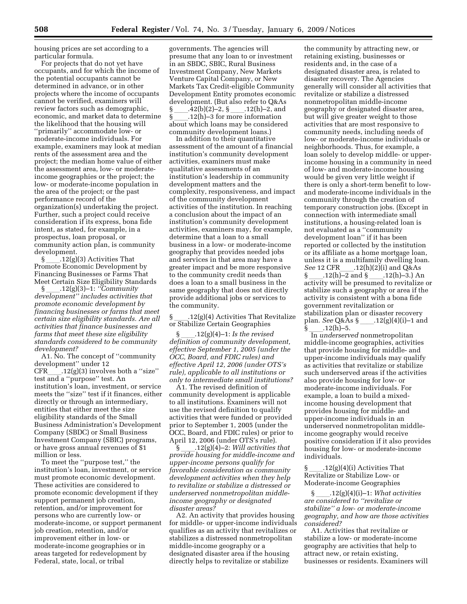housing prices are set according to a particular formula.

For projects that do not yet have occupants, and for which the income of the potential occupants cannot be determined in advance, or in other projects where the income of occupants cannot be verified, examiners will review factors such as demographic, economic, and market data to determine the likelihood that the housing will ''primarily'' accommodate low- or moderate-income individuals. For example, examiners may look at median rents of the assessment area and the project; the median home value of either the assessment area, low- or moderateincome geographies or the project; the low- or moderate-income population in the area of the project; or the past performance record of the organization(s) undertaking the project. Further, such a project could receive consideration if its express, bona fide intent, as stated, for example, in a prospectus, loan proposal, or community action plan, is community development.

 $\S$  .12(g)(3) Activities That Promote Economic Development by Financing Businesses or Farms That Meet Certain Size Eligibility Standards

§ll.12(g)(3)–1: *''Community development'' includes activities that promote economic development by financing businesses or farms that meet certain size eligibility standards. Are all activities that finance businesses and farms that meet these size eligibility standards considered to be community development?* 

A1. No. The concept of ''community development'' under 12  $CFR$ \_\_\_\_.12(g)(3) involves both a "size" test and a ''purpose'' test. An institution's loan, investment, or service meets the ''size'' test if it finances, either directly or through an intermediary, entities that either meet the size eligibility standards of the Small Business Administration's Development Company (SBDC) or Small Business Investment Company (SBIC) programs, or have gross annual revenues of \$1 million or less.

To meet the ''purpose test,'' the institution's loan, investment, or service must promote economic development. These activities are considered to promote economic development if they support permanent job creation, retention, and/or improvement for persons who are currently low- or moderate-income, or support permanent job creation, retention, and/or improvement either in low- or moderate-income geographies or in areas targeted for redevelopment by Federal, state, local, or tribal

governments. The agencies will presume that any loan to or investment in an SBDC, SBIC, Rural Business Investment Company, New Markets Venture Capital Company, or New Markets Tax Credit-eligible Community Development Entity promotes economic development. (But also refer to Q&As  $\S$  ...42(b)(2)–2,  $\S$  ...12(h)–2, and<br> $\S$  .12(h)–3 for more information § \_\_\_\_.12(h)–3 for more information<br>about which loans may be considered community development loans.)

In addition to their quantitative assessment of the amount of a financial institution's community development activities, examiners must make qualitative assessments of an institution's leadership in community development matters and the complexity, responsiveness, and impact of the community development activities of the institution. In reaching a conclusion about the impact of an institution's community development activities, examiners may, for example, determine that a loan to a small business in a low- or moderate-income geography that provides needed jobs and services in that area may have a greater impact and be more responsive to the community credit needs than does a loan to a small business in the same geography that does not directly provide additional jobs or services to the community.

§ll.12(g)(4) Activities That Revitalize or Stabilize Certain Geographies

§ll.12(g)(4)–1: *Is the revised definition of community development, effective September 1, 2005 (under the OCC, Board, and FDIC rules) and effective April 12, 2006 (under OTS's rule), applicable to all institutions or only to intermediate small institutions?* 

A1. The revised definition of community development is applicable to all institutions. Examiners will not use the revised definition to qualify activities that were funded or provided prior to September 1, 2005 (under the OCC, Board, and FDIC rules) or prior to April 12, 2006 (under OTS's rule).

§ll.12(g)(4)–2: *Will activities that provide housing for middle-income and upper-income persons qualify for favorable consideration as community development activities when they help to revitalize or stabilize a distressed or underserved nonmetropolitan middleincome geography or designated disaster areas?* 

A2. An activity that provides housing for middle- or upper-income individuals qualifies as an activity that revitalizes or stabilizes a distressed nonmetropolitan middle-income geography or a designated disaster area if the housing directly helps to revitalize or stabilize

the community by attracting new, or retaining existing, businesses or residents and, in the case of a designated disaster area, is related to disaster recovery. The Agencies generally will consider all activities that revitalize or stabilize a distressed nonmetropolitan middle-income geography or designated disaster area, but will give greater weight to those activities that are most responsive to community needs, including needs of low- or moderate-income individuals or neighborhoods. Thus, for example, a loan solely to develop middle- or upperincome housing in a community in need of low- and moderate-income housing would be given very little weight if there is only a short-term benefit to lowand moderate-income individuals in the community through the creation of temporary construction jobs. (Except in connection with intermediate small institutions, a housing-related loan is not evaluated as a ''community development loan'' if it has been reported or collected by the institution or its affiliate as a home mortgage loan, unless it is a multifamily dwelling loan. *See* 12 CFR\_\_\_\_\_.12(h)(2)(i) and Q&As<br>§ .12(h)-2 and § .12(h)-3.) An §\_\_\_\_.12(h)–2 and §\_\_\_\_.12(h)–3.) An<br>activity will be presumed to revitalize or stabilize such a geography or area if the activity is consistent with a bona fide government revitalization or stabilization plan or disaster recovery plan. *See* Q&As §<sub>\_\_\_\_</sub>\_.12(g)(4)(i)–1 and §\_\_\_\_.12(h)–5.

§ \_\_\_\_.12(h)–5.<br>Th *underserved* nonmetropolitan middle-income geographies, activities that provide housing for middle- and upper-income individuals may qualify as activities that revitalize or stabilize such underserved areas if the activities also provide housing for low- or moderate-income individuals. For example, a loan to build a mixedincome housing development that provides housing for middle- and upper-income individuals in an underserved nonmetropolitan middleincome geography would receive positive consideration if it also provides housing for low- or moderate-income individuals.

 $.12(g)(4)(i)$  Activities That Revitalize or Stabilize Low- or Moderate-income Geographies

§ll.12(g)(4)(i)–1: *What activities are considered to ''revitalize or stabilize'' a low- or moderate-income geography, and how are those activities considered?* 

A1. Activities that revitalize or stabilize a low- or moderate-income geography are activities that help to attract new, or retain existing, businesses or residents. Examiners will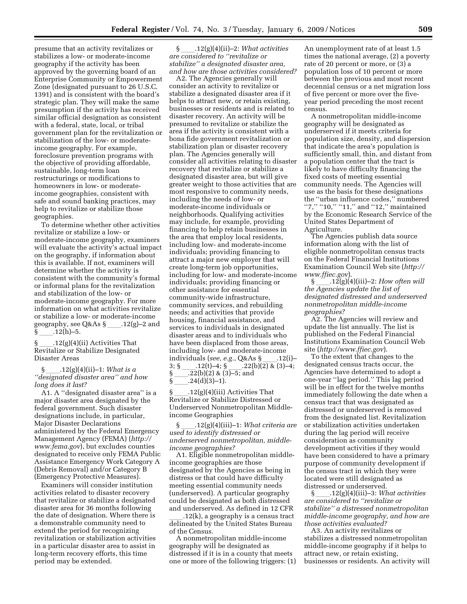presume that an activity revitalizes or stabilizes a low- or moderate-income geography if the activity has been approved by the governing board of an Enterprise Community or Empowerment Zone (designated pursuant to 26 U.S.C. 1391) and is consistent with the board's strategic plan. They will make the same presumption if the activity has received similar official designation as consistent with a federal, state, local, or tribal government plan for the revitalization or stabilization of the low- or moderateincome geography. For example, foreclosure prevention programs with the objective of providing affordable, sustainable, long-term loan restructurings or modifications to homeowners in low- or moderateincome geographies, consistent with safe and sound banking practices, may help to revitalize or stabilize those geographies.

To determine whether other activities revitalize or stabilize a low- or moderate-income geography, examiners will evaluate the activity's actual impact on the geography, if information about this is available. If not, examiners will determine whether the activity is consistent with the community's formal or informal plans for the revitalization and stabilization of the low- or moderate-income geography. For more information on what activities revitalize or stabilize a low- or moderate-income geography, see Q&As §ll.12(g)–2 and  $12(h)-5.$ 

§ll.12(g)(4)(ii) Activities That Revitalize or Stabilize Designated Disaster Areas

§ll.12(g)(4)(ii)–1: *What is a ''designated disaster area'' and how long does it last?* 

A1. A ''designated disaster area'' is a major disaster area designated by the federal government. Such disaster designations include, in particular, Major Disaster Declarations administered by the Federal Emergency Management Agency (FEMA) (*http:// www.fema.gov*), but excludes counties designated to receive only FEMA Public Assistance Emergency Work Category A (Debris Removal) and/or Category B (Emergency Protective Measures).

Examiners will consider institution activities related to disaster recovery that revitalize or stabilize a designated disaster area for 36 months following the date of designation. Where there is a demonstrable community need to extend the period for recognizing revitalization or stabilization activities in a particular disaster area to assist in long-term recovery efforts, this time period may be extended.

§ll.12(g)(4)(ii)–2: *What activities are considered to ''revitalize or stabilize'' a designated disaster area, and how are those activities considered?* 

A2. The Agencies generally will consider an activity to revitalize or stabilize a designated disaster area if it helps to attract new, or retain existing, businesses or residents and is related to disaster recovery. An activity will be presumed to revitalize or stabilize the area if the activity is consistent with a bona fide government revitalization or stabilization plan or disaster recovery plan. The Agencies generally will consider all activities relating to disaster recovery that revitalize or stabilize a designated disaster area, but will give greater weight to those activities that are most responsive to community needs, including the needs of low- or moderate-income individuals or neighborhoods. Qualifying activities may include, for example, providing financing to help retain businesses in the area that employ local residents, including low- and moderate-income individuals; providing financing to attract a major new employer that will create long-term job opportunities, including for low- and moderate-income individuals; providing financing or other assistance for essential community-wide infrastructure, community services, and rebuilding needs; and activities that provide housing, financial assistance, and services to individuals in designated disaster areas and to individuals who have been displaced from those areas, including low- and moderate-income individuals (*see, e.g.*, Q&As §\_\_\_\_.12(i)–<br>3; § .12(t)–4; § .22(b)(2) & (3)–4; 3; § ...12(t)–4; § ...22(b)(2) & (3)–4;<br>§ ..22(b)(2) & (3)–5; and  $\S$  \_\_\_\_\_.22(b)(2) & (3)–5; and  $\S$  \_\_\_\_.24(d)(3)–1).  $24(d)(3)-1$ .

 $.12(g)(4)(iii)$  Activities That Revitalize or Stabilize Distressed or Underserved Nonmetropolitan Middleincome Geographies

§ll.12(g)(4)(iii)–1: *What criteria are used to identify distressed or underserved nonmetropolitan, middleincome geographies?* 

A1. Eligible nonmetropolitan middleincome geographies are those designated by the Agencies as being in distress or that could have difficulty meeting essential community needs (underserved). A particular geography could be designated as both distressed and underserved. As defined in 12 CFR

 $12(k)$ , a geography is a census tract delineated by the United States Bureau of the Census.

A nonmetropolitan middle-income geography will be designated as distressed if it is in a county that meets one or more of the following triggers: (1) An unemployment rate of at least 1.5 times the national average, (2) a poverty rate of 20 percent or more, or (3) a population loss of 10 percent or more between the previous and most recent decennial census or a net migration loss of five percent or more over the fiveyear period preceding the most recent census.

A nonmetropolitan middle-income geography will be designated as underserved if it meets criteria for population size, density, and dispersion that indicate the area's population is sufficiently small, thin, and distant from a population center that the tract is likely to have difficulty financing the fixed costs of meeting essential community needs. The Agencies will use as the basis for these designations the ''urban influence codes,'' numbered "7," "10," "11," and "12," maintained by the Economic Research Service of the United States Department of Agriculture.

The Agencies publish data source information along with the list of eligible nonmetropolitan census tracts on the Federal Financial Institutions Examination Council Web site (*http:// www.ffiec.gov*).<br>12(g)(4.

 $\frac{12(g)(4)(iii)-2}{i}$  *How often will the Agencies update the list of designated distressed and underserved nonmetropolitan middle-income geographies?* 

A2. The Agencies will review and update the list annually. The list is published on the Federal Financial Institutions Examination Council Web site (*http://www.ffiec.gov*).

To the extent that changes to the designated census tracts occur, the Agencies have determined to adopt a one-year ''lag period.'' This lag period will be in effect for the twelve months immediately following the date when a census tract that was designated as distressed or underserved is removed from the designated list. Revitalization or stabilization activities undertaken during the lag period will receive consideration as community development activities if they would have been considered to have a primary purpose of community development if the census tract in which they were located were still designated as distressed or underserved.<br>\$12(g)(4)(iii)-3: W)

§ll.12(g)(4)(iii)–3: *What activities are considered to ''revitalize or stabilize'' a distressed nonmetropolitan middle-income geography, and how are those activities evaluated?* 

A3. An activity revitalizes or stabilizes a distressed nonmetropolitan middle-income geography if it helps to attract new, or retain existing, businesses or residents. An activity will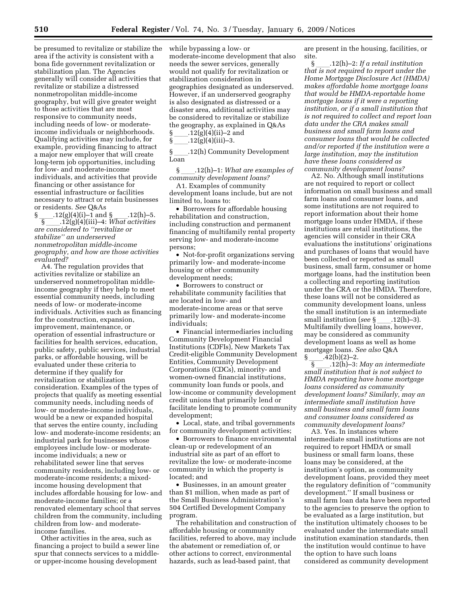be presumed to revitalize or stabilize the area if the activity is consistent with a bona fide government revitalization or stabilization plan. The Agencies generally will consider all activities that revitalize or stabilize a distressed nonmetropolitan middle-income geography, but will give greater weight to those activities that are most responsive to community needs, including needs of low- or moderateincome individuals or neighborhoods. Qualifying activities may include, for example, providing financing to attract a major new employer that will create long-term job opportunities, including for low- and moderate-income individuals, and activities that provide financing or other assistance for essential infrastructure or facilities necessary to attract or retain businesses or residents. *See* Q&As

 $\S$  \_\_\_\_.12(g)(4)(i)–1 and  $\S$  \_\_\_\_.12(h)–5.<br>5. 12(g)(4)(iii)–4: *What activities* §ll.12(g)(4)(iii)–4: *What activities are considered to ''revitalize or stabilize'' an underserved nonmetropolitan middle-income geography, and how are those activities evaluated?* 

A4. The regulation provides that activities revitalize or stabilize an underserved nonmetropolitan middleincome geography if they help to meet essential community needs, including needs of low- or moderate-income individuals. Activities such as financing for the construction, expansion, improvement, maintenance, or operation of essential infrastructure or facilities for health services, education, public safety, public services, industrial parks, or affordable housing, will be evaluated under these criteria to determine if they qualify for revitalization or stabilization consideration. Examples of the types of projects that qualify as meeting essential community needs, including needs of low- or moderate-income individuals, would be a new or expanded hospital that serves the entire county, including low- and moderate-income residents; an industrial park for businesses whose employees include low- or moderateincome individuals; a new or rehabilitated sewer line that serves community residents, including low- or moderate-income residents; a mixedincome housing development that includes affordable housing for low- and moderate-income families; or a renovated elementary school that serves children from the community, including children from low- and moderateincome families.

Other activities in the area, such as financing a project to build a sewer line spur that connects services to a middleor upper-income housing development

while bypassing a low- or moderate-income development that also needs the sewer services, generally would not qualify for revitalization or stabilization consideration in geographies designated as underserved. However, if an underserved geography is also designated as distressed or a disaster area, additional activities may be considered to revitalize or stabilize the geography, as explained in Q&As §ll.12(g)(4)(ii)–2 and

§\_\_\_\_\_.12(g)(4)(iii)–3.<br>§ .12(h) Commur §ll.12(h) Community Development Loan

§ll.12(h)–1: *What are examples of community development loans?* 

A1. Examples of community development loans include, but are not limited to, loans to:

• Borrowers for affordable housing rehabilitation and construction, including construction and permanent financing of multifamily rental property serving low- and moderate-income persons;

• Not-for-profit organizations serving primarily low- and moderate-income housing or other community development needs;

• Borrowers to construct or rehabilitate community facilities that are located in low- and moderate-income areas or that serve primarily low- and moderate-income individuals;

• Financial intermediaries including Community Development Financial Institutions (CDFIs), New Markets Tax Credit-eligible Community Development Entities, Community Development Corporations (CDCs), minority- and women-owned financial institutions, community loan funds or pools, and low-income or community development credit unions that primarily lend or facilitate lending to promote community development;

• Local, state, and tribal governments for community development activities;

• Borrowers to finance environmental clean-up or redevelopment of an industrial site as part of an effort to revitalize the low- or moderate-income community in which the property is located; and

• Businesses, in an amount greater than \$1 million, when made as part of the Small Business Administration's 504 Certified Development Company program.

The rehabilitation and construction of affordable housing or community facilities, referred to above, may include the abatement or remediation of, or other actions to correct, environmental hazards, such as lead-based paint, that

are present in the housing, facilities, or site.

§ll.12(h)–2: *If a retail institution that is not required to report under the Home Mortgage Disclosure Act (HMDA) makes affordable home mortgage loans that would be HMDA-reportable home mortgage loans if it were a reporting institution, or if a small institution that is not required to collect and report loan data under the CRA makes small business and small farm loans and consumer loans that would be collected and/or reported if the institution were a large institution, may the institution have these loans considered as community development loans?* 

A2. No. Although small institutions are not required to report or collect information on small business and small farm loans and consumer loans, and some institutions are not required to report information about their home mortgage loans under HMDA, if these institutions are retail institutions, the agencies will consider in their CRA evaluations the institutions' originations and purchases of loans that would have been collected or reported as small business, small farm, consumer or home mortgage loans, had the institution been a collecting and reporting institution under the CRA or the HMDA. Therefore, these loans will not be considered as community development loans, unless the small institution is an intermediate small institution (*see* § \_\_\_\_.12(h)–3).<br>Multifamily dwelling loans, however, may be considered as community development loans as well as home mortgage loans. *See also* Q&A<br>§ \_\_\_\_.42(b)(2)–2.<br>12<sup>0</sup>b)–3: May an inter  $-42(b)(2)-2.$ 

§ll.12(h)–3: *May an intermediate small institution that is not subject to HMDA reporting have home mortgage loans considered as community development loans? Similarly, may an intermediate small institution have small business and small farm loans and consumer loans considered as community development loans?* 

A3. Yes. In instances where intermediate small institutions are not required to report HMDA or small business or small farm loans, these loans may be considered, at the institution's option, as community development loans, provided they meet the regulatory definition of ''community development.'' If small business or small farm loan data have been reported to the agencies to preserve the option to be evaluated as a large institution, but the institution ultimately chooses to be evaluated under the intermediate small institution examination standards, then the institution would continue to have the option to have such loans considered as community development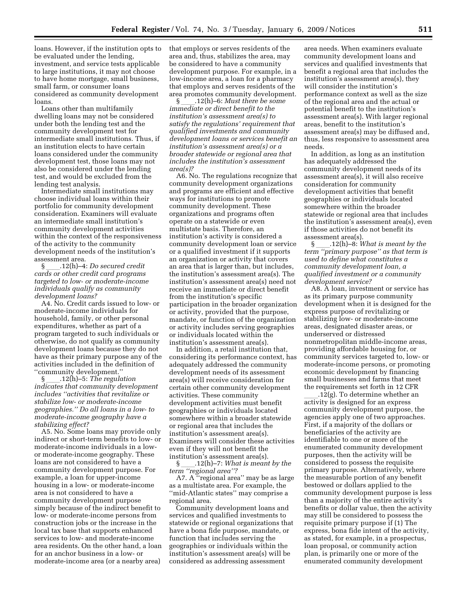loans. However, if the institution opts to be evaluated under the lending, investment, and service tests applicable to large institutions, it may not choose to have home mortgage, small business, small farm, or consumer loans considered as community development loans.

Loans other than multifamily dwelling loans may not be considered under both the lending test and the community development test for intermediate small institutions. Thus, if an institution elects to have certain loans considered under the community development test, those loans may not also be considered under the lending test, and would be excluded from the lending test analysis.

Intermediate small institutions may choose individual loans within their portfolio for community development consideration. Examiners will evaluate an intermediate small institution's community development activities within the context of the responsiveness of the activity to the community development needs of the institution's assessment area.

§**\_\_\_\_\_.12(h)-4:** *Do secured credit cards or other credit card programs targeted to low- or moderate-income individuals qualify as community development loans?* 

A4. No. Credit cards issued to low- or moderate-income individuals for household, family, or other personal expenditures, whether as part of a program targeted to such individuals or otherwise, do not qualify as community development loans because they do not have as their primary purpose any of the activities included in the definition of

"community development."<br>\$12(h)-5: The regula §ll.12(h)–5: *The regulation indicates that community development includes ''activities that revitalize or stabilize low- or moderate-income geographies.'' Do all loans in a low- to moderate-income geography have a stabilizing effect?* 

A5. No. Some loans may provide only indirect or short-term benefits to low- or moderate-income individuals in a lowor moderate-income geography. These loans are not considered to have a community development purpose. For example, a loan for upper-income housing in a low- or moderate-income area is not considered to have a community development purpose simply because of the indirect benefit to low- or moderate-income persons from construction jobs or the increase in the local tax base that supports enhanced services to low- and moderate-income area residents. On the other hand, a loan for an anchor business in a low- or moderate-income area (or a nearby area)

that employs or serves residents of the area and, thus, stabilizes the area, may be considered to have a community development purpose. For example, in a low-income area, a loan for a pharmacy that employs and serves residents of the area promotes community development.

§ll.12(h)–6: *Must there be some immediate or direct benefit to the institution's assessment area(s) to satisfy the regulations' requirement that qualified investments and community development loans or services benefit an institution's assessment area(s) or a broader statewide or regional area that includes the institution's assessment area(s)?* 

A6. No. The regulations recognize that community development organizations and programs are efficient and effective ways for institutions to promote community development. These organizations and programs often operate on a statewide or even multistate basis. Therefore, an institution's activity is considered a community development loan or service or a qualified investment if it supports an organization or activity that covers an area that is larger than, but includes, the institution's assessment area(s). The institution's assessment area(s) need not receive an immediate or direct benefit from the institution's specific participation in the broader organization or activity, provided that the purpose, mandate, or function of the organization or activity includes serving geographies or individuals located within the institution's assessment area(s).

In addition, a retail institution that, considering its performance context, has adequately addressed the community development needs of its assessment area(s) will receive consideration for certain other community development activities. These community development activities must benefit geographies or individuals located somewhere within a broader statewide or regional area that includes the institution's assessment area(s). Examiners will consider these activities even if they will not benefit the institution's assessment area(s).

§ll.12(h)–7: *What is meant by the term ''regional area''?* 

A7. A ''regional area'' may be as large as a multistate area. For example, the ''mid-Atlantic states'' may comprise a regional area.

Community development loans and services and qualified investments to statewide or regional organizations that have a bona fide purpose, mandate, or function that includes serving the geographies or individuals within the institution's assessment area(s) will be considered as addressing assessment

area needs. When examiners evaluate community development loans and services and qualified investments that benefit a regional area that includes the institution's assessment area(s), they will consider the institution's performance context as well as the size of the regional area and the actual or potential benefit to the institution's assessment area(s). With larger regional areas, benefit to the institution's assessment area(s) may be diffused and, thus, less responsive to assessment area needs.

In addition, as long as an institution has adequately addressed the community development needs of its assessment area(s), it will also receive consideration for community development activities that benefit geographies or individuals located somewhere within the broader statewide or regional area that includes the institution's assessment area(s), even if those activities do not benefit its assessment area(s).

§ll.12(h)–8: *What is meant by the term ''primary purpose'' as that term is used to define what constitutes a community development loan, a qualified investment or a community development service?* 

A8. A loan, investment or service has as its primary purpose community development when it is designed for the express purpose of revitalizing or stabilizing low- or moderate-income areas, designated disaster areas, or underserved or distressed nonmetropolitan middle-income areas, providing affordable housing for, or community services targeted to, low- or moderate-income persons, or promoting economic development by financing small businesses and farms that meet the requirements set forth in 12 CFR

 $\cdot$ .12(g). To determine whether an activity is designed for an express community development purpose, the agencies apply one of two approaches. First, if a majority of the dollars or beneficiaries of the activity are identifiable to one or more of the enumerated community development purposes, then the activity will be considered to possess the requisite primary purpose. Alternatively, where the measurable portion of any benefit bestowed or dollars applied to the community development purpose is less than a majority of the entire activity's benefits or dollar value, then the activity may still be considered to possess the requisite primary purpose if (1) The express, bona fide intent of the activity, as stated, for example, in a prospectus, loan proposal, or community action plan, is primarily one or more of the enumerated community development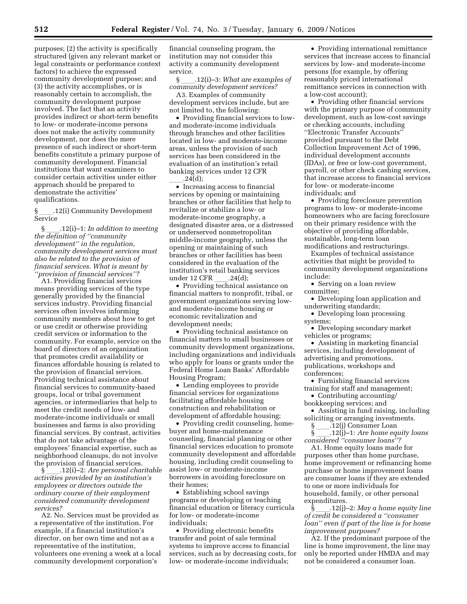purposes; (2) the activity is specifically structured (given any relevant market or legal constraints or performance context factors) to achieve the expressed community development purpose; and (3) the activity accomplishes, or is reasonably certain to accomplish, the community development purpose involved. The fact that an activity provides indirect or short-term benefits to low- or moderate-income persons does not make the activity community development, nor does the mere presence of such indirect or short-term benefits constitute a primary purpose of community development. Financial institutions that want examiners to consider certain activities under either approach should be prepared to demonstrate the activities' qualifications.

§ll.12(i) Community Development Service

§ll.12(i)–1: *In addition to meeting the definition of ''community development'' in the regulation, community development services must also be related to the provision of financial services. What is meant by ''provision of financial services''?* 

A1. Providing financial services means providing services of the type generally provided by the financial services industry. Providing financial services often involves informing community members about how to get or use credit or otherwise providing credit services or information to the community. For example, service on the board of directors of an organization that promotes credit availability or finances affordable housing is related to the provision of financial services. Providing technical assistance about financial services to community-based groups, local or tribal government agencies, or intermediaries that help to meet the credit needs of low- and moderate-income individuals or small businesses and farms is also providing financial services. By contrast, activities that do not take advantage of the employees' financial expertise, such as neighborhood cleanups, do not involve

the provision of financial services.<br>§ .12(i)-2: Are personal chai §ll.12(i)–2: *Are personal charitable activities provided by an institution's employees or directors outside the ordinary course of their employment considered community development services?* 

A2. No. Services must be provided as a representative of the institution. For example, if a financial institution's director, on her own time and not as a representative of the institution, volunteers one evening a week at a local community development corporation's

financial counseling program, the institution may not consider this activity a community development service.

§ll.12(i)–3: *What are examples of community development services?* 

A3. Examples of community development services include, but are not limited to, the following:

• Providing financial services to lowand moderate-income individuals through branches and other facilities located in low- and moderate-income areas, unless the provision of such services has been considered in the evaluation of an institution's retail banking services under 12 CFR

 $\frac{1}{\sqrt{24(d)}}$  Increasing access to financial services by opening or maintaining branches or other facilities that help to revitalize or stabilize a low- or moderate-income geography, a designated disaster area, or a distressed or underserved nonmetropolitan middle-income geography, unless the opening or maintaining of such branches or other facilities has been considered in the evaluation of the institution's retail banking services<br>under 12 CFR .24(d):

under 12 CFR \_\_\_\_.24(d);<br>• Providing technical assistance on financial matters to nonprofit, tribal, or government organizations serving lowand moderate-income housing or economic revitalization and development needs;

• Providing technical assistance on financial matters to small businesses or community development organizations, including organizations and individuals who apply for loans or grants under the Federal Home Loan Banks' Affordable Housing Program;

• Lending employees to provide financial services for organizations facilitating affordable housing construction and rehabilitation or development of affordable housing;

• Providing credit counseling, homebuyer and home-maintenance counseling, financial planning or other financial services education to promote community development and affordable housing, including credit counseling to assist low- or moderate-income borrowers in avoiding foreclosure on their homes;

• Establishing school savings programs or developing or teaching financial education or literacy curricula for low- or moderate-income individuals;

• Providing electronic benefits transfer and point of sale terminal systems to improve access to financial services, such as by decreasing costs, for low- or moderate-income individuals;

• Providing international remittance services that increase access to financial services by low- and moderate-income persons (for example, by offering reasonably priced international remittance services in connection with a low-cost account);

• Providing other financial services with the primary purpose of community development, such as low-cost savings or checking accounts, including ''Electronic Transfer Accounts'' provided pursuant to the Debt Collection Improvement Act of 1996, individual development accounts (IDAs), or free or low-cost government, payroll, or other check cashing services, that increase access to financial services for low- or moderate-income individuals; and

• Providing foreclosure prevention programs to low- or moderate-income homeowners who are facing foreclosure on their primary residence with the objective of providing affordable, sustainable, long-term loan modifications and restructurings.

Examples of technical assistance activities that might be provided to community development organizations include:

• Serving on a loan review committee;

• Developing loan application and underwriting standards;

• Developing loan processing systems;

• Developing secondary market vehicles or programs;

• Assisting in marketing financial services, including development of advertising and promotions, publications, workshops and conferences;

• Furnishing financial services training for staff and management;

• Contributing accounting/ bookkeeping services; and

• Assisting in fund raising, including soliciting or arranging investments.

 $\S$  \_\_\_\_\_.  $\frac{12(j)}{2}$  Consumer Loan<br>s  $\frac{12(j)}{-1}$ : Are home equ

§ll.12(j)–1: *Are home equity loans considered ''consumer loans''?* 

A1. Home equity loans made for purposes other than home purchase, home improvement or refinancing home purchase or home improvement loans are consumer loans if they are extended to one or more individuals for household, family, or other personal expenditures.

§ll.12(j)–2: *May a home equity line of credit be considered a ''consumer loan'' even if part of the line is for home improvement purposes?* 

A2. If the predominant purpose of the line is home improvement, the line may only be reported under HMDA and may not be considered a consumer loan.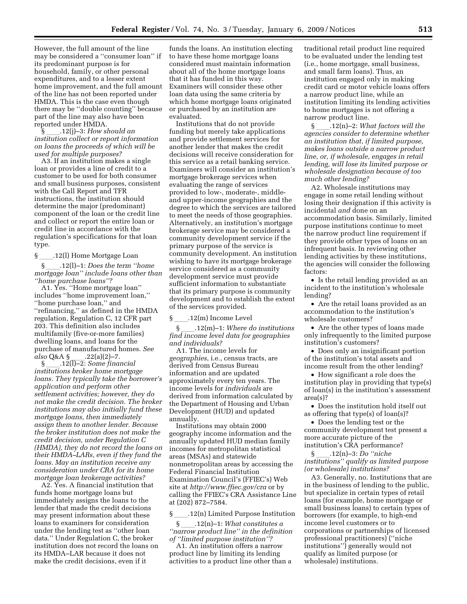However, the full amount of the line may be considered a ''consumer loan'' if its predominant purpose is for household, family, or other personal expenditures, and to a lesser extent home improvement, and the full amount of the line has not been reported under HMDA. This is the case even though there may be ''double counting'' because part of the line may also have been reported under HMDA.

§ll.12(j)–3: *How should an institution collect or report information on loans the proceeds of which will be used for multiple purposes?* 

A3. If an institution makes a single loan or provides a line of credit to a customer to be used for both consumer and small business purposes, consistent with the Call Report and TFR instructions, the institution should determine the major (predominant) component of the loan or the credit line and collect or report the entire loan or credit line in accordance with the regulation's specifications for that loan type.

 $\S$  \_\_\_\_\_.12(l) Home Mortgage Loan<br>S  $\S$  .12(l)–1: *Does the term* "l

§ll.12(l)–1: *Does the term ''home mortgage loan'' include loans other than ''home purchase loans''?* 

A1. Yes. ''Home mortgage loan'' includes ''home improvement loan,'' ''home purchase loan,'' and ''refinancing,'' as defined in the HMDA regulation, Regulation C, 12 CFR part 203. This definition also includes multifamily (five-or-more families) dwelling loans, and loans for the purchase of manufactured homes. *See also* Q&A § \_\_\_.22(a)(2)–7.<br>§ .12(1)–2: *Some finar* 

§<sub>\_\_\_\_\_</sub>.12(l)–2: *Some financial*<br>stitutions broker home mortgas *institutions broker home mortgage loans. They typically take the borrower's application and perform other settlement activities; however, they do not make the credit decision. The broker institutions may also initially fund these mortgage loans, then immediately assign them to another lender. Because the broker institution does not make the credit decision, under Regulation C (HMDA), they do not record the loans on their HMDA–LARs, even if they fund the loans. May an institution receive any consideration under CRA for its home mortgage loan brokerage activities?* 

A2. Yes. A financial institution that funds home mortgage loans but immediately assigns the loans to the lender that made the credit decisions may present information about these loans to examiners for consideration under the lending test as ''other loan data.'' Under Regulation C, the broker institution does not record the loans on its HMDA–LAR because it does not make the credit decisions, even if it

funds the loans. An institution electing to have these home mortgage loans considered must maintain information about all of the home mortgage loans that it has funded in this way. Examiners will consider these other loan data using the same criteria by which home mortgage loans originated or purchased by an institution are evaluated.

Institutions that do not provide funding but merely take applications and provide settlement services for another lender that makes the credit decisions will receive consideration for this service as a retail banking service. Examiners will consider an institution's mortgage brokerage services when evaluating the range of services provided to low-, moderate-, middleand upper-income geographies and the degree to which the services are tailored to meet the needs of those geographies. Alternatively, an institution's mortgage brokerage service may be considered a community development service if the primary purpose of the service is community development. An institution wishing to have its mortgage brokerage service considered as a community development service must provide sufficient information to substantiate that its primary purpose is community development and to establish the extent of the services provided.

 $\frac{\S}{\S}$  .12(m) Income Level<br>S .12(m)-1: Where d

§ll.12(m)–1: *Where do institutions find income level data for geographies and individuals?* 

A1. The income levels for *geographies*, i.e., census tracts, are derived from Census Bureau information and are updated approximately every ten years. The income levels for *individuals* are derived from information calculated by the Department of Housing and Urban Development (HUD) and updated annually.

Institutions may obtain 2000 geography income information and the annually updated HUD median family incomes for metropolitan statistical areas (MSAs) and statewide nonmetropolitan areas by accessing the Federal Financial Institution Examination Council's (FFIEC's) Web site at *http://www.ffiec.gov/cra* or by calling the FFIEC's CRA Assistance Line at (202) 872–7584.

§\_\_\_\_.12(n) Limited Purpose Institution  $\S$ \_\_\_\_.12(n)-1: What constitutes a

§ll.12(n)–1: *What constitutes a ''narrow product line'' in the definition of ''limited purpose institution''?* 

A1. An institution offers a narrow product line by limiting its lending activities to a product line other than a

traditional retail product line required to be evaluated under the lending test (i.e., home mortgage, small business, and small farm loans). Thus, an institution engaged only in making credit card or motor vehicle loans offers a narrow product line, while an institution limiting its lending activities to home mortgages is not offering a narrow product line.

§ll.12(n)–2: *What factors will the agencies consider to determine whether an institution that, if limited purpose, makes loans outside a narrow product line, or, if wholesale, engages in retail lending, will lose its limited purpose or wholesale designation because of too much other lending?* 

A2. Wholesale institutions may engage in some retail lending without losing their designation if this activity is incidental *and* done on an accommodation basis. Similarly, limited purpose institutions continue to meet the narrow product line requirement if they provide other types of loans on an infrequent basis. In reviewing other lending activities by these institutions, the agencies will consider the following factors:

• Is the retail lending provided as an incident to the institution's wholesale lending?

• Are the retail loans provided as an accommodation to the institution's wholesale customers?

• Are the other types of loans made only infrequently to the limited purpose institution's customers?

• Does only an insignificant portion of the institution's total assets and income result from the other lending?

• How significant a role does the institution play in providing that type(s) of loan(s) in the institution's assessment area(s)?

• Does the institution hold itself out as offering that type(s) of loan(s)?

• Does the lending test or the community development test present a more accurate picture of the institution's CRA performance?<br> $\S$  .12(n)-3: *Do "niche* 

§ ll.12(n)–3: *Do ''niche institutions'' qualify as limited purpose (or wholesale) institutions?* 

A3. Generally, no. Institutions that are in the business of lending to the public, but specialize in certain types of retail loans (for example, home mortgage or small business loans) to certain types of borrowers (for example, to high-end income level customers or to corporations or partnerships of licensed professional practitioners) (''niche institutions'') generally would not qualify as limited purpose (or wholesale) institutions.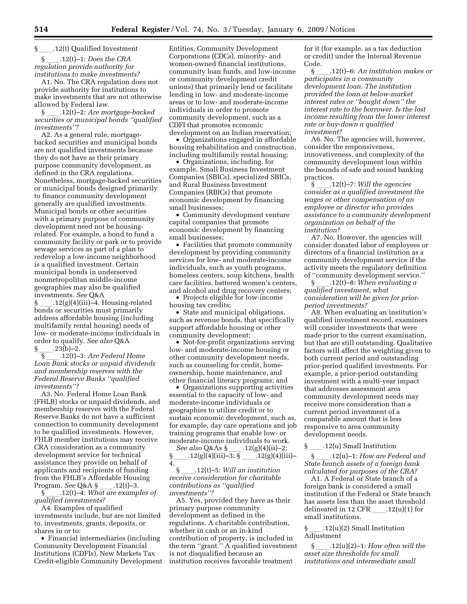#### § .12(t) Qualified Investment

§ll.12(t)–1: *Does the CRA regulation provide authority for institutions to make investments?* 

A1. No. The CRA regulation does not provide authority for institutions to make investments that are not otherwise allowed by Federal law.<br>§  $.12(t)-2$ : Are mortgage-backed

§ll.12(t)–2: *Are mortgage-backed securities or municipal bonds ''qualified investments''?* 

A2. As a general rule, mortgagebacked securities and municipal bonds are not qualified investments because they do not have as their primary purpose community development, as defined in the CRA regulations. Nonetheless, mortgage-backed securities or municipal bonds designed primarily to finance community development generally are qualified investments. Municipal bonds or other securities with a primary purpose of community development need not be housingrelated. For example, a bond to fund a community facility or park or to provide sewage services as part of a plan to redevelop a low-income neighborhood is a qualified investment. Certain municipal bonds in underserved nonmetropolitan middle-income geographies may also be qualified investments. *See* Q&A

 $\S$  .12(g)(4)(iii)–4. Housing-related bonds or securities must primarily address affordable housing (including multifamily rental housing) needs of low- or moderate-income individuals in order to qualify. *See also* Q&A  $\frac{1}{2}$ .23(b)–2.

§ll.12(t)–3: *Are Federal Home Loan Bank stocks or unpaid dividends and membership reserves with the Federal Reserve Banks ''qualified investments''?* 

A3. No. Federal Home Loan Bank (FHLB) stocks or unpaid dividends, and membership reserves with the Federal Reserve Banks do not have a sufficient connection to community development to be qualified investments. However, FHLB member institutions may receive CRA consideration as a community development service for technical assistance they provide on behalf of applicants and recipients of funding from the FHLB's Affordable Housing<br>Program. See Q&A § .12(i)-3. Program. *See* Q&A §<sub>\_\_\_\_</sub>.12(i)–3.<br>§ 12(t)–4· What are exampl

§ll.12(t)–4: *What are examples of qualified investments?* 

A4. Examples of qualified investments include, but are not limited to, investments, grants, deposits, or shares in or to:

• Financial intermediaries (including Community Development Financial Institutions (CDFIs), New Markets Tax Credit-eligible Community Development

Entities, Community Development Corporations (CDCs), minority- and women-owned financial institutions, community loan funds, and low-income or community development credit unions) that primarily lend or facilitate lending in low- and moderate-income areas or to low- and moderate-income individuals in order to promote community development, such as a CDFI that promotes economic development on an Indian reservation;

• Organizations engaged in affordable housing rehabilitation and construction, including multifamily rental housing;

• Organizations, including, for example, Small Business Investment Companies (SBICs), specialized SBICs, and Rural Business Investment Companies (RBICs) that promote economic development by financing small businesses;

• Community development venture capital companies that promote economic development by financing small businesses;

• Facilities that promote community development by providing community services for low- and moderate-income individuals, such as youth programs, homeless centers, soup kitchens, health care facilities, battered women's centers, and alcohol and drug recovery centers;

• Projects eligible for low-income housing tax credits;

• State and municipal obligations, such as revenue bonds, that specifically support affordable housing or other community development;

• Not-for-profit organizations serving low- and moderate-income housing or other community development needs, such as counseling for credit, homeownership, home maintenance, and other financial literacy programs; and

• Organizations supporting activities essential to the capacity of low- and moderate-income individuals or geographies to utilize credit or to sustain economic development, such as, for example, day care operations and job training programs that enable low- or moderate-income individuals to work.

*See also* Q&As §\_\_\_\_\_.12(g)(4)(ii)–2;  $\frac{12(g)(4)(iii)-3; \S_{\text{max}}.12(g)(4)(iii)-8;}{12(g)(4)(iii)}$ 4.

§ll.12(t)–5: *Will an institution receive consideration for charitable contributions as ''qualified investments''?* 

A5. Yes, provided they have as their primary purpose community development as defined in the regulations. A charitable contribution, whether in cash or an in-kind contribution of property, is included in the term ''grant.'' A qualified investment is not disqualified because an institution receives favorable treatment

for it (for example, as a tax deduction or credit) under the Internal Revenue Code.<br>S

§ll.12(t)–6: *An institution makes or participates in a community development loan. The institution provided the loan at below-market interest rates or ''bought down'' the interest rate to the borrower. Is the lost income resulting from the lower interest rate or buy-down a qualified investment?* 

A6. No. The agencies will, however, consider the responsiveness, innovativeness, and complexity of the community development loan within the bounds of safe and sound banking practices.

§ll.12(t)–7: *Will the agencies consider as a qualified investment the wages or other compensation of an employee or director who provides assistance to a community development organization on behalf of the institution?* 

A7. No. However, the agencies will consider donated labor of employees or directors of a financial institution as a community development service if the activity meets the regulatory definition of ''community development service.''

§ll.12(t)–8: *When evaluating a qualified investment, what consideration will be given for priorperiod investments?* 

A8. When evaluating an institution's qualified investment record, examiners will consider investments that were made prior to the current examination, but that are still outstanding. Qualitative factors will affect the weighting given to both current period and outstanding prior-period qualified investments. For example, a prior-period outstanding investment with a multi-year impact that addresses assessment area community development needs may receive more consideration than a current period investment of a comparable amount that is less responsive to area community development needs.

 $\S$  \_\_\_\_\_.12(u) Small Institution<br>S  $\,$   $\,$  .12(u)–1: *How are Fee* 

§ll.12(u)–1: *How are Federal and State branch assets of a foreign bank calculated for purposes of the CRA?* 

A1. A Federal or State branch of a foreign bank is considered a small institution if the Federal or State branch has assets less than the asset threshold delineated in 12 CFR  $.12(u)(1)$  for small institutions.

 $\S$  .12(u)(2) Small Institution Adjustment

§ll.12(u)(2)–1: *How often will the asset size thresholds for small institutions and intermediate small*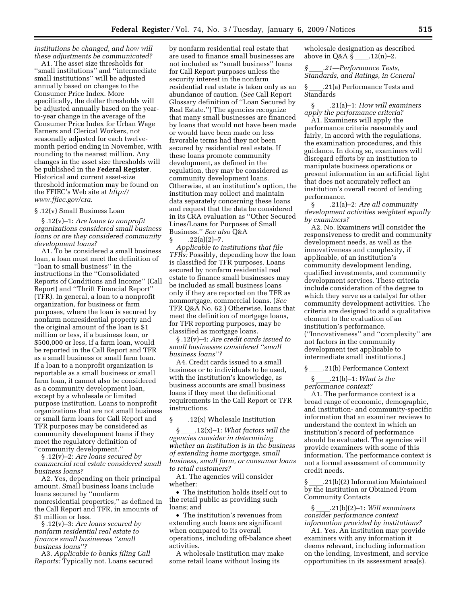*institutions be changed, and how will these adjustments be communicated?* 

A1. The asset size thresholds for ''small institutions'' and ''intermediate small institutions'' will be adjusted annually based on changes to the Consumer Price Index. More specifically, the dollar thresholds will be adjusted annually based on the yearto-year change in the average of the Consumer Price Index for Urban Wage Earners and Clerical Workers, not seasonally adjusted for each twelvemonth period ending in November, with rounding to the nearest million. Any changes in the asset size thresholds will be published in the **Federal Register**. Historical and current asset-size threshold information may be found on the FFIEC's Web site at *http:// www.ffiec.gov/cra.* 

#### § .12(v) Small Business Loan

§ .12(v)–1: *Are loans to nonprofit organizations considered small business loans or are they considered community development loans?* 

A1. To be considered a small business loan, a loan must meet the definition of ''loan to small business'' in the instructions in the ''Consolidated Reports of Conditions and Income'' (Call Report) and ''Thrift Financial Report'' (TFR). In general, a loan to a nonprofit organization, for business or farm purposes, where the loan is secured by nonfarm nonresidential property and the original amount of the loan is \$1 million or less, if a business loan, or \$500,000 or less, if a farm loan, would be reported in the Call Report and TFR as a small business or small farm loan. If a loan to a nonprofit organization is reportable as a small business or small farm loan, it cannot also be considered as a community development loan, except by a wholesale or limited purpose institution. Loans to nonprofit organizations that are not small business or small farm loans for Call Report and TFR purposes may be considered as community development loans if they meet the regulatory definition of ''community development.''

§ .12(v)–2: *Are loans secured by commercial real estate considered small business loans?* 

A2. Yes, depending on their principal amount. Small business loans include loans secured by ''nonfarm nonresidential properties,'' as defined in the Call Report and TFR, in amounts of \$1 million or less.

§ .12(v)–3: *Are loans secured by nonfarm residential real estate to finance small businesses ''small business loans''?* 

A3. *Applicable to banks filing Call Reports:* Typically not. Loans secured

by nonfarm residential real estate that are used to finance small businesses are not included as ''small business'' loans for Call Report purposes unless the security interest in the nonfarm residential real estate is taken only as an abundance of caution. (*See* Call Report Glossary definition of ''Loan Secured by Real Estate.'') The agencies recognize that many small businesses are financed by loans that would not have been made or would have been made on less favorable terms had they not been secured by residential real estate. If these loans promote community development, as defined in the regulation, they may be considered as community development loans. Otherwise, at an institution's option, the institution may collect and maintain data separately concerning these loans and request that the data be considered in its CRA evaluation as ''Other Secured Lines/Loans for Purposes of Small Business.'' *See also* Q&A

§ll.22(a)(2)–7. *Applicable to institutions that file TFRs:* Possibly, depending how the loan is classified for TFR purposes. Loans secured by nonfarm residential real estate to finance small businesses may be included as small business loans only if they are reported on the TFR as nonmortgage, commercial loans. (*See*  TFR Q&A No. 62.) Otherwise, loans that meet the definition of mortgage loans, for TFR reporting purposes, may be classified as mortgage loans.

§ .12(v)–4: *Are credit cards issued to small businesses considered ''small business loans''?* 

A4. Credit cards issued to a small business or to individuals to be used, with the institution's knowledge, as business accounts are small business loans if they meet the definitional requirements in the Call Report or TFR instructions.

### \_\_\_\_.12(x) Wholesale Institution<br>§  $3.12(x)-1$ : What factors wil

§ll.12(x)–1: *What factors will the agencies consider in determining whether an institution is in the business of extending home mortgage, small business, small farm, or consumer loans to retail customers?* 

A1. The agencies will consider whether:

• The institution holds itself out to the retail public as providing such loans; and

• The institution's revenues from extending such loans are significant when compared to its overall operations, including off-balance sheet activities.

A wholesale institution may make some retail loans without losing its

wholesale designation as described above in Q&A §<sub>ll</sub>.12(n)–2.<br>§  $.21$ —Performance Tests,

*§*ll*.21—Performance Tests, Standards, and Ratings, in General* 

§ll.21(a) Performance Tests and Standards

§ll.21(a)–1: *How will examiners apply the performance criteria?* 

A1. Examiners will apply the performance criteria reasonably and fairly, in accord with the regulations, the examination procedures, and this guidance. In doing so, examiners will disregard efforts by an institution to manipulate business operations or present information in an artificial light that does not accurately reflect an institution's overall record of lending performance.

§ll.21(a)–2: *Are all community development activities weighted equally by examiners?* 

A2. No. Examiners will consider the responsiveness to credit and community development needs, as well as the innovativeness and complexity, if applicable, of an institution's community development lending, qualified investments, and community development services. These criteria include consideration of the degree to which they serve as a catalyst for other community development activities. The criteria are designed to add a qualitative element to the evaluation of an institution's performance. (''Innovativeness'' and ''complexity'' are not factors in the community development test applicable to intermediate small institutions.)

 $\S$  ....21(b) Performance Context<br> $\S$  ...21(b)–1: What is the §ll.21(b)–1: *What is the performance context?* 

A1. The performance context is a broad range of economic, demographic, and institution- and community-specific information that an examiner reviews to understand the context in which an institution's record of performance should be evaluated. The agencies will provide examiners with some of this information. The performance context is not a formal assessment of community credit needs.

§ll.21(b)(2) Information Maintained by the Institution or Obtained From Community Contacts

§ll.21(b)(2)–1: *Will examiners consider performance context information provided by institutions?* 

A1. Yes. An institution may provide examiners with any information it deems relevant, including information on the lending, investment, and service opportunities in its assessment area(s).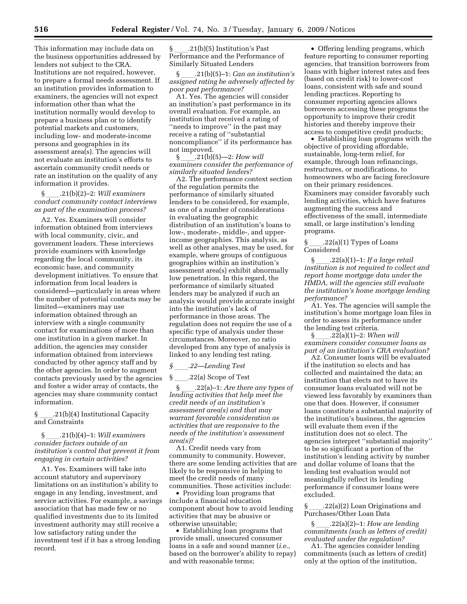This information may include data on the business opportunities addressed by lenders not subject to the CRA. Institutions are not required, however, to prepare a formal needs assessment. If an institution provides information to examiners, the agencies will not expect information other than what the institution normally would develop to prepare a business plan or to identify potential markets and customers, including low- and moderate-income persons and geographies in its assessment area(s). The agencies will not evaluate an institution's efforts to ascertain community credit needs or rate an institution on the quality of any information it provides.

§ll.21(b)(2)–2: *Will examiners conduct community contact interviews as part of the examination process?* 

A2. Yes. Examiners will consider information obtained from interviews with local community, civic, and government leaders. These interviews provide examiners with knowledge regarding the local community, its economic base, and community development initiatives. To ensure that information from local leaders is considered—particularly in areas where the number of potential contacts may be limited—examiners may use information obtained through an interview with a single community contact for examinations of more than one institution in a given market. In addition, the agencies may consider information obtained from interviews conducted by other agency staff and by the other agencies. In order to augment contacts previously used by the agencies and foster a wider array of contacts, the agencies may share community contact information.

§ .21(b)(4) Institutional Capacity and Constraints

#### §ll.21(b)(4)–1: *Will examiners consider factors outside of an institution's control that prevent it from engaging in certain activities?*

A1. Yes. Examiners will take into account statutory and supervisory limitations on an institution's ability to engage in any lending, investment, and service activities. For example, a savings association that has made few or no qualified investments due to its limited investment authority may still receive a low satisfactory rating under the investment test if it has a strong lending record.

§ \_\_\_\_.21(b)(5) Institution's Past<br>Performance and the Performance of Similarly Situated Lenders

§ll.21(b)(5)–1: *Can an institution's assigned rating be adversely affected by poor past performance?* 

A1. Yes. The agencies will consider an institution's past performance in its overall evaluation. For example, an institution that received a rating of "needs to improve" in the past may receive a rating of ''substantial noncompliance'' if its performance has not improved.<br>§ .21(b)(5)—2: *How will* 

§ll.21(b)(5)—2: *How will examiners consider the performance of similarly situated lenders?* 

A2. The performance context section of the regulation permits the performance of similarly situated lenders to be considered, for example, as one of a number of considerations in evaluating the geographic distribution of an institution's loans to low-, moderate-, middle-, and upperincome geographies. This analysis, as well as other analyses, may be used, for example, where groups of contiguous geographies within an institution's assessment area(s) exhibit abnormally low penetration. In this regard, the performance of similarly situated lenders may be analyzed if such an analysis would provide accurate insight into the institution's lack of performance in those areas. The regulation does not require the use of a specific type of analysis under these circumstances. Moreover, no ratio developed from any type of analysis is linked to any lending test rating.

#### *§*ll*.22—Lending Test*

 $\S$  22(a) Scope of Test<br> $\S$  22(a)-1: Are then

§ll.22(a)–1: *Are there any types of lending activities that help meet the credit needs of an institution's assessment area(s) and that may warrant favorable consideration as activities that are responsive to the needs of the institution's assessment area(s)?* 

A1. Credit needs vary from community to community. However, there are some lending activities that are likely to be responsive in helping to meet the credit needs of many communities. These activities include:

• Providing loan programs that include a financial education component about how to avoid lending activities that may be abusive or otherwise unsuitable;

• Establishing loan programs that provide small, unsecured consumer loans in a safe and sound manner (*i.e.*, based on the borrower's ability to repay) and with reasonable terms;

• Offering lending programs, which feature reporting to consumer reporting agencies, that transition borrowers from loans with higher interest rates and fees (based on credit risk) to lower-cost loans, consistent with safe and sound lending practices. Reporting to consumer reporting agencies allows borrowers accessing these programs the opportunity to improve their credit histories and thereby improve their access to competitive credit products;

• Establishing loan programs with the objective of providing affordable, sustainable, long-term relief, for example, through loan refinancings, restructures, or modifications, to homeowners who are facing foreclosure on their primary residences. Examiners may consider favorably such lending activities, which have features augmenting the success and effectiveness of the small, intermediate small, or large institution's lending programs.

§ll.22(a)(1) Types of Loans Considered

§ll.22(a)(1)–1: *If a large retail institution is not required to collect and report home mortgage data under the HMDA, will the agencies still evaluate the institution's home mortgage lending performance?* 

A1. Yes. The agencies will sample the institution's home mortgage loan files in order to assess its performance under the lending test criteria.

§ll.22(a)(1)–2: *When will examiners consider consumer loans as part of an institution's CRA evaluation?* 

A2. Consumer loans will be evaluated if the institution so elects and has collected and maintained the data; an institution that elects not to have its consumer loans evaluated will not be viewed less favorably by examiners than one that does. However, if consumer loans constitute a substantial majority of the institution's business, the agencies will evaluate them even if the institution does not so elect. The agencies interpret ''substantial majority'' to be so significant a portion of the institution's lending activity by number and dollar volume of loans that the lending test evaluation would not meaningfully reflect its lending performance if consumer loans were excluded.

§ll.22(a)(2) Loan Originations and Purchases/Other Loan Data

§ll.22(a)(2)–1: *How are lending commitments (such as letters of credit) evaluated under the regulation?* 

A1. The agencies consider lending commitments (such as letters of credit) only at the option of the institution,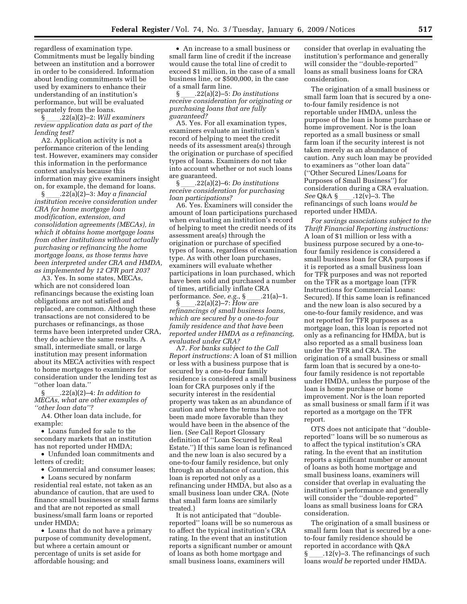regardless of examination type. Commitments must be legally binding between an institution and a borrower in order to be considered. Information about lending commitments will be used by examiners to enhance their understanding of an institution's performance, but will be evaluated separately from the loans.

§ll.22(a)(2)–2: *Will examiners review application data as part of the lending test?* 

A2. Application activity is not a performance criterion of the lending test. However, examiners may consider this information in the performance context analysis because this information may give examiners insight on, for example, the demand for loans.

§ll.22(a)(2)–3: *May a financial institution receive consideration under CRA for home mortgage loan modification, extension, and consolidation agreements (MECAs), in which it obtains home mortgage loans from other institutions without actually purchasing or refinancing the home mortgage loans, as those terms have been interpreted under CRA and HMDA, as implemented by 12 CFR part 203?* 

A3. Yes. In some states, MECAs, which are not considered loan refinancings because the existing loan obligations are not satisfied and replaced, are common. Although these transactions are not considered to be purchases or refinancings, as those terms have been interpreted under CRA, they do achieve the same results. A small, intermediate small, or large institution may present information about its MECA activities with respect to home mortgages to examiners for consideration under the lending test as ''other loan data.''

§ll.22(a)(2)–4: *In addition to MECAs, what are other examples of ''other loan data''?* 

A4. Other loan data include, for example:

• Loans funded for sale to the secondary markets that an institution has not reported under HMDA;

• Unfunded loan commitments and letters of credit:

• Commercial and consumer leases;

• Loans secured by nonfarm residential real estate, not taken as an abundance of caution, that are used to finance small businesses or small farms and that are not reported as small business/small farm loans or reported under HMDA;

• Loans that do not have a primary purpose of community development, but where a certain amount or percentage of units is set aside for affordable housing; and

• An increase to a small business or small farm line of credit if the increase would cause the total line of credit to exceed \$1 million, in the case of a small business line, or \$500,000, in the case of a small farm line.

§ll.22(a)(2)–5: *Do institutions receive consideration for originating or purchasing loans that are fully guaranteed?* 

A5. Yes. For all examination types, examiners evaluate an institution's record of helping to meet the credit needs of its assessment area(s) through the origination or purchase of specified types of loans. Examiners do not take into account whether or not such loans

are guaranteed.<br>§  $3.22(a)(2)-6$ : *Do institutions* §ll.22(a)(2)–6: *Do institutions receive consideration for purchasing loan participations?* 

A6. Yes. Examiners will consider the amount of loan participations purchased when evaluating an institution's record of helping to meet the credit needs of its assessment area(s) through the origination or purchase of specified types of loans, regardless of examination type. As with other loan purchases, examiners will evaluate whether participations in loan purchased, which have been sold and purchased a number of times, artificially inflate CRA performance. *See, e.g.*, § \_\_\_\_. 21(a)–1.<br>§ .22(a)(2)–7: *How are* 

§ll.22(a)(2)–7: *How are refinancings of small business loans, which are secured by a one-to-four family residence and that have been reported under HMDA as a refinancing, evaluated under CRA?* 

A7. *For banks subject to the Call Report instructions:* A loan of \$1 million or less with a business purpose that is secured by a one-to-four family residence is considered a small business loan for CRA purposes only if the security interest in the residential property was taken as an abundance of caution and where the terms have not been made more favorable than they would have been in the absence of the lien. (*See* Call Report Glossary definition of ''Loan Secured by Real Estate.'') If this same loan is refinanced and the new loan is also secured by a one-to-four family residence, but only through an abundance of caution, this loan is reported not only as a refinancing under HMDA, but also as a small business loan under CRA. (Note that small farm loans are similarly treated.)

It is not anticipated that ''doublereported'' loans will be so numerous as to affect the typical institution's CRA rating. In the event that an institution reports a significant number or amount of loans as both home mortgage and small business loans, examiners will

consider that overlap in evaluating the institution's performance and generally will consider the ''double-reported'' loans as small business loans for CRA consideration.

The origination of a small business or small farm loan that is secured by a oneto-four family residence is not reportable under HMDA, unless the purpose of the loan is home purchase or home improvement. Nor is the loan reported as a small business or small farm loan if the security interest is not taken merely as an abundance of caution. Any such loan may be provided to examiners as ''other loan data'' (''Other Secured Lines/Loans for Purposes of Small Business'') for consideration during a CRA evaluation.<br>See Q&A § \_\_\_\_.12(v)-3. The *See* Q&A § \_\_\_\_.12(v)–3. The<br>refinancings of such loans *would be* reported under HMDA.

*For savings associations subject to the Thrift Financial Reporting instructions:*  A loan of \$1 million or less with a business purpose secured by a one-tofour family residence is considered a small business loan for CRA purposes if it is reported as a small business loan for TFR purposes and was not reported on the TFR as a mortgage loan (TFR Instructions for Commercial Loans: Secured). If this same loan is refinanced and the new loan is also secured by a one-to-four family residence, and was not reported for TFR purposes as a mortgage loan, this loan is reported not only as a refinancing for HMDA, but is also reported as a small business loan under the TFR and CRA. The origination of a small business or small farm loan that is secured by a one-tofour family residence is not reportable under HMDA, unless the purpose of the loan is home purchase or home improvement. Nor is the loan reported as small business or small farm if it was reported as a mortgage on the TFR report.

OTS does not anticipate that ''doublereported'' loans will be so numerous as to affect the typical institution's CRA rating. In the event that an institution reports a significant number or amount of loans as both home mortgage and small business loans, examiners will consider that overlap in evaluating the institution's performance and generally will consider the ''double-reported'' loans as small business loans for CRA consideration.

The origination of a small business or small farm loan that is secured by a oneto-four family residence should be reported in accordance with Q&A § \_\_\_\_.12(v)–3. The refinancings of such<br>loans *would be* reported under HMDA.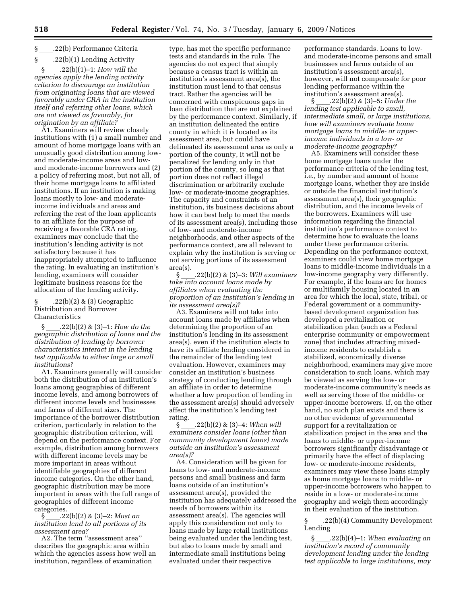## §ll.22(b) Performance Criteria

\_\_\_\_.22(b)(1) Lending Activity<br>§ .22(b)(1)–1: *How will the* §ll.22(b)(1)–1: *How will the agencies apply the lending activity criterion to discourage an institution from originating loans that are viewed favorably under CRA in the institution itself and referring other loans, which are not viewed as favorably, for origination by an affiliate?* 

A1. Examiners will review closely institutions with (1) a small number and amount of home mortgage loans with an unusually good distribution among lowand moderate-income areas and lowand moderate-income borrowers and (2) a policy of referring most, but not all, of their home mortgage loans to affiliated institutions. If an institution is making loans mostly to low- and moderateincome individuals and areas and referring the rest of the loan applicants to an affiliate for the purpose of receiving a favorable CRA rating, examiners may conclude that the institution's lending activity is not satisfactory because it has inappropriately attempted to influence the rating. In evaluating an institution's lending, examiners will consider legitimate business reasons for the allocation of the lending activity.

#### $(22(b)(2) \& (3) G$ eographic Distribution and Borrower Characteristics

§ll.22(b)(2) & (3)–1: *How do the geographic distribution of loans and the distribution of lending by borrower characteristics interact in the lending test applicable to either large or small institutions?* 

A1. Examiners generally will consider both the distribution of an institution's loans among geographies of different income levels, and among borrowers of different income levels and businesses and farms of different sizes. The importance of the borrower distribution criterion, particularly in relation to the geographic distribution criterion, will depend on the performance context. For example, distribution among borrowers with different income levels may be more important in areas without identifiable geographies of different income categories. On the other hand, geographic distribution may be more important in areas with the full range of geographies of different income

categories.<br>§ \_\_\_\_.22(b)(2) & (3)-2: Must an §ll.22(b)(2) & (3)–2: *Must an institution lend to all portions of its assessment area?* 

A2. The term ''assessment area'' describes the geographic area within which the agencies assess how well an institution, regardless of examination

type, has met the specific performance tests and standards in the rule. The agencies do not expect that simply because a census tract is within an institution's assessment area(s), the institution must lend to that census tract. Rather the agencies will be concerned with conspicuous gaps in loan distribution that are not explained by the performance context. Similarly, if an institution delineated the entire county in which it is located as its assessment area, but could have delineated its assessment area as only a portion of the county, it will not be penalized for lending only in that portion of the county, so long as that portion does not reflect illegal discrimination or arbitrarily exclude low- or moderate-income geographies. The capacity and constraints of an institution, its business decisions about how it can best help to meet the needs of its assessment area(s), including those of low- and moderate-income neighborhoods, and other aspects of the performance context, are all relevant to explain why the institution is serving or not serving portions of its assessment  $\frac{\text{area}(s)}{\$}$ 

§ll.22(b)(2) & (3)–3: *Will examiners take into account loans made by affiliates when evaluating the proportion of an institution's lending in its assessment area(s)?* 

A3. Examiners will not take into account loans made by affiliates when determining the proportion of an institution's lending in its assessment area(s), even if the institution elects to have its affiliate lending considered in the remainder of the lending test evaluation. However, examiners may consider an institution's business strategy of conducting lending through an affiliate in order to determine whether a low proportion of lending in the assessment area(s) should adversely affect the institution's lending test rating.

 $\S$  .22(b)(2) & (3)–4: *When will examiners consider loans (other than community development loans) made outside an institution's assessment area(s)?* 

A4. Consideration will be given for loans to low- and moderate-income persons and small business and farm loans outside of an institution's assessment area(s), provided the institution has adequately addressed the needs of borrowers within its assessment area(s). The agencies will apply this consideration not only to loans made by large retail institutions being evaluated under the lending test, but also to loans made by small and intermediate small institutions being evaluated under their respective

performance standards. Loans to lowand moderate-income persons and small businesses and farms outside of an institution's assessment area(s), however, will not compensate for poor lending performance within the institution's assessment area(s).

§ll.22(b)(2) & (3)–5: *Under the lending test applicable to small, intermediate small, or large institutions, how will examiners evaluate home mortgage loans to middle- or upperincome individuals in a low- or moderate-income geography?* 

A5. Examiners will consider these home mortgage loans under the performance criteria of the lending test, i.e., by number and amount of home mortgage loans, whether they are inside or outside the financial institution's assessment area(s), their geographic distribution, and the income levels of the borrowers. Examiners will use information regarding the financial institution's performance context to determine how to evaluate the loans under these performance criteria. Depending on the performance context, examiners could view home mortgage loans to middle-income individuals in a low-income geography very differently. For example, if the loans are for homes or multifamily housing located in an area for which the local, state, tribal, or Federal government or a communitybased development organization has developed a revitalization or stabilization plan (such as a Federal enterprise community or empowerment zone) that includes attracting mixedincome residents to establish a stabilized, economically diverse neighborhood, examiners may give more consideration to such loans, which may be viewed as serving the low- or moderate-income community's needs as well as serving those of the middle- or upper-income borrowers. If, on the other hand, no such plan exists and there is no other evidence of governmental support for a revitalization or stabilization project in the area and the loans to middle- or upper-income borrowers significantly disadvantage or primarily have the effect of displacing low- or moderate-income residents, examiners may view these loans simply as home mortgage loans to middle- or upper-income borrowers who happen to reside in a low- or moderate-income geography and weigh them accordingly in their evaluation of the institution.

§ \_\_\_\_.22(b)(4) Community Development Lending

§ll.22(b)(4)–1: *When evaluating an institution's record of community development lending under the lending test applicable to large institutions, may*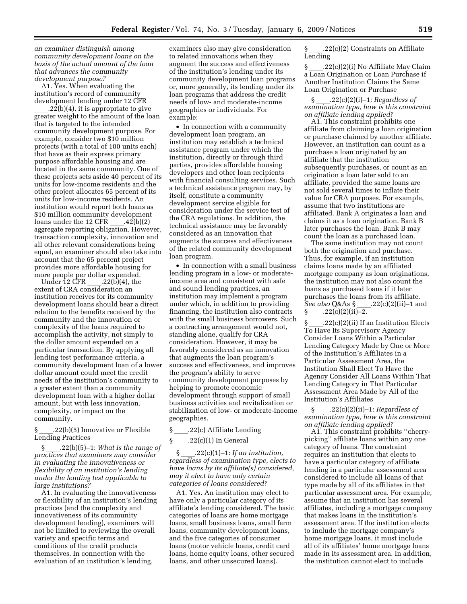*an examiner distinguish among community development loans on the basis of the actual amount of the loan that advances the community development purpose?* 

A1. Yes. When evaluating the institution's record of community development lending under 12 CFR

 $l.22(b)(4)$ , it is appropriate to give greater weight to the amount of the loan that is targeted to the intended community development purpose. For example, consider two \$10 million projects (with a total of 100 units each) that have as their express primary purpose affordable housing and are located in the same community. One of these projects sets aside 40 percent of its units for low-income residents and the other project allocates 65 percent of its units for low-income residents. An institution would report both loans as \$10 million community development loans under the 12 CFR \_\_\_\_.42(b)(2)<br>aggregate reporting obligation. However, transaction complexity, innovation and all other relevant considerations being equal, an examiner should also take into account that the 65 percent project provides more affordable housing for

more people per dollar expended.<br>Under 12 CFR .22(b)(4), the Under 12 CFR \_\_\_\_.22(b)(4), the extent of CRA consideration an institution receives for its community development loans should bear a direct relation to the benefits received by the community and the innovation or complexity of the loans required to accomplish the activity, not simply to the dollar amount expended on a particular transaction. By applying all lending test performance criteria, a community development loan of a lower dollar amount could meet the credit needs of the institution's community to a greater extent than a community development loan with a higher dollar amount, but with less innovation, complexity, or impact on the community.

§ll.22(b)(5) Innovative or Flexible Lending Practices

§ll.22(b)(5)–1: *What is the range of practices that examiners may consider in evaluating the innovativeness or flexibility of an institution's lending under the lending test applicable to large institutions?* 

A1. In evaluating the innovativeness or flexibility of an institution's lending practices (and the complexity and innovativeness of its community development lending), examiners will not be limited to reviewing the overall variety and specific terms and conditions of the credit products themselves. In connection with the evaluation of an institution's lending,

examiners also may give consideration to related innovations when they augment the success and effectiveness of the institution's lending under its community development loan programs or, more generally, its lending under its loan programs that address the credit needs of low- and moderate-income geographies or individuals. For example:

• In connection with a community development loan program, an institution may establish a technical assistance program under which the institution, directly or through third parties, provides affordable housing developers and other loan recipients with financial consulting services. Such a technical assistance program may, by itself, constitute a community development service eligible for consideration under the service test of the CRA regulations. In addition, the technical assistance may be favorably considered as an innovation that augments the success and effectiveness of the related community development loan program.

• In connection with a small business lending program in a low- or moderateincome area and consistent with safe and sound lending practices, an institution may implement a program under which, in addition to providing financing, the institution also contracts with the small business borrowers. Such a contracting arrangement would not, standing alone, qualify for CRA consideration. However, it may be favorably considered as an innovation that augments the loan program's success and effectiveness, and improves the program's ability to serve community development purposes by helping to promote economic development through support of small business activities and revitalization or stabilization of low- or moderate-income geographies.

§ .22(c) Affiliate Lending

 $\S$  \_\_\_\_\_.22(c)(1) In General<br> $\S$  .22(c)(1)-1: If an institution, §ll.22(c)(1)–1: *If an institution, regardless of examination type, elects to have loans by its affiliate(s) considered, may it elect to have only certain categories of loans considered?* 

A1. Yes. An institution may elect to have only a particular category of its affiliate's lending considered. The basic categories of loans are home mortgage loans, small business loans, small farm loans, community development loans, and the five categories of consumer loans (motor vehicle loans, credit card loans, home equity loans, other secured loans, and other unsecured loans).

§ 22(c)(2) Constraints on Affiliate Lending

§ 22(c)(2)(i) No Affiliate May Claim a Loan Origination or Loan Purchase if Another Institution Claims the Same Loan Origination or Purchase

§ll.22(c)(2)(i)–1: *Regardless of examination type, how is this constraint on affiliate lending applied?* 

A1. This constraint prohibits one affiliate from claiming a loan origination or purchase claimed by another affiliate. However, an institution can count as a purchase a loan originated by an affiliate that the institution subsequently purchases, or count as an origination a loan later sold to an affiliate, provided the same loans are not sold several times to inflate their value for CRA purposes. For example, assume that two institutions are affiliated. Bank A originates a loan and claims it as a loan origination. Bank B later purchases the loan. Bank B may count the loan as a purchased loan.

The same institution may not count both the origination and purchase. Thus, for example, if an institution claims loans made by an affiliated mortgage company as loan originations, the institution may not also count the loans as purchased loans if it later purchases the loans from its affiliate. *See also* Q&As §\_\_\_\_.22(c)(2)(ii)–1 and § 22(c)(2)(ii)–2.  $.22(c)(2)(ii)-2.$ 

§ll.22(c)(2)(ii) If an Institution Elects To Have Its Supervisory Agency Consider Loans Within a Particular Lending Category Made by One or More of the Institution's Affiliates in a Particular Assessment Area, the Institution Shall Elect To Have the Agency Consider All Loans Within That Lending Category in That Particular Assessment Area Made by All of the Institution's Affiliates

§ll.22(c)(2)(ii)–1: *Regardless of examination type, how is this constraint on affiliate lending applied?* 

A1. This constraint prohibits ''cherrypicking'' affiliate loans within any one category of loans. The constraint requires an institution that elects to have a particular category of affiliate lending in a particular assessment area considered to include all loans of that type made by all of its affiliates in that particular assessment area. For example, assume that an institution has several affiliates, including a mortgage company that makes loans in the institution's assessment area. If the institution elects to include the mortgage company's home mortgage loans, it must include all of its affiliates' home mortgage loans made in its assessment area. In addition, the institution cannot elect to include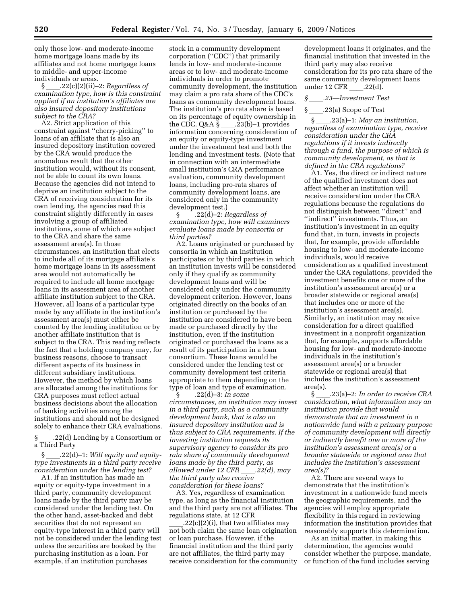only those low- and moderate-income home mortgage loans made by its affiliates and not home mortgage loans to middle- and upper-income individuals or areas.<br>\$22(c)(2)(ii)-

§ll.22(c)(2)(ii)–2: *Regardless of examination type, how is this constraint applied if an institution's affiliates are also insured depository institutions subject to the CRA?* 

A2. Strict application of this constraint against ''cherry-picking'' to loans of an affiliate that is also an insured depository institution covered by the CRA would produce the anomalous result that the other institution would, without its consent, not be able to count its own loans. Because the agencies did not intend to deprive an institution subject to the CRA of receiving consideration for its own lending, the agencies read this constraint slightly differently in cases involving a group of affiliated institutions, some of which are subject to the CRA and share the same assessment area(s). In those circumstances, an institution that elects to include all of its mortgage affiliate's home mortgage loans in its assessment area would not automatically be required to include all home mortgage loans in its assessment area of another affiliate institution subject to the CRA. However, all loans of a particular type made by any affiliate in the institution's assessment area(s) must either be counted by the lending institution or by another affiliate institution that is subject to the CRA. This reading reflects the fact that a holding company may, for business reasons, choose to transact different aspects of its business in different subsidiary institutions. However, the method by which loans are allocated among the institutions for CRA purposes must reflect actual business decisions about the allocation of banking activities among the institutions and should not be designed solely to enhance their CRA evaluations.

§ll.22(d) Lending by a Consortium or a Third Party

§ll.22(d)–1: *Will equity and equitytype investments in a third party receive consideration under the lending test?* 

A1. If an institution has made an equity or equity-type investment in a third party, community development loans made by the third party may be considered under the lending test. On the other hand, asset-backed and debt securities that do not represent an equity-type interest in a third party will not be considered under the lending test unless the securities are booked by the purchasing institution as a loan. For example, if an institution purchases

stock in a community development corporation (''CDC'') that primarily lends in low- and moderate-income areas or to low- and moderate-income individuals in order to promote community development, the institution may claim a pro rata share of the CDC's loans as community development loans. The institution's pro rata share is based on its percentage of equity ownership in the CDC. Q&A  $\S$  .23(b)–1 provides information concerning consideration of an equity or equity-type investment under the investment test and both the lending and investment tests. (Note that in connection with an intermediate small institution's CRA performance evaluation, community development loans, including pro-rata shares of community development loans, are considered only in the community development test.)

§ll.22(d)–2: *Regardless of examination type, how will examiners evaluate loans made by consortia or third parties?* 

A2. Loans originated or purchased by consortia in which an institution participates or by third parties in which an institution invests will be considered only if they qualify as community development loans and will be considered only under the community development criterion. However, loans originated directly on the books of an institution or purchased by the institution are considered to have been made or purchased directly by the institution, even if the institution originated or purchased the loans as a result of its participation in a loan consortium. These loans would be considered under the lending test or community development test criteria appropriate to them depending on the type of loan and type of examination.

§ll.22(d)–3: *In some circumstances, an institution may invest in a third party, such as a community development bank, that is also an insured depository institution and is thus subject to CRA requirements. If the investing institution requests its supervisory agency to consider its pro rata share of community development loans made by the third party, as allowed under 12 CFR .22(d), may the third party also receive consideration for these loans?* 

A3. Yes, regardless of examination type, as long as the financial institution and the third party are not affiliates. The regulations state, at 12 CFR

 $l.22(c)(2)(i)$ , that two affiliates may not both claim the same loan origination or loan purchase. However, if the financial institution and the third party are not affiliates, the third party may receive consideration for the community

development loans it originates, and the financial institution that invested in the third party may also receive consideration for its pro rata share of the same community development loans under 12 CFR \_\_\_\_.22(d).<br> $\S$  .23—Investment Te

- *§*ll*.23—Investment Test*
- 

.23(a) Scope of Test<br>23(a)–1: *May an institution,* §ll.23(a)–1: *May an institution, regardless of examination type, receive consideration under the CRA regulations if it invests indirectly through a fund, the purpose of which is community development, as that is defined in the CRA regulations?* 

A1. Yes, the direct or indirect nature of the qualified investment does not affect whether an institution will receive consideration under the CRA regulations because the regulations do not distinguish between ''direct'' and ''indirect'' investments. Thus, an institution's investment in an equity fund that, in turn, invests in projects that, for example, provide affordable housing to low- and moderate-income individuals, would receive consideration as a qualified investment under the CRA regulations, provided the investment benefits one or more of the institution's assessment area(s) or a broader statewide or regional area(s) that includes one or more of the institution's assessment area(s). Similarly, an institution may receive consideration for a direct qualified investment in a nonprofit organization that, for example, supports affordable housing for low- and moderate-income individuals in the institution's assessment area(s) or a broader statewide or regional area(s) that includes the institution's assessment area(s).

§ll.23(a)–2: *In order to receive CRA consideration, what information may an institution provide that would demonstrate that an investment in a nationwide fund with a primary purpose of community development will directly or indirectly benefit one or more of the institution's assessment area(s) or a broader statewide or regional area that includes the institution's assessment area(s)?* 

A2. There are several ways to demonstrate that the institution's investment in a nationwide fund meets the geographic requirements, and the agencies will employ appropriate flexibility in this regard in reviewing information the institution provides that reasonably supports this determination.

As an initial matter, in making this determination, the agencies would consider whether the purpose, mandate, or function of the fund includes serving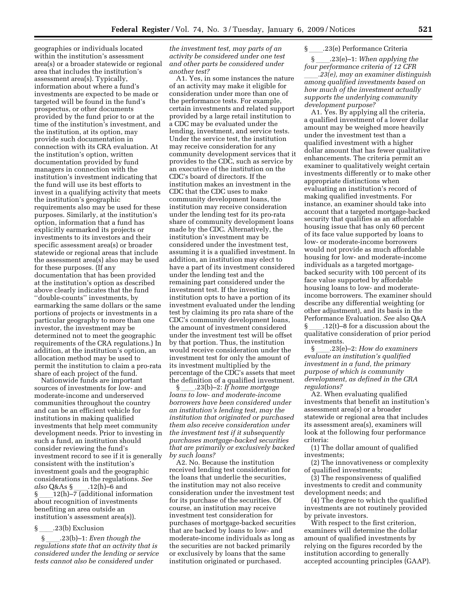geographies or individuals located within the institution's assessment area(s) or a broader statewide or regional area that includes the institution's assessment area(s). Typically, information about where a fund's investments are expected to be made or targeted will be found in the fund's prospectus, or other documents provided by the fund prior to or at the time of the institution's investment, and the institution, at its option, may provide such documentation in connection with its CRA evaluation. At the institution's option, written documentation provided by fund managers in connection with the institution's investment indicating that the fund will use its best efforts to invest in a qualifying activity that meets the institution's geographic requirements also may be used for these purposes. Similarly, at the institution's option, information that a fund has explicitly earmarked its projects or investments to its investors and their specific assessment area(s) or broader statewide or regional areas that include the assessment area(s) also may be used for these purposes. (If any documentation that has been provided at the institution's option as described above clearly indicates that the fund ''double-counts'' investments, by earmarking the same dollars or the same portions of projects or investments in a particular geography to more than one investor, the investment may be determined not to meet the geographic requirements of the CRA regulations.) In addition, at the institution's option, an allocation method may be used to permit the institution to claim a pro-rata share of each project of the fund.

Nationwide funds are important sources of investments for low- and moderate-income and underserved communities throughout the country and can be an efficient vehicle for institutions in making qualified investments that help meet community development needs. Prior to investing in such a fund, an institution should consider reviewing the fund's investment record to see if it is generally consistent with the institution's investment goals and the geographic considerations in the regulations. *See*  a*lso* Q&As §\_\_\_\_.12(h)–6 and<br>§ 12(h)–7 (additional infor  $\S$   $\frac{12(h)}{-7}$  (additional information<br>about recognition of investments about recognition of investments benefiting an area outside an institution's assessment area(s)).

### $\S$  \_\_\_\_\_.23(b) Exclusion<br>S  $\S$  .23(b)–1: Even

§ll.23(b)–1: *Even though the regulations state that an activity that is considered under the lending or service tests cannot also be considered under* 

*the investment test, may parts of an activity be considered under one test and other parts be considered under another test?* 

A1. Yes, in some instances the nature of an activity may make it eligible for consideration under more than one of the performance tests. For example, certain investments and related support provided by a large retail institution to a CDC may be evaluated under the lending, investment, and service tests. Under the service test, the institution may receive consideration for any community development services that it provides to the CDC, such as service by an executive of the institution on the CDC's board of directors. If the institution makes an investment in the CDC that the CDC uses to make community development loans, the institution may receive consideration under the lending test for its pro-rata share of community development loans made by the CDC. Alternatively, the institution's investment may be considered under the investment test, assuming it is a qualified investment. In addition, an institution may elect to have a part of its investment considered under the lending test and the remaining part considered under the investment test. If the investing institution opts to have a portion of its investment evaluated under the lending test by claiming its pro rata share of the CDC's community development loans, the amount of investment considered under the investment test will be offset by that portion. Thus, the institution would receive consideration under the investment test for only the amount of its investment multiplied by the percentage of the CDC's assets that meet the definition of a qualified investment.

§ll.23(b)–2: *If home mortgage loans to low- and moderate-income borrowers have been considered under an institution's lending test, may the institution that originated or purchased them also receive consideration under the investment test if it subsequently purchases mortgage-backed securities that are primarily or exclusively backed by such loans?* 

A2. No. Because the institution received lending test consideration for the loans that underlie the securities, the institution may not also receive consideration under the investment test for its purchase of the securities. Of course, an institution may receive investment test consideration for purchases of mortgage-backed securities that are backed by loans to low- and moderate-income individuals as long as the securities are not backed primarily or exclusively by loans that the same institution originated or purchased.

# § \_\_\_\_\_.23(e) Performance Criteria<br>§ \_\_\_\_\_.23(e)-1: When applying

§ll.23(e)–1: *When applying the four performance criteria of 12 CFR* 

ll*.23(e), may an examiner distinguish among qualified investments based on how much of the investment actually supports the underlying community development purpose?* 

A1. Yes. By applying all the criteria, a qualified investment of a lower dollar amount may be weighed more heavily under the investment test than a qualified investment with a higher dollar amount that has fewer qualitative enhancements. The criteria permit an examiner to qualitatively weight certain investments differently or to make other appropriate distinctions when evaluating an institution's record of making qualified investments. For instance, an examiner should take into account that a targeted mortgage-backed security that qualifies as an affordable housing issue that has only 60 percent of its face value supported by loans to low- or moderate-income borrowers would not provide as much affordable housing for low- and moderate-income individuals as a targeted mortgagebacked security with 100 percent of its face value supported by affordable housing loans to low- and moderateincome borrowers. The examiner should describe any differential weighting (or other adjustment), and its basis in the Performance Evaluation. *See* also Q&A  $\S$  .12(t)–8 for a discussion about the qualitative consideration of prior period investments.

§ll.23(e)–2: *How do examiners evaluate an institution's qualified investment in a fund, the primary purpose of which is community development, as defined in the CRA regulations?* 

A2. When evaluating qualified investments that benefit an institution's assessment area(s) or a broader statewide or regional area that includes its assessment area(s), examiners will look at the following four performance criteria:

(1) The dollar amount of qualified investments;

(2) The innovativeness or complexity of qualified investments;

(3) The responsiveness of qualified investments to credit and community development needs; and

(4) The degree to which the qualified investments are not routinely provided by private investors.

With respect to the first criterion, examiners will determine the dollar amount of qualified investments by relying on the figures recorded by the institution according to generally accepted accounting principles (GAAP).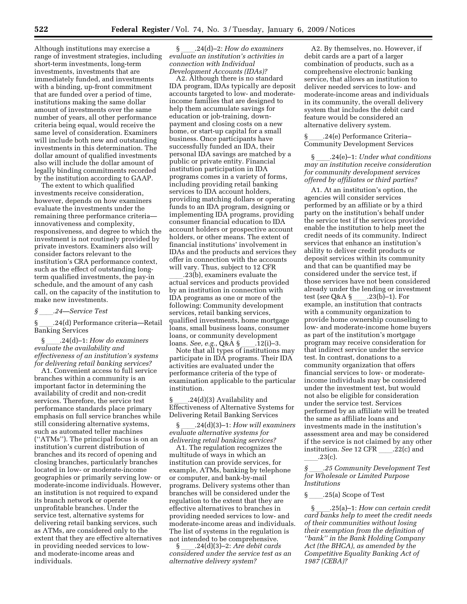Although institutions may exercise a range of investment strategies, including short-term investments, long-term investments, investments that are immediately funded, and investments with a binding, up-front commitment that are funded over a period of time, institutions making the same dollar amount of investments over the same number of years, all other performance criteria being equal, would receive the same level of consideration. Examiners will include both new and outstanding investments in this determination. The dollar amount of qualified investments also will include the dollar amount of legally binding commitments recorded by the institution according to GAAP.

The extent to which qualified investments receive consideration, however, depends on how examiners evaluate the investments under the remaining three performance criteria innovativeness and complexity, responsiveness, and degree to which the investment is not routinely provided by private investors. Examiners also will consider factors relevant to the institution's CRA performance context, such as the effect of outstanding longterm qualified investments, the pay-in schedule, and the amount of any cash call, on the capacity of the institution to make new investments.

#### *§*ll*.24—Service Test*

§ll.24(d) Performance criteria—Retail Banking Services

§ll.24(d)–1: *How do examiners evaluate the availability and effectiveness of an institution's systems for delivering retail banking services?* 

A1. Convenient access to full service branches within a community is an important factor in determining the availability of credit and non-credit services. Therefore, the service test performance standards place primary emphasis on full service branches while still considering alternative systems, such as automated teller machines (''ATMs''). The principal focus is on an institution's current distribution of branches and its record of opening and closing branches, particularly branches located in low- or moderate-income geographies or primarily serving low- or moderate-income individuals. However, an institution is not required to expand its branch network or operate unprofitable branches. Under the service test, alternative systems for delivering retail banking services, such as ATMs, are considered only to the extent that they are effective alternatives in providing needed services to lowand moderate-income areas and individuals.

§ll.24(d)–2: *How do examiners evaluate an institution's activities in connection with Individual Development Accounts (IDAs)?* 

A2. Although there is no standard IDA program, IDAs typically are deposit accounts targeted to low- and moderateincome families that are designed to help them accumulate savings for education or job-training, downpayment and closing costs on a new home, or start-up capital for a small business. Once participants have successfully funded an IDA, their personal IDA savings are matched by a public or private entity. Financial institution participation in IDA programs comes in a variety of forms, including providing retail banking services to IDA account holders, providing matching dollars or operating funds to an IDA program, designing or implementing IDA programs, providing consumer financial education to IDA account holders or prospective account holders, or other means. The extent of financial institutions' involvement in IDAs and the products and services they offer in connection with the accounts will vary. Thus, subject to 12 CFR

\_\_\_\_.23(b), examiners evaluate the<br>actual services and products provided by an institution in connection with IDA programs as one or more of the following: Community development services, retail banking services, qualified investments, home mortgage loans, small business loans, consumer loans, or community development

loans. *See, e.g.*, Q&A §\_\_\_\_.12(i)–3.<br>Note that all types of institutions may participate in IDA programs. Their IDA activities are evaluated under the performance criteria of the type of examination applicable to the particular institution.

§ \_\_\_\_.24(d)(3) Availability and<br>Effectiveness of Alternative Systems for Delivering Retail Banking Services

§ll.24(d)(3)–1: *How will examiners evaluate alternative systems for delivering retail banking services?* 

A1. The regulation recognizes the multitude of ways in which an institution can provide services, for example, ATMs, banking by telephone or computer, and bank-by-mail programs. Delivery systems other than branches will be considered under the regulation to the extent that they are effective alternatives to branches in providing needed services to low- and moderate-income areas and individuals. The list of systems in the regulation is not intended to be comprehensive.<br>§ .24(d)(3)–2: Are debit cards

§ll.24(d)(3)–2: *Are debit cards considered under the service test as an alternative delivery system?* 

A2. By themselves, no. However, if debit cards are a part of a larger combination of products, such as a comprehensive electronic banking service, that allows an institution to deliver needed services to low- and moderate-income areas and individuals in its community, the overall delivery system that includes the debit card feature would be considered an alternative delivery system.

§ll.24(e) Performance Criteria– Community Development Services

§ll.24(e)–1: *Under what conditions may an institution receive consideration for community development services offered by affiliates or third parties?* 

A1. At an institution's option, the agencies will consider services performed by an affiliate or by a third party on the institution's behalf under the service test if the services provided enable the institution to help meet the credit needs of its community. Indirect services that enhance an institution's ability to deliver credit products or deposit services within its community and that can be quantified may be considered under the service test, if those services have not been considered already under the lending or investment test (see Q&A § \_\_\_\_\_.23(b)–1). For test (*see* Q&A § \_\_\_\_.23(b)–1). For<br>example, an institution that contracts with a community organization to provide home ownership counseling to low- and moderate-income home buyers as part of the institution's mortgage program may receive consideration for that indirect service under the service test. In contrast, donations to a community organization that offers financial services to low- or moderateincome individuals may be considered under the investment test, but would not also be eligible for consideration under the service test. Services performed by an affiliate will be treated the same as affiliate loans and investments made in the institution's assessment area and may be considered if the service is not claimed by any other institution. *See* 12 CFR .22(c) and  $.23(c).$ 

*§*ll*.25 Community Development Test for Wholesale or Limited Purpose Institutions* 

§ 25(a) Scope of Test

§ll.25(a)–1: *How can certain credit card banks help to meet the credit needs of their communities without losing their exemption from the definition of ''bank'' in the Bank Holding Company Act (the BHCA), as amended by the Competitive Equality Banking Act of 1987 (CEBA)?*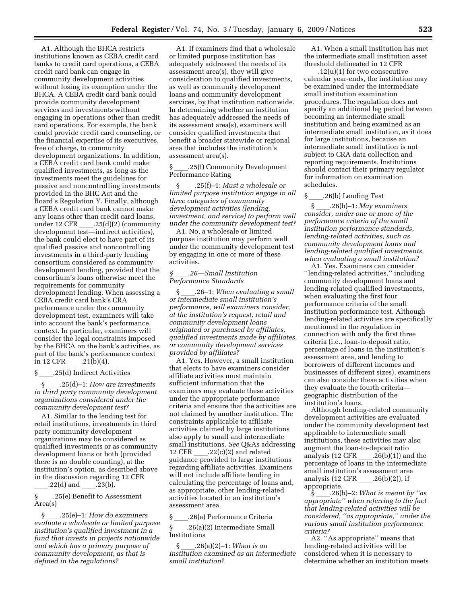A1. Although the BHCA restricts institutions known as CEBA credit card banks to credit card operations, a CEBA credit card bank can engage in community development activities without losing its exemption under the BHCA. A CEBA credit card bank could provide community development services and investments without engaging in operations other than credit card operations. For example, the bank could provide credit card counseling, or the financial expertise of its executives, free of charge, to community development organizations. In addition, a CEBA credit card bank could make qualified investments, as long as the investments meet the guidelines for passive and noncontrolling investments provided in the BHC Act and the Board's Regulation Y. Finally, although a CEBA credit card bank cannot make any loans other than credit card loans, under 12 CFR \_\_\_\_.25(d)(2) (community<br>development test—indirect activities), the bank could elect to have part of its qualified passive and noncontrolling investments in a third-party lending consortium considered as community development lending, provided that the consortium's loans otherwise meet the requirements for community development lending. When assessing a CEBA credit card bank's CRA performance under the community development test, examiners will take into account the bank's performance context. In particular, examiners will consider the legal constraints imposed by the BHCA on the bank's activities, as part of the bank's performance context in 12 CFR  $.21(b)(4)$ .

 $\S$  ....25(d) Indirect Activities<br> $\S$ ...25(d)-1: How are inve

§ll.25(d)–1: *How are investments in third party community development organizations considered under the community development test?* 

A1. Similar to the lending test for retail institutions, investments in third party community development organizations may be considered as qualified investments or as community development loans or both (provided there is no double counting), at the institution's option, as described above in the discussion regarding 12 CFR  $.22(d)$  and  $.23(b)$ .

§ll.25(e) Benefit to Assessment Area(s)

§ll.25(e)–1: *How do examiners evaluate a wholesale or limited purpose institution's qualified investment in a fund that invests in projects nationwide and which has a primary purpose of community development, as that is defined in the regulations?* 

A1. If examiners find that a wholesale or limited purpose institution has adequately addressed the needs of its assessment area(s), they will give consideration to qualified investments, as well as community development loans and community development services, by that institution nationwide. In determining whether an institution has adequately addressed the needs of its assessment area(s), examiners will consider qualified investments that benefit a broader statewide or regional area that includes the institution's assessment area(s).

§ll.25(f) Community Development Performance Rating

§ll.25(f)–1: *Must a wholesale or limited purpose institution engage in all three categories of community development activities (lending, investment, and service) to perform well under the community development test?* 

A1. No, a wholesale or limited purpose institution may perform well under the community development test by engaging in one or more of these activities.

#### *§*ll*.26—Small Institution Performance Standards*

§ll.26–1: *When evaluating a small or intermediate small institution's performance, will examiners consider, at the institution's request, retail and community development loans originated or purchased by affiliates, qualified investments made by affiliates, or community development services provided by affiliates?* 

A1. Yes. However, a small institution that elects to have examiners consider affiliate activities must maintain sufficient information that the examiners may evaluate these activities under the appropriate performance criteria and ensure that the activities are not claimed by another institution. The constraints applicable to affiliate activities claimed by large institutions also apply to small and intermediate small institutions. *See* Q&As addressing 12 CFR \_\_\_\_.22(c)(2) and related<br>guidance provided to large institutions regarding affiliate activities. Examiners will not include affiliate lending in calculating the percentage of loans and, as appropriate, other lending-related activities located in an institution's assessment area.

§ \_\_\_\_\_.26(a) Performance Criteria<br>§ 26(a)(2) Intermediate Small

§ll.26(a)(2) Intermediate Small Institutions

§ll.26(a)(2)–1: *When is an institution examined as an intermediate small institution?* 

A1. When a small institution has met the intermediate small institution asset threshold delineated in 12 CFR

\_\_\_\_.12(u)(1) for two consecutive<br>calendar year-ends, the institution may be examined under the intermediate small institution examination procedures. The regulation does not specify an additional lag period between becoming an intermediate small institution and being examined as an intermediate small institution, as it does for large institutions, because an intermediate small institution is not subject to CRA data collection and reporting requirements. Institutions should contact their primary regulator for information on examination schedules.

 $\S$  \_\_\_\_\_.26(b) Lending Test<br> $\S$  .26(b)–1: *May examiners* §ll.26(b)–1: *May examiners consider, under one or more of the performance criteria of the small institution performance standards, lending-related activities, such as community development loans and lending-related qualified investments, when evaluating a small institution?* 

A1. Yes. Examiners can consider ''lending-related activities,'' including community development loans and lending-related qualified investments, when evaluating the first four performance criteria of the small institution performance test. Although lending-related activities are specifically mentioned in the regulation in connection with only the first three criteria (i.e., loan-to-deposit ratio, percentage of loans in the institution's assessment area, and lending to borrowers of different incomes and businesses of different sizes), examiners can also consider these activities when they evaluate the fourth criteria geographic distribution of the institution's loans.

Although lending-related community development activities are evaluated under the community development test applicable to intermediate small institutions, these activities may also augment the loan-to-deposit ratio analysis (12 CFR \_\_\_\_.26(b)(1)) and the<br>percentage of loans in the intermediate small institution's assessment area analysis  $(12 \text{ CFR} \qquad .26(b)(2))$ , if appropriate.<br> $\S$  .26(b)–2: What is meant by "as

§ll.26(b)–2: *What is meant by ''as appropriate'' when referring to the fact that lending-related activities will be considered, ''as appropriate,'' under the various small institution performance criteria?* 

A2. ''As appropriate'' means that lending-related activities will be considered when it is necessary to determine whether an institution meets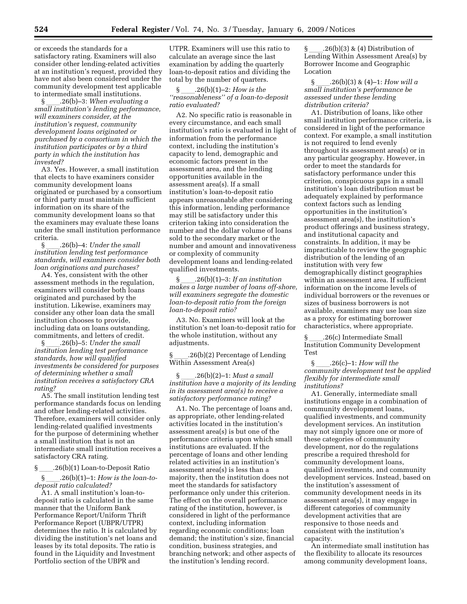or exceeds the standards for a satisfactory rating. Examiners will also consider other lending-related activities at an institution's request, provided they have not also been considered under the community development test applicable to intermediate small institutions.

§ll.26(b)–3: *When evaluating a small institution's lending performance, will examiners consider, at the institution's request, community development loans originated or purchased by a consortium in which the institution participates or by a third party in which the institution has invested?* 

A3. Yes. However, a small institution that elects to have examiners consider community development loans originated or purchased by a consortium or third party must maintain sufficient information on its share of the community development loans so that the examiners may evaluate these loans under the small institution performance criteria.

§ll.26(b)–4: *Under the small institution lending test performance standards, will examiners consider both loan originations and purchases?* 

A4. Yes, consistent with the other assessment methods in the regulation, examiners will consider both loans originated and purchased by the institution. Likewise, examiners may consider any other loan data the small institution chooses to provide, including data on loans outstanding, commitments, and letters of credit.

§ll.26(b)–5: *Under the small institution lending test performance standards, how will qualified investments be considered for purposes of determining whether a small institution receives a satisfactory CRA rating?* 

A5. The small institution lending test performance standards focus on lending and other lending-related activities. Therefore, examiners will consider only lending-related qualified investments for the purpose of determining whether a small institution that is not an intermediate small institution receives a satisfactory CRA rating.

§ 26(b)(1) Loan-to-Deposit Ratio

§ll.26(b)(1)–1: *How is the loan-todeposit ratio calculated?* 

A1. A small institution's loan-todeposit ratio is calculated in the same manner that the Uniform Bank Performance Report/Uniform Thrift Performance Report (UBPR/UTPR) determines the ratio. It is calculated by dividing the institution's net loans and leases by its total deposits. The ratio is found in the Liquidity and Investment Portfolio section of the UBPR and

UTPR. Examiners will use this ratio to calculate an average since the last examination by adding the quarterly loan-to-deposit ratios and dividing the total by the number of quarters.

§ll.26(b)(1)–2: *How is the ''reasonableness'' of a loan-to-deposit ratio evaluated?* 

A2. No specific ratio is reasonable in every circumstance, and each small institution's ratio is evaluated in light of information from the performance context, including the institution's capacity to lend, demographic and economic factors present in the assessment area, and the lending opportunities available in the assessment area(s). If a small institution's loan-to-deposit ratio appears unreasonable after considering this information, lending performance may still be satisfactory under this criterion taking into consideration the number and the dollar volume of loans sold to the secondary market or the number and amount and innovativeness or complexity of community development loans and lending-related qualified investments.

§ll.26(b)(1)–3: *If an institution makes a large number of loans off-shore, will examiners segregate the domestic loan-to-deposit ratio from the foreign loan-to-deposit ratio?* 

A3. No. Examiners will look at the institution's net loan-to-deposit ratio for the whole institution, without any adjustments.

§ll.26(b)(2) Percentage of Lending Within Assessment Area(s)

§ll.26(b)(2)–1: *Must a small institution have a majority of its lending in its assessment area(s) to receive a satisfactory performance rating?* 

A1. No. The percentage of loans and, as appropriate, other lending-related activities located in the institution's assessment area(s) is but one of the performance criteria upon which small institutions are evaluated. If the percentage of loans and other lending related activities in an institution's assessment area(s) is less than a majority, then the institution does not meet the standards for satisfactory performance only under this criterion. The effect on the overall performance rating of the institution, however, is considered in light of the performance context, including information regarding economic conditions; loan demand; the institution's size, financial condition, business strategies, and branching network; and other aspects of the institution's lending record.

 $\S$  .26(b)(3) & (4) Distribution of Lending Within Assessment Area(s) by Borrower Income and Geographic Location

§ll.26(b)(3) & (4)–1: *How will a small institution's performance be assessed under these lending distribution criteria?* 

A1. Distribution of loans, like other small institution performance criteria, is considered in light of the performance context. For example, a small institution is not required to lend evenly throughout its assessment area(s) or in any particular geography. However, in order to meet the standards for satisfactory performance under this criterion, conspicuous gaps in a small institution's loan distribution must be adequately explained by performance context factors such as lending opportunities in the institution's assessment area(s), the institution's product offerings and business strategy, and institutional capacity and constraints. In addition, it may be impracticable to review the geographic distribution of the lending of an institution with very few demographically distinct geographies within an assessment area. If sufficient information on the income levels of individual borrowers or the revenues or sizes of business borrowers is not available, examiners may use loan size as a proxy for estimating borrower characteristics, where appropriate.

§ \_\_\_\_.26(c) Intermediate Small<br>Institution Community Development Test

§ll.26(c)–1: *How will the community development test be applied flexibly for intermediate small institutions?* 

A1. Generally, intermediate small institutions engage in a combination of community development loans, qualified investments, and community development services. An institution may not simply ignore one or more of these categories of community development, nor do the regulations prescribe a required threshold for community development loans, qualified investments, and community development services. Instead, based on the institution's assessment of community development needs in its assessment area(s), it may engage in different categories of community development activities that are responsive to those needs and consistent with the institution's capacity.

An intermediate small institution has the flexibility to allocate its resources among community development loans,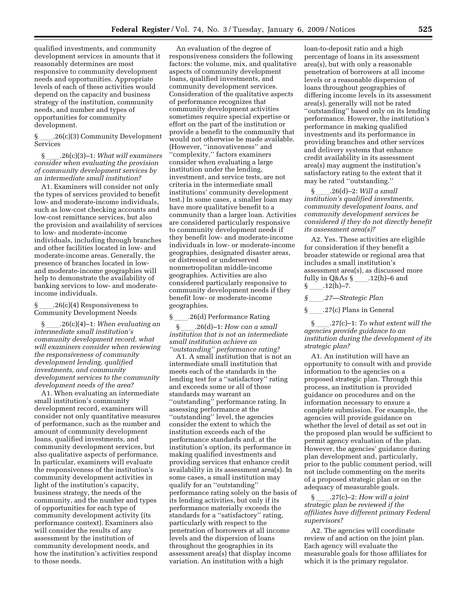qualified investments, and community development services in amounts that it reasonably determines are most responsive to community development needs and opportunities. Appropriate levels of each of these activities would depend on the capacity and business strategy of the institution, community needs, and number and types of opportunities for community development.

§ll.26(c)(3) Community Development Services

§ll.26(c)(3)–1: *What will examiners consider when evaluating the provision of community development services by an intermediate small institution?* 

A1. Examiners will consider not only the types of services provided to benefit low- and moderate-income individuals, such as low-cost checking accounts and low-cost remittance services, but also the provision and availability of services to low- and moderate-income individuals, including through branches and other facilities located in low- and moderate-income areas. Generally, the presence of branches located in lowand moderate-income geographies will help to demonstrate the availability of banking services to low- and moderateincome individuals.

#### $.26(c)(4)$  Responsiveness to Community Development Needs

§ll.26(c)(4)–1: *When evaluating an intermediate small institution's community development record, what will examiners consider when reviewing the responsiveness of community development lending, qualified investments, and community development services to the community development needs of the area?* 

A1. When evaluating an intermediate small institution's community development record, examiners will consider not only quantitative measures of performance, such as the number and amount of community development loans, qualified investments, and community development services, but also qualitative aspects of performance. In particular, examiners will evaluate the responsiveness of the institution's community development activities in light of the institution's capacity, business strategy, the needs of the community, and the number and types of opportunities for each type of community development activity (its performance context). Examiners also will consider the results of any assessment by the institution of community development needs, and how the institution's activities respond to those needs.

An evaluation of the degree of responsiveness considers the following factors: the volume, mix, and qualitative aspects of community development loans, qualified investments, and community development services. Consideration of the qualitative aspects of performance recognizes that community development activities sometimes require special expertise or effort on the part of the institution or provide a benefit to the community that would not otherwise be made available. (However, ''innovativeness'' and ''complexity,'' factors examiners consider when evaluating a large institution under the lending, investment, and service tests, are not criteria in the intermediate small institutions' community development test.) In some cases, a smaller loan may have more qualitative benefit to a community than a larger loan. Activities are considered particularly responsive to community development needs if they benefit low- and moderate-income individuals in low- or moderate-income geographies, designated disaster areas, or distressed or underserved nonmetropolitan middle-income geographies. Activities are also considered particularly responsive to community development needs if they benefit low- or moderate-income geographies.

\_\_\_\_.26(d) Performance Rating<br>§ .26(d)–1: *How can a small* §ll.26(d)–1: *How can a small institution that is not an intermediate small institution achieve an ''outstanding'' performance rating?* 

A1. A small institution that is not an intermediate small institution that meets each of the standards in the lending test for a ''satisfactory'' rating and exceeds some or all of those standards may warrant an ''outstanding'' performance rating. In assessing performance at the ''outstanding'' level, the agencies consider the extent to which the institution exceeds each of the performance standards and, at the institution's option, its performance in making qualified investments and providing services that enhance credit availability in its assessment area(s). In some cases, a small institution may qualify for an ''outstanding'' performance rating solely on the basis of its lending activities, but only if its performance materially exceeds the standards for a ''satisfactory'' rating, particularly with respect to the penetration of borrowers at all income levels and the dispersion of loans throughout the geographies in its assessment area(s) that display income variation. An institution with a high

loan-to-deposit ratio and a high percentage of loans in its assessment area(s), but with only a reasonable penetration of borrowers at all income levels or a reasonable dispersion of loans throughout geographies of differing income levels in its assessment area(s), generally will not be rated ''outstanding'' based only on its lending performance. However, the institution's performance in making qualified investments and its performance in providing branches and other services and delivery systems that enhance credit availability in its assessment area(s) may augment the institution's satisfactory rating to the extent that it may be rated ''outstanding.''

§ll.26(d)–2: *Will a small institution's qualified investments, community development loans, and community development services be considered if they do not directly benefit its assessment area(s)?* 

A2. Yes. These activities are eligible for consideration if they benefit a broader statewide or regional area that includes a small institution's assessment area(s), as discussed more fully in Q&As  $\S$  \_\_\_\_.12(h)–6 and  $\S$  .12(h)–7.

#### *§*ll*.27—Strategic Plan*

§ 27(c) Plans in General

§ll.27(c)–1: *To what extent will the agencies provide guidance to an institution during the development of its strategic plan?* 

A1. An institution will have an opportunity to consult with and provide information to the agencies on a proposed strategic plan. Through this process, an institution is provided guidance on procedures and on the information necessary to ensure a complete submission. For example, the agencies will provide guidance on whether the level of detail as set out in the proposed plan would be sufficient to permit agency evaluation of the plan. However, the agencies' guidance during plan development and, particularly, prior to the public comment period, will not include commenting on the merits of a proposed strategic plan or on the adequacy of measurable goals.

§ll.27(c)–2: *How will a joint strategic plan be reviewed if the affiliates have different primary Federal supervisors?* 

A2. The agencies will coordinate review of and action on the joint plan. Each agency will evaluate the measurable goals for those affiliates for which it is the primary regulator.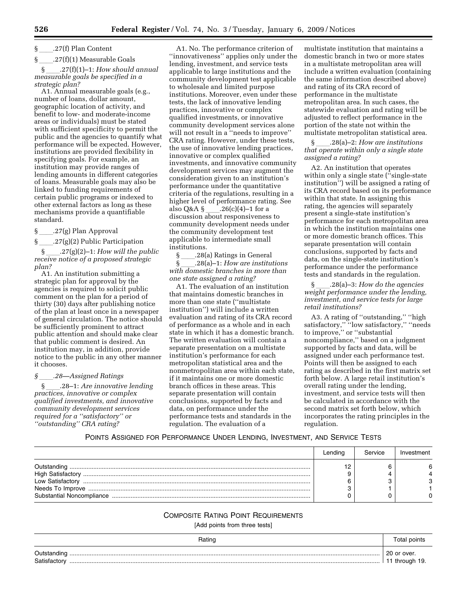# $\S$  \_\_\_\_\_.27(f) Plan Content<br>S \_\_\_\_\_.27(f)(1) Measurabl

\_\_\_.27(f)(1) Measurable Goals<br>§ .27(f)(1)−1: *How should annual* §ll.27(f)(1)–1: *How should annual measurable goals be specified in a strategic plan?* 

A1. Annual measurable goals (e.g., number of loans, dollar amount, geographic location of activity, and benefit to low- and moderate-income areas or individuals) must be stated with sufficient specificity to permit the public and the agencies to quantify what performance will be expected. However, institutions are provided flexibility in specifying goals. For example, an institution may provide ranges of lending amounts in different categories of loans. Measurable goals may also be linked to funding requirements of certain public programs or indexed to other external factors as long as these mechanisms provide a quantifiable standard.

§\_\_\_\_\_.27(g) Plan Approval<br>§\_\_\_\_\_.27(g)(2) Public Parti

\_\_\_\_.27(g)(2) Public Participation<br>§ 27(g)(2)−1: *How will the p* §ll.27(g)(2)–1: *How will the public receive notice of a proposed strategic plan?* 

A1. An institution submitting a strategic plan for approval by the agencies is required to solicit public comment on the plan for a period of thirty (30) days after publishing notice of the plan at least once in a newspaper of general circulation. The notice should be sufficiently prominent to attract public attention and should make clear that public comment is desired. An institution may, in addition, provide notice to the public in any other manner it chooses.

*§*ll*.28—Assigned Ratings* 

§ll.28–1: *Are innovative lending practices, innovative or complex qualified investments, and innovative community development services required for a ''satisfactory'' or ''outstanding'' CRA rating?* 

A1. No. The performance criterion of ''innovativeness'' applies only under the lending, investment, and service tests applicable to large institutions and the community development test applicable to wholesale and limited purpose institutions. Moreover, even under these tests, the lack of innovative lending practices, innovative or complex qualified investments, or innovative community development services alone will not result in a ''needs to improve'' CRA rating. However, under these tests, the use of innovative lending practices, innovative or complex qualified investments, and innovative community development services may augment the consideration given to an institution's performance under the quantitative criteria of the regulations, resulting in a higher level of performance rating. See<br>also  $Q & A \S$  .26(c)(4)–1 for a also Q&A §\_\_\_\_.26(c)(4)–1 for a<br>discussion about responsiveness to community development needs under the community development test applicable to intermediate small institutions.

§\_\_\_\_\_.28(a) Ratings in General<br>§  $328(a)-1$ : How are institu §ll.28(a)–1: *How are institutions with domestic branches in more than one state assigned a rating?* 

A1. The evaluation of an institution that maintains domestic branches in more than one state (''multistate institution'') will include a written evaluation and rating of its CRA record of performance as a whole and in each state in which it has a domestic branch. The written evaluation will contain a separate presentation on a multistate institution's performance for each metropolitan statistical area and the nonmetropolitan area within each state, if it maintains one or more domestic branch offices in these areas. This separate presentation will contain conclusions, supported by facts and data, on performance under the performance tests and standards in the regulation. The evaluation of a

multistate institution that maintains a domestic branch in two or more states in a multistate metropolitan area will include a written evaluation (containing the same information described above) and rating of its CRA record of performance in the multistate metropolitan area. In such cases, the statewide evaluation and rating will be adjusted to reflect performance in the portion of the state not within the multistate metropolitan statistical area.

§ll.28(a)–2: *How are institutions that operate within only a single state assigned a rating?* 

A2. An institution that operates within only a single state ("single-state" institution'') will be assigned a rating of its CRA record based on its performance within that state. In assigning this rating, the agencies will separately present a single-state institution's performance for each metropolitan area in which the institution maintains one or more domestic branch offices. This separate presentation will contain conclusions, supported by facts and data, on the single-state institution's performance under the performance tests and standards in the regulation.

§ll.28(a)–3: *How do the agencies weight performance under the lending, investment, and service tests for large retail institutions?* 

A3. A rating of ''outstanding,'' ''high satisfactory,'' ''low satisfactory,'' ''needs to improve,'' or ''substantial noncompliance,'' based on a judgment supported by facts and data, will be assigned under each performance test. Points will then be assigned to each rating as described in the first matrix set forth below. A large retail institution's overall rating under the lending, investment, and service tests will then be calculated in accordance with the second matrix set forth below, which incorporates the rating principles in the regulation.

#### POINTS ASSIGNED FOR PERFORMANCE UNDER LENDING, INVESTMENT, AND SERVICE TESTS

|                  | Lendina | Service | Investment |
|------------------|---------|---------|------------|
| Low Satisfactory |         |         |            |

#### COMPOSITE RATING POINT REQUIREMENTS

[Add points from three tests]

| Rating                                | points                     |
|---------------------------------------|----------------------------|
| ⊃utstandıng<br>. .<br>≾atıstactor<br> | 20 or over.<br>through 19. |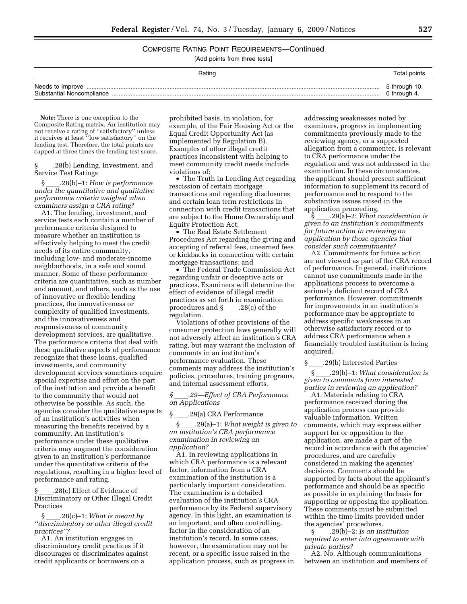COMPOSITE RATING POINT REQUIREMENTS—Continued

[Add points from three tests]

| Rating                                        | Total points                  |
|-----------------------------------------------|-------------------------------|
| Needs to Improve<br>Substantial Noncompliance | 5 through 10.<br>0 through 4. |

**Note:** There is one exception to the Composite Rating matrix. An institution may not receive a rating of ''satisfactory'' unless it receives at least ''low satisfactory'' on the lending test. Therefore, the total points are capped at three times the lending test score.

§ll.28(b) Lending, Investment, and Service Test Ratings

§ll.28(b)–1: *How is performance under the quantitative and qualitative performance criteria weighed when examiners assign a CRA rating?* 

A1. The lending, investment, and service tests each contain a number of performance criteria designed to measure whether an institution is effectively helping to meet the credit needs of its entire community, including low- and moderate-income neighborhoods, in a safe and sound manner. Some of these performance criteria are quantitative, such as number and amount, and others, such as the use of innovative or flexible lending practices, the innovativeness or complexity of qualified investments, and the innovativeness and responsiveness of community development services, are qualitative. The performance criteria that deal with these qualitative aspects of performance recognize that these loans, qualified investments, and community development services sometimes require special expertise and effort on the part of the institution and provide a benefit to the community that would not otherwise be possible. As such, the agencies consider the qualitative aspects of an institution's activities when measuring the benefits received by a community. An institution's performance under these qualitative criteria may augment the consideration given to an institution's performance under the quantitative criteria of the regulations, resulting in a higher level of performance and rating.

§ \_\_\_\_.28(c) Effect of Evidence of<br>Discriminatory or Other Illegal Credit Practices

§ll.28(c)–1: *What is meant by ''discriminatory or other illegal credit practices''?* 

A1. An institution engages in discriminatory credit practices if it discourages or discriminates against credit applicants or borrowers on a

prohibited basis, in violation, for example, of the Fair Housing Act or the Equal Credit Opportunity Act (as implemented by Regulation B). Examples of other illegal credit practices inconsistent with helping to meet community credit needs include violations of:

• The Truth in Lending Act regarding rescission of certain mortgage transactions and regarding disclosures and certain loan term restrictions in connection with credit transactions that are subject to the Home Ownership and Equity Protection Act;

• The Real Estate Settlement Procedures Act regarding the giving and accepting of referral fees, unearned fees or kickbacks in connection with certain mortgage transactions; and

• The Federal Trade Commission Act regarding unfair or deceptive acts or practices. Examiners will determine the effect of evidence of illegal credit practices as set forth in examination procedures and  $\S$ . 28(c) of the regulation.

Violations of other provisions of the consumer protection laws generally will not adversely affect an institution's CRA rating, but may warrant the inclusion of comments in an institution's performance evaluation. These comments may address the institution's policies, procedures, training programs, and internal assessment efforts.

*§*ll*.29—Effect of CRA Performance on Applications* 

 $\S$  \_\_\_\_\_.29(a) CRA Performance<br> $\S$  .29(a)-1: What weight

§ll.29(a)–1: *What weight is given to an institution's CRA performance examination in reviewing an application?* 

A1. In reviewing applications in which CRA performance is a relevant factor, information from a CRA examination of the institution is a particularly important consideration. The examination is a detailed evaluation of the institution's CRA performance by its Federal supervisory agency. In this light, an examination is an important, and often controlling, factor in the consideration of an institution's record. In some cases, however, the examination may not be recent, or a specific issue raised in the application process, such as progress in

addressing weaknesses noted by examiners, progress in implementing commitments previously made to the reviewing agency, or a supported allegation from a commenter, is relevant to CRA performance under the regulation and was not addressed in the examination. In these circumstances, the applicant should present sufficient information to supplement its record of performance and to respond to the substantive issues raised in the application proceeding.

§ll.29(a)–2: *What consideration is given to an institution's commitments for future action in reviewing an application by those agencies that consider such commitments?* 

A2. Commitments for future action are not viewed as part of the CRA record of performance. In general, institutions cannot use commitments made in the applications process to overcome a seriously deficient record of CRA performance. However, commitments for improvements in an institution's performance may be appropriate to address specific weaknesses in an otherwise satisfactory record or to address CRA performance when a financially troubled institution is being acquired.

 $\frac{\S}{\S}$  .29(b) Interested Parties<br>S .29(b)-1: What consid

§ll.29(b)–1: *What consideration is given to comments from interested parties in reviewing an application?* 

A1. Materials relating to CRA performance received during the application process can provide valuable information. Written comments, which may express either support for or opposition to the application, are made a part of the record in accordance with the agencies' procedures, and are carefully considered in making the agencies' decisions. Comments should be supported by facts about the applicant's performance and should be as specific as possible in explaining the basis for supporting or opposing the application. These comments must be submitted within the time limits provided under the agencies' procedures.

§ll.29(b)–2: *Is an institution required to enter into agreements with private parties?* 

A2. No. Although communications between an institution and members of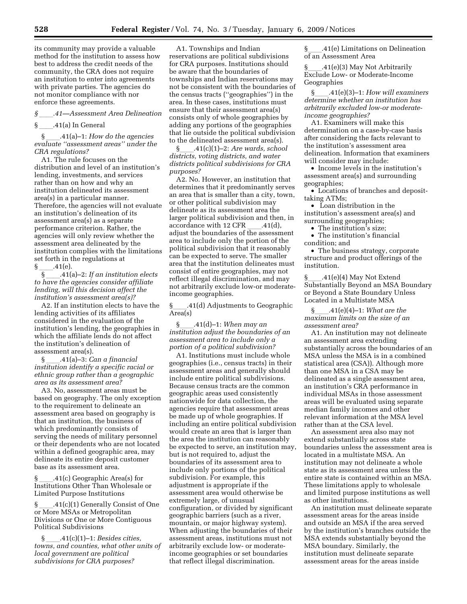its community may provide a valuable method for the institution to assess how best to address the credit needs of the community, the CRA does not require an institution to enter into agreements with private parties. The agencies do not monitor compliance with nor enforce these agreements.

*§*ll*.41—Assessment Area Delineation* 

41(a) In General...<br>§ 41(a)–1: How

§ll.41(a)–1: *How do the agencies evaluate ''assessment areas'' under the CRA regulations?* 

A1. The rule focuses on the distribution and level of an institution's lending, investments, and services rather than on how and why an institution delineated its assessment area(s) in a particular manner. Therefore, the agencies will not evaluate an institution's delineation of its assessment area(s) as a separate performance criterion. Rather, the agencies will only review whether the assessment area delineated by the institution complies with the limitations set forth in the regulations at

 $\frac{\S}{\S}$  .41(e). §ll.41(a)–2: *If an institution elects to have the agencies consider affiliate lending, will this decision affect the institution's assessment area(s)?* 

A2. If an institution elects to have the lending activities of its affiliates considered in the evaluation of the institution's lending, the geographies in which the affiliate lends do not affect the institution's delineation of assessment area(s).

§ll.41(a)–3: *Can a financial institution identify a specific racial or ethnic group rather than a geographic area as its assessment area?* 

A3. No, assessment areas must be based on geography. The only exception to the requirement to delineate an assessment area based on geography is that an institution, the business of which predominantly consists of serving the needs of military personnel or their dependents who are not located within a defined geographic area, may delineate its entire deposit customer base as its assessment area.

§ \_\_\_\_.41(c) Geographic Area(s) for<br>Institutions Other Than Wholesale or Limited Purpose Institutions

§ .41(c)(1) Generally Consist of One or More MSAs or Metropolitan Divisions or One or More Contiguous Political Subdivisions

§ll.41(c)(1)–1: *Besides cities, towns, and counties, what other units of local government are political subdivisions for CRA purposes?* 

A1. Townships and Indian reservations are political subdivisions for CRA purposes. Institutions should be aware that the boundaries of townships and Indian reservations may not be consistent with the boundaries of the census tracts (''geographies'') in the area. In these cases, institutions must ensure that their assessment area(s) consists only of whole geographies by adding any portions of the geographies that lie outside the political subdivision to the delineated assessment area(s).

§ll.41(c)(1)–2: *Are wards, school districts, voting districts, and water districts political subdivisions for CRA purposes?* 

A2. No. However, an institution that determines that it predominantly serves an area that is smaller than a city, town, or other political subdivision may delineate as its assessment area the larger political subdivision and then, in  $accordance$  with 12 CFR  $.41(d)$ , accordance with 12 CFR \_\_\_\_.41(d),<br>adjust the boundaries of the assessment area to include only the portion of the political subdivision that it reasonably can be expected to serve. The smaller area that the institution delineates must consist of entire geographies, may not reflect illegal discrimination, and may not arbitrarily exclude low-or moderateincome geographies.

§ .41(d) Adjustments to Geographic Area(s)

§ll.41(d)–1: *When may an institution adjust the boundaries of an assessment area to include only a portion of a political subdivision?* 

A1. Institutions must include whole geographies (i.e., census tracts) in their assessment areas and generally should include entire political subdivisions. Because census tracts are the common geographic areas used consistently nationwide for data collection, the agencies require that assessment areas be made up of whole geographies. If including an entire political subdivision would create an area that is larger than the area the institution can reasonably be expected to serve, an institution may, but is not required to, adjust the boundaries of its assessment area to include only portions of the political subdivision. For example, this adjustment is appropriate if the assessment area would otherwise be extremely large, of unusual configuration, or divided by significant geographic barriers (such as a river, mountain, or major highway system). When adjusting the boundaries of their assessment areas, institutions must not arbitrarily exclude low- or moderateincome geographies or set boundaries that reflect illegal discrimination.

§ll.41(e) Limitations on Delineation of an Assessment Area

§\_\_\_\_.41(e)(3) May Not Arbitrarily<br>Exclude Low- or Moderate-Income Geographies

§ll.41(e)(3)–1: *How will examiners determine whether an institution has arbitrarily excluded low-or moderateincome geographies?* 

A1. Examiners will make this determination on a case-by-case basis after considering the facts relevant to the institution's assessment area delineation. Information that examiners will consider may include:

• Income levels in the institution's assessment area(s) and surrounding geographies;

• Locations of branches and deposittaking ATMs;

• Loan distribution in the institution's assessment area(s) and surrounding geographies;

• The institution's size;

• The institution's financial condition; and

• The business strategy, corporate structure and product offerings of the institution.

§ll.41(e)(4) May Not Extend Substantially Beyond an MSA Boundary or Beyond a State Boundary Unless Located in a Multistate MSA

§ll.41(e)(4)–1: *What are the maximum limits on the size of an assessment area?* 

A1. An institution may not delineate an assessment area extending substantially across the boundaries of an MSA unless the MSA is in a combined statistical area (CSA)). Although more than one MSA in a CSA may be delineated as a single assessment area, an institution's CRA performance in individual MSAs in those assessment areas will be evaluated using separate median family incomes and other relevant information at the MSA level rather than at the CSA level.

An assessment area also may not extend substantially across state boundaries unless the assessment area is located in a multistate MSA. An institution may not delineate a whole state as its assessment area unless the entire state is contained within an MSA. These limitations apply to wholesale and limited purpose institutions as well as other institutions.

An institution must delineate separate assessment areas for the areas inside and outside an MSA if the area served by the institution's branches outside the MSA extends substantially beyond the MSA boundary. Similarly, the institution must delineate separate assessment areas for the areas inside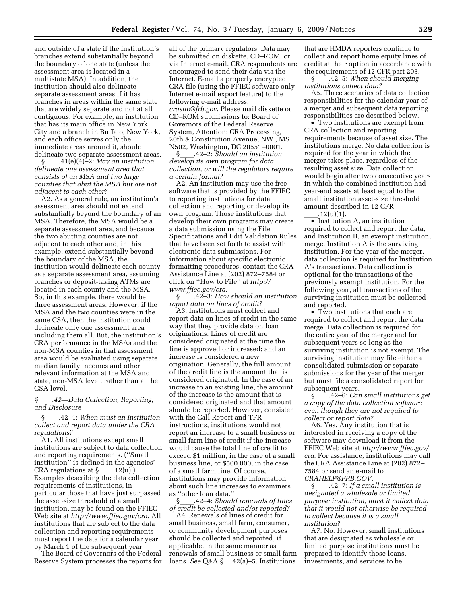and outside of a state if the institution's branches extend substantially beyond the boundary of one state (unless the assessment area is located in a multistate MSA). In addition, the institution should also delineate separate assessment areas if it has branches in areas within the same state that are widely separate and not at all contiguous. For example, an institution that has its main office in New York City and a branch in Buffalo, New York, and each office serves only the immediate areas around it, should

delineate two separate assessment areas.<br>  $\frac{120 \times 116}{6} = 416(4) - 2$ : May an institution §ll.41(e)(4)–2: *May an institution delineate one assessment area that consists of an MSA and two large counties that abut the MSA but are not adjacent to each other?* 

A2. As a general rule, an institution's assessment area should not extend substantially beyond the boundary of an MSA. Therefore, the MSA would be a separate assessment area, and because the two abutting counties are not adjacent to each other and, in this example, extend substantially beyond the boundary of the MSA, the institution would delineate each county as a separate assessment area, assuming branches or deposit-taking ATMs are located in each county and the MSA. So, in this example, there would be three assessment areas. However, if the MSA and the two counties were in the same CSA, then the institution could delineate only one assessment area including them all. But, the institution's CRA performance in the MSAs and the non-MSA counties in that assessment area would be evaluated using separate median family incomes and other relevant information at the MSA and state, non-MSA level, rather than at the CSA level.

#### *§*ll*.42—Data Collection, Reporting, and Disclosure*

§ll.42–1: *When must an institution collect and report data under the CRA regulations?* 

A1. All institutions except small institutions are subject to data collection and reporting requirements. (''Small institution'' is defined in the agencies' CRA regulations at §\_\_\_\_.12(u).)<br>Examples describing the data collection requirements of institutions, in particular those that have just surpassed the asset-size threshold of a small institution, may be found on the FFIEC Web site at *http://www.ffiec.gov/cra*. All institutions that are subject to the data collection and reporting requirements must report the data for a calendar year by March 1 of the subsequent year.

The Board of Governors of the Federal Reserve System processes the reports for

all of the primary regulators. Data may be submitted on diskette, CD–ROM, or via Internet e-mail. CRA respondents are encouraged to send their data via the Internet. E-mail a properly encrypted CRA file (using the FFIEC software only Internet e-mail export feature) to the following e-mail address: *crasub@frb.gov*. Please mail diskette or CD–ROM submissions to: Board of Governors of the Federal Reserve System, Attention: CRA Processing, 20th & Constitution Avenue, NW., MS N502, Washington, DC 20551–0001.

§ll.42–2: *Should an institution develop its own program for data collection, or will the regulators require a certain format?* 

A2. An institution may use the free software that is provided by the FFIEC to reporting institutions for data collection and reporting or develop its own program. Those institutions that develop their own programs may create a data submission using the File Specifications and Edit Validation Rules that have been set forth to assist with electronic data submissions. For information about specific electronic formatting procedures, contact the CRA Assistance Line at (202) 872–7584 or click on ''How to File'' at *http:// www.ffiec.gov/cra*.

§ll.42–3: *How should an institution report data on lines of credit?* 

A3. Institutions must collect and report data on lines of credit in the same way that they provide data on loan originations. Lines of credit are considered originated at the time the line is approved or increased; and an increase is considered a new origination. Generally, the full amount of the credit line is the amount that is considered originated. In the case of an increase to an existing line, the amount of the increase is the amount that is considered originated and that amount should be reported. However, consistent with the Call Report and TFR instructions, institutions would not report an increase to a small business or small farm line of credit if the increase would cause the total line of credit to exceed \$1 million, in the case of a small business line, or \$500,000, in the case of a small farm line. Of course, institutions may provide information about such line increases to examiners as ''other loan data.''

§ll.42–4: *Should renewals of lines of credit be collected and/or reported?* 

A4. Renewals of lines of credit for small business, small farm, consumer, or community development purposes should be collected and reported, if applicable, in the same manner as renewals of small business or small farm loans. *See* Q&A § .42(a)–5. Institutions

that are HMDA reporters continue to collect and report home equity lines of credit at their option in accordance with the requirements of 12 CFR part 203.

§ll.42–5: *When should merging institutions collect data?* 

A5. Three scenarios of data collection responsibilities for the calendar year of a merger and subsequent data reporting responsibilities are described below.

• Two institutions are exempt from CRA collection and reporting requirements because of asset size. The institutions merge. No data collection is required for the year in which the merger takes place, regardless of the resulting asset size. Data collection would begin after two consecutive years in which the combined institution had year-end assets at least equal to the small institution asset-size threshold amount described in 12 CFR<br>.12(u)(1).

 $\frac{12(u)(1)}{•}$  Institution A, an institution required to collect and report the data, and Institution B, an exempt institution, merge. Institution A is the surviving institution. For the year of the merger, data collection is required for Institution A's transactions. Data collection is optional for the transactions of the previously exempt institution. For the following year, all transactions of the surviving institution must be collected and reported.

• Two institutions that each are required to collect and report the data merge. Data collection is required for the entire year of the merger and for subsequent years so long as the surviving institution is not exempt. The surviving institution may file either a consolidated submission or separate submissions for the year of the merger but must file a consolidated report for subsequent years.

§ll.42–6: *Can small institutions get a copy of the data collection software even though they are not required to collect or report data?* 

A6. Yes. Any institution that is interested in receiving a copy of the software may download it from the FFIEC Web site at *http://www.ffiec.gov/ cra*. For assistance, institutions may call the CRA Assistance Line at (202) 872– 7584 or send an e-mail to *CRAHELP@FRB.GOV*.

§*\_\_\_\_\_***.42–7:** *If a small institution is designated a wholesale or limited purpose institution, must it collect data that it would not otherwise be required to collect because it is a small institution?* 

A7. No. However, small institutions that are designated as wholesale or limited purpose institutions must be prepared to identify those loans, investments, and services to be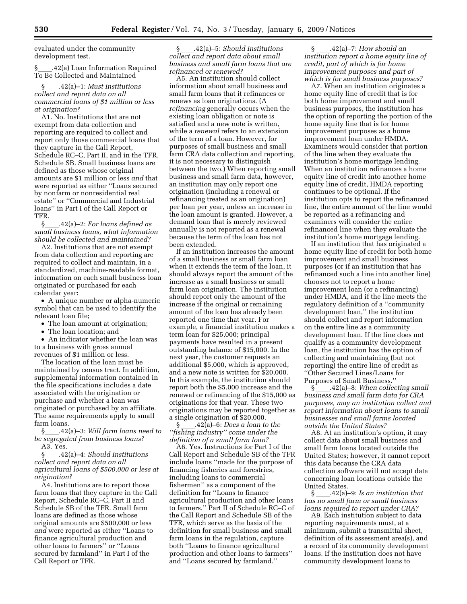evaluated under the community development test.

§ll.42(a) Loan Information Required To Be Collected and Maintained

#### §ll.42(a)–1: *Must institutions collect and report data on all commercial loans of \$1 million or less at origination?*

A1. No. Institutions that are not exempt from data collection and reporting are required to collect and report only those commercial loans that they capture in the Call Report, Schedule RC–C, Part II, and in the TFR, Schedule SB. Small business loans are defined as those whose original amounts are \$1 million or less *and* that were reported as either ''Loans secured by nonfarm or nonresidential real estate'' or ''Commercial and Industrial loans'' in Part I of the Call Report or TFR.

§ll.42(a)–2: *For loans defined as small business loans, what information should be collected and maintained?* 

A2. Institutions that are not exempt from data collection and reporting are required to collect and maintain, in a standardized, machine-readable format, information on each small business loan originated or purchased for each calendar year:

• A unique number or alpha-numeric symbol that can be used to identify the relevant loan file;

- The loan amount at origination;
- The loan location; and

• An indicator whether the loan was to a business with gross annual revenues of \$1 million or less.

The location of the loan must be maintained by census tract. In addition, supplemental information contained in the file specifications includes a date associated with the origination or purchase and whether a loan was originated or purchased by an affiliate. The same requirements apply to small farm loans.

§ll.42(a)–3: *Will farm loans need to be segregated from business loans?*  A3. Yes.

§ll.42(a)–4: *Should institutions collect and report data on all agricultural loans of \$500,000 or less at origination?* 

A4. Institutions are to report those farm loans that they capture in the Call Report, Schedule RC–C, Part II and Schedule SB of the TFR. Small farm loans are defined as those whose original amounts are \$500,000 or less *and* were reported as either ''Loans to finance agricultural production and other loans to farmers'' or ''Loans secured by farmland'' in Part I of the Call Report or TFR.

§ll.42(a)–5: *Should institutions collect and report data about small business and small farm loans that are refinanced or renewed?* 

A5. An institution should collect information about small business and small farm loans that it refinances or renews as loan originations. (A *refinancing* generally occurs when the existing loan obligation or note is satisfied and a new note is written, while a *renewal* refers to an extension of the term of a loan. However, for purposes of small business and small farm CRA data collection and reporting, it is not necessary to distinguish between the two.) When reporting small business and small farm data, however, an institution may only report one origination (including a renewal or refinancing treated as an origination) per loan per year, unless an increase in the loan amount is granted. However, a demand loan that is merely reviewed annually is not reported as a renewal because the term of the loan has not been extended.

If an institution increases the amount of a small business or small farm loan when it extends the term of the loan, it should always report the amount of the increase as a small business or small farm loan origination. The institution should report only the amount of the increase if the original or remaining amount of the loan has already been reported one time that year. For example, a financial institution makes a term loan for \$25,000; principal payments have resulted in a present outstanding balance of \$15,000. In the next year, the customer requests an additional \$5,000, which is approved, and a new note is written for \$20,000. In this example, the institution should report both the \$5,000 increase and the renewal or refinancing of the \$15,000 as originations for that year. These two originations may be reported together as a single origination of \$20,000.<br>§ .42(a)–6: *Does a loan to the* 

§ll.42(a)–6: *Does a loan to the ''fishing industry'' come under the definition of a small farm loan?* 

A6. Yes. Instructions for Part I of the Call Report and Schedule SB of the TFR include loans ''made for the purpose of financing fisheries and forestries, including loans to commercial fishermen'' as a component of the definition for ''Loans to finance agricultural production and other loans to farmers.'' Part II of Schedule RC–C of the Call Report and Schedule SB of the TFR, which serve as the basis of the definition for small business and small farm loans in the regulation, capture both ''Loans to finance agricultural production and other loans to farmers'' and ''Loans secured by farmland.''

§ll.42(a)–7: *How should an institution report a home equity line of credit, part of which is for home improvement purposes and part of which is for small business purposes?* 

A7. When an institution originates a home equity line of credit that is for both home improvement and small business purposes, the institution has the option of reporting the portion of the home equity line that is for home improvement purposes as a home improvement loan under HMDA. Examiners would consider that portion of the line when they evaluate the institution's home mortgage lending. When an institution refinances a home equity line of credit into another home equity line of credit, HMDA reporting continues to be optional. If the institution opts to report the refinanced line, the entire amount of the line would be reported as a refinancing and examiners will consider the entire refinanced line when they evaluate the institution's home mortgage lending.

If an institution that has originated a home equity line of credit for both home improvement and small business purposes (or if an institution that has refinanced such a line into another line) chooses not to report a home improvement loan (or a refinancing) under HMDA, and if the line meets the regulatory definition of a ''community development loan,'' the institution should collect and report information on the entire line as a community development loan. If the line does not qualify as a community development loan, the institution has the option of collecting and maintaining (but not reporting) the entire line of credit as ''Other Secured Lines/Loans for Purposes of Small Business.''

§ll.42(a)–8: *When collecting small business and small farm data for CRA purposes, may an institution collect and report information about loans to small businesses and small farms located outside the United States?* 

A8. At an institution's option, it may collect data about small business and small farm loans located outside the United States; however, it cannot report this data because the CRA data collection software will not accept data concerning loan locations outside the United States.<br>42(a)

§ll.42(a)–9: *Is an institution that has no small farm or small business loans required to report under CRA?* 

A9. Each institution subject to data reporting requirements must, at a minimum, submit a transmittal sheet, definition of its assessment area(s), and a record of its community development loans. If the institution does not have community development loans to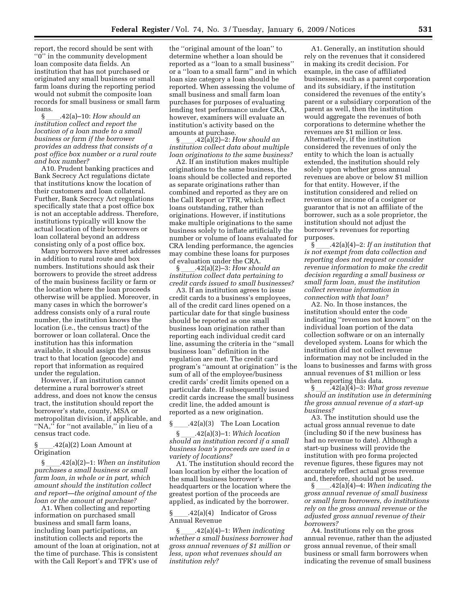report, the record should be sent with ''0'' in the community development loan composite data fields. An institution that has not purchased or originated any small business or small farm loans during the reporting period would not submit the composite loan records for small business or small farm loans.

#### §ll.42(a)–10: *How should an institution collect and report the location of a loan made to a small business or farm if the borrower provides an address that consists of a post office box number or a rural route and box number?*

A10. Prudent banking practices and Bank Secrecy Act regulations dictate that institutions know the location of their customers and loan collateral. Further, Bank Secrecy Act regulations specifically state that a post office box is not an acceptable address. Therefore, institutions typically will know the actual location of their borrowers or loan collateral beyond an address consisting only of a post office box.

Many borrowers have street addresses in addition to rural route and box numbers. Institutions should ask their borrowers to provide the street address of the main business facility or farm or the location where the loan proceeds otherwise will be applied. Moreover, in many cases in which the borrower's address consists only of a rural route number, the institution knows the location (i.e., the census tract) of the borrower or loan collateral. Once the institution has this information available, it should assign the census tract to that location (geocode) and report that information as required under the regulation.

However, if an institution cannot determine a rural borrower's street address, and does not know the census tract, the institution should report the borrower's state, county, MSA or metropolitan division, if applicable, and "NA," for "not available," in lieu of a census tract code.

 $.42(a)(2)$  Loan Amount at **Origination** 

§ll.42(a)(2)–1: *When an institution purchases a small business or small farm loan, in whole or in part, which amount should the institution collect and report—the original amount of the loan or the amount at purchase?* 

A1. When collecting and reporting information on purchased small business and small farm loans, including loan participations, an institution collects and reports the amount of the loan at origination, not at the time of purchase. This is consistent with the Call Report's and TFR's use of

the ''original amount of the loan'' to determine whether a loan should be reported as a ''loan to a small business'' or a ''loan to a small farm'' and in which loan size category a loan should be reported. When assessing the volume of small business and small farm loan purchases for purposes of evaluating lending test performance under CRA, however, examiners will evaluate an institution's activity based on the amounts at purchase.

§ll.42(a)(2)–2: *How should an institution collect data about multiple loan originations to the same business?* 

A2. If an institution makes multiple originations to the same business, the loans should be collected and reported as separate originations rather than combined and reported as they are on the Call Report or TFR, which reflect loans outstanding, rather than originations. However, if institutions make multiple originations to the same business solely to inflate artificially the number or volume of loans evaluated for CRA lending performance, the agencies may combine these loans for purposes of evaluation under the CRA.

 $\S$  \_\_\_\_\_.42(a)(2)–3: *How should an institution collect data pertaining to credit cards issued to small businesses?* 

A3. If an institution agrees to issue credit cards to a business's employees, all of the credit card lines opened on a particular date for that single business should be reported as one small business loan origination rather than reporting each individual credit card line, assuming the criteria in the ''small business loan'' definition in the regulation are met. The credit card program's ''amount at origination'' is the sum of all of the employee/business credit cards' credit limits opened on a particular date. If subsequently issued credit cards increase the small business credit line, the added amount is reported as a new origination.

 $\S$  \_\_\_\_.42(a)(3) The Loan Location<br> $\S$  .42(a)(3)–1: Which location

§ll.42(a)(3)–1: *Which location should an institution record if a small business loan's proceeds are used in a variety of locations?* 

A1. The institution should record the loan location by either the location of the small business borrower's headquarters or the location where the greatest portion of the proceeds are applied, as indicated by the borrower.

 $\S$  .42(a)(4) Indicator of Gross Annual Revenue

§ll.42(a)(4)–1: *When indicating whether a small business borrower had gross annual revenues of \$1 million or less, upon what revenues should an institution rely?* 

A1. Generally, an institution should rely on the revenues that it considered in making its credit decision. For example, in the case of affiliated businesses, such as a parent corporation and its subsidiary, if the institution considered the revenues of the entity's parent or a subsidiary corporation of the parent as well, then the institution would aggregate the revenues of both corporations to determine whether the revenues are \$1 million or less. Alternatively, if the institution considered the revenues of only the entity to which the loan is actually extended, the institution should rely solely upon whether gross annual revenues are above or below \$1 million for that entity. However, if the institution considered and relied on revenues or income of a cosigner or guarantor that is not an affiliate of the borrower, such as a sole proprietor, the institution should not adjust the borrower's revenues for reporting purposes.

 $\S$  .42(a)(4)–2: *If an institution that is not exempt from data collection and reporting does not request or consider revenue information to make the credit decision regarding a small business or small farm loan, must the institution collect revenue information in connection with that loan?* 

A2. No. In those instances, the institution should enter the code indicating ''revenues not known'' on the individual loan portion of the data collection software or on an internally developed system. Loans for which the institution did not collect revenue information may not be included in the loans to businesses and farms with gross annual revenues of \$1 million or less when reporting this data.

§ll.42(a)(4)–3: *What gross revenue should an institution use in determining the gross annual revenue of a start-up business?* 

A3. The institution should use the actual gross annual revenue to date (including \$0 if the new business has had no revenue to date). Although a start-up business will provide the institution with pro forma projected revenue figures, these figures may not accurately reflect actual gross revenue and, therefore, should not be used.

§ll.42(a)(4)–4: *When indicating the gross annual revenue of small business or small farm borrowers, do institutions rely on the gross annual revenue or the adjusted gross annual revenue of their borrowers?* 

A4. Institutions rely on the gross annual revenue, rather than the adjusted gross annual revenue, of their small business or small farm borrowers when indicating the revenue of small business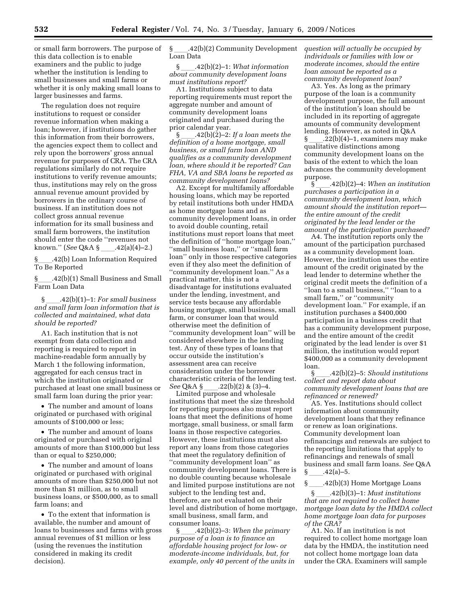or small farm borrowers. The purpose of this data collection is to enable examiners and the public to judge whether the institution is lending to small businesses and small farms or whether it is only making small loans to larger businesses and farms.

The regulation does not require institutions to request or consider revenue information when making a loan; however, if institutions do gather this information from their borrowers, the agencies expect them to collect and rely upon the borrowers' gross annual revenue for purposes of CRA. The CRA regulations similarly do not require institutions to verify revenue amounts; thus, institutions may rely on the gross annual revenue amount provided by borrowers in the ordinary course of business. If an institution does not collect gross annual revenue information for its small business and small farm borrowers, the institution should enter the code ''revenues not known." (*See* Q&A §\_\_\_\_.42(a)(4)–2.)

§ll.42(b) Loan Information Required To Be Reported

§ll.42(b)(1) Small Business and Small Farm Loan Data

§ll.42(b)(1)–1: *For small business and small farm loan information that is collected and maintained, what data should be reported?* 

A1. Each institution that is not exempt from data collection and reporting is required to report in machine-readable form annually by March 1 the following information, aggregated for each census tract in which the institution originated or purchased at least one small business or small farm loan during the prior year:

• The number and amount of loans originated or purchased with original amounts of \$100,000 or less;

• The number and amount of loans originated or purchased with original amounts of more than \$100,000 but less than or equal to \$250,000;

• The number and amount of loans originated or purchased with original amounts of more than \$250,000 but not more than \$1 million, as to small business loans, or \$500,000, as to small farm loans; and

• To the extent that information is available, the number and amount of loans to businesses and farms with gross annual revenues of \$1 million or less (using the revenues the institution considered in making its credit decision).

§ .42(b)(2) Community Development Loan Data

§ll.42(b)(2)–1: *What information about community development loans must institutions report?* 

A1. Institutions subject to data reporting requirements must report the aggregate number and amount of community development loans originated and purchased during the prior calendar year.

§ll.42(b)(2)–2: *If a loan meets the definition of a home mortgage, small business, or small farm loan AND qualifies as a community development loan, where should it be reported? Can FHA, VA and SBA loans be reported as community development loans?* 

A2. Except for multifamily affordable housing loans, which may be reported by retail institutions both under HMDA as home mortgage loans and as community development loans, in order to avoid double counting, retail institutions must report loans that meet the definition of ''home mortgage loan,'' ''small business loan,'' or ''small farm loan'' only in those respective categories even if they also meet the definition of ''community development loan.'' As a practical matter, this is not a disadvantage for institutions evaluated under the lending, investment, and service tests because any affordable housing mortgage, small business, small farm, or consumer loan that would otherwise meet the definition of ''community development loan'' will be considered elsewhere in the lending test. Any of these types of loans that occur outside the institution's assessment area can receive consideration under the borrower characteristic criteria of the lending test.<br>See Q&A § .22(b)(2) & (3)-4. *See* Q&A §\_\_\_\_.22(b)(2) & (3)–4.<br>Limited purpose and wholesale

institutions that meet the size threshold for reporting purposes also must report loans that meet the definitions of home mortgage, small business, or small farm loans in those respective categories. However, these institutions must also report any loans from those categories that meet the regulatory definition of ''community development loan'' as community development loans. There is no double counting because wholesale and limited purpose institutions are not subject to the lending test and, therefore, are not evaluated on their level and distribution of home mortgage, small business, small farm, and consumer loans.

§ll.42(b)(2)–3: *When the primary purpose of a loan is to finance an affordable housing project for low- or moderate-income individuals, but, for example, only 40 percent of the units in*  *question will actually be occupied by individuals or families with low or moderate incomes, should the entire loan amount be reported as a community development loan?* 

A3. Yes. As long as the primary purpose of the loan is a community development purpose, the full amount of the institution's loan should be included in its reporting of aggregate amounts of community development lending. However, as noted in Q&A  $\S$  .22(b)(4)–1, examiners may make qualitative distinctions among community development loans on the basis of the extent to which the loan advances the community development purpose.

§ll.42(b)(2)–4: *When an institution purchases a participation in a community development loan, which amount should the institution report the entire amount of the credit originated by the lead lender or the amount of the participation purchased?* 

A4. The institution reports only the amount of the participation purchased as a community development loan. However, the institution uses the entire amount of the credit originated by the lead lender to determine whether the original credit meets the definition of a ''loan to a small business,'' ''loan to a small farm,'' or ''community development loan.'' For example, if an institution purchases a \$400,000 participation in a business credit that has a community development purpose, and the entire amount of the credit originated by the lead lender is over \$1 million, the institution would report \$400,000 as a community development loan.

§ll.42(b)(2)–5: *Should institutions collect and report data about community development loans that are refinanced or renewed?* 

A5. Yes. Institutions should collect information about community development loans that they refinance or renew as loan originations. Community development loan refinancings and renewals are subject to the reporting limitations that apply to refinancings and renewals of small business and small farm loans. *See* Q&A  $\frac{\{-8, 42(a)-5\}}{2}$ <br>\$ .42(b)(3)

.42(b)(3) Home Mortgage Loans<br>42(b)(3)–1: *Must institutions*.

§ll.42(b)(3)–1: *Must institutions that are not required to collect home mortgage loan data by the HMDA collect home mortgage loan data for purposes of the CRA?* 

A1. No. If an institution is not required to collect home mortgage loan data by the HMDA, the institution need not collect home mortgage loan data under the CRA. Examiners will sample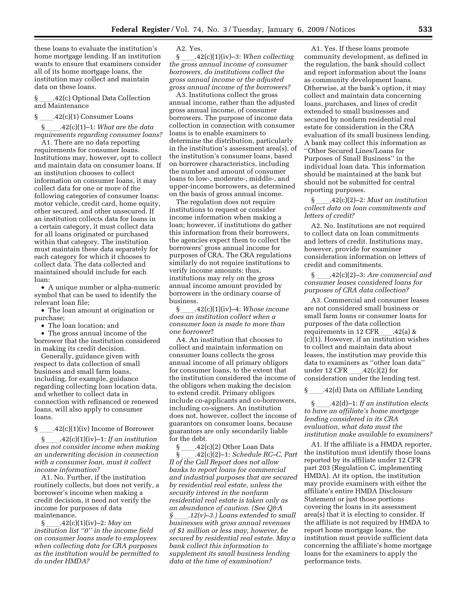these loans to evaluate the institution's home mortgage lending. If an institution wants to ensure that examiners consider all of its home mortgage loans, the institution may collect and maintain data on these loans.

§ .42(c) Optional Data Collection and Maintenance

 $\frac{1}{2}$ .42(c)(1) Consumer Loans<br> $\frac{1}{2}$ .42(c)(1)–1: What are the data §ll.42(c)(1)–1: *What are the data requirements regarding consumer loans?* 

A1. There are no data reporting requirements for consumer loans. Institutions may, however, opt to collect and maintain data on consumer loans. If an institution chooses to collect information on consumer loans, it may collect data for one or more of the following categories of consumer loans: motor vehicle, credit card, home equity, other secured, and other unsecured. If an institution collects data for loans in a certain category, it must collect data for all loans originated or purchased within that category. The institution must maintain these data separately for each category for which it chooses to collect data. The data collected and maintained should include for each loan:

• A unique number or alpha-numeric symbol that can be used to identify the relevant loan file;

• The loan amount at origination or purchase;

• The loan location; and

• The gross annual income of the borrower that the institution considered in making its credit decision.

Generally, guidance given with respect to data collection of small business and small farm loans, including, for example, guidance regarding collecting loan location data, and whether to collect data in connection with refinanced or renewed loans, will also apply to consumer loans.

§ \_\_\_\_.42(c)(1)(iv) Income of Borrower<br>§  $.42(c)(1)(iv) - 1$ : If an institution

§ll.42(c)(1)(iv)–1: *If an institution does not consider income when making an underwriting decision in connection with a consumer loan, must it collect income information?* 

A1. No. Further, if the institution routinely collects, but does not verify, a borrower's income when making a credit decision, it need not verify the income for purposes of data maintenance.

§ll.42(c)(1)(iv)–2: *May an institution list ''0'' in the income field on consumer loans made to employees when collecting data for CRA purposes as the institution would be permitted to do under HMDA?* 

A2. Yes.

§ll.42(c)(1)(iv)–3: *When collecting the gross annual income of consumer borrowers, do institutions collect the gross annual income or the adjusted gross annual income of the borrowers?* 

A3. Institutions collect the gross annual income, rather than the adjusted gross annual income, of consumer borrowers. The purpose of income data collection in connection with consumer loans is to enable examiners to determine the distribution, particularly in the institution's assessment area(s), of the institution's consumer loans, based on borrower characteristics, including the number and amount of consumer loans to low-, moderate-, middle-, and upper-income borrowers, as determined on the basis of gross annual income.

The regulation does not require institutions to request or consider income information when making a loan; however, if institutions do gather this information from their borrowers, the agencies expect them to collect the borrowers' gross annual income for purposes of CRA. The CRA regulations similarly do not require institutions to verify income amounts; thus, institutions may rely on the gross annual income amount provided by borrowers in the ordinary course of business.

§ll.42(c)(1)(iv)–4: *Whose income does an institution collect when a consumer loan is made to more than one borrower*?

A4. An institution that chooses to collect and maintain information on consumer loans collects the gross annual income of all primary obligors for consumer loans, to the extent that the institution considered the income of the obligors when making the decision to extend credit. Primary obligors include co-applicants and co-borrowers, including co-signers. An institution does not, however, collect the income of guarantors on consumer loans, because guarantors are only secondarily liable for the debt.

 $\S$  \_\_\_\_\_.42(c)(2) Other Loan Data<br>S  $\xi$  \_\_\_\_.42(c)(2)–1: Schedule RC-§ll.42(c)(2)–1: *Schedule RC–C, Part II of the Call Report does not allow banks to report loans for commercial and industrial purposes that are secured by residential real estate, unless the security interest in the nonfarm residential real estate is taken only as an abundance of caution. (See Q&A §*ll*.12(v)–3.) Loans extended to small businesses with gross annual revenues of \$1 million or less may, however, be secured by residential real estate. May a bank collect this information to supplement its small business lending data at the time of examination?* 

A1. Yes. If these loans promote community development, as defined in the regulation, the bank should collect and report information about the loans as community development loans. Otherwise, at the bank's option, it may collect and maintain data concerning loans, purchases, and lines of credit extended to small businesses and secured by nonfarm residential real estate for consideration in the CRA evaluation of its small business lending. A bank may collect this information as ''Other Secured Lines/Loans for Purposes of Small Business'' in the individual loan data. This information should be maintained at the bank but should not be submitted for central reporting purposes.

§ll.42(c)(2)–2: *Must an institution collect data on loan commitments and letters of credit?* 

A2. No. Institutions are not required to collect data on loan commitments and letters of credit. Institutions may, however, provide for examiner consideration information on letters of credit and commitments.

§ll.42(c)(2)–3: *Are commercial and consumer leases considered loans for purposes of CRA data collection?* 

A3. Commercial and consumer leases are not considered small business or small farm loans or consumer loans for purposes of the data collection requirements in 12 CFR\_\_\_.42(a) &<br>(c)(1). However, if an institution wishes to collect and maintain data about leases, the institution may provide this data to examiners as ''other loan data'' under 12 CFR\_\_\_\_.42(c)(2) for<br>consideration under the lending test.

§ .42(d) Data on Affiliate Lending

§ll.42(d)–1: *If an institution elects to have an affiliate's home mortgage lending considered in its CRA evaluation, what data must the institution make available to examiners?* 

A1. If the affiliate is a HMDA reporter, the institution must identify those loans reported by its affiliate under 12 CFR part 203 (Regulation C, implementing HMDA). At its option, the institution may provide examiners with either the affiliate's entire HMDA Disclosure Statement or just those portions covering the loans in its assessment area(s) that it is electing to consider. If the affiliate is not required by HMDA to report home mortgage loans, the institution must provide sufficient data concerning the affiliate's home mortgage loans for the examiners to apply the performance tests.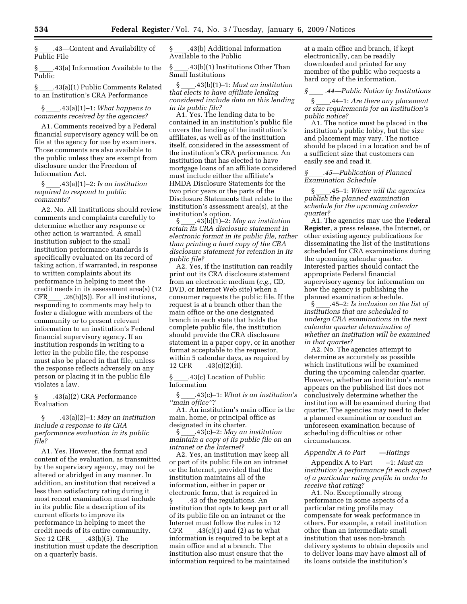§ .43—Content and Availability of Public File

 $\S$  .43(a) Information Available to the Public

§ \_\_\_\_\_.43(a)(1) Public Comments Related to an Institution's CRA Performance

#### §ll.43(a)(1)–1: *What happens to comments received by the agencies?*

A1. Comments received by a Federal financial supervisory agency will be on file at the agency for use by examiners. Those comments are also available to the public unless they are exempt from disclosure under the Freedom of Information Act.

§ll.43(a)(1)–2: *Is an institution required to respond to public comments?* 

A2. No. All institutions should review comments and complaints carefully to determine whether any response or other action is warranted. A small institution subject to the small institution performance standards is specifically evaluated on its record of taking action, if warranted, in response to written complaints about its performance in helping to meet the credit needs in its assessment area(s) (12 CFR  $.26(b)(5)$ ). For all institutions, responding to comments may help to foster a dialogue with members of the community or to present relevant information to an institution's Federal financial supervisory agency. If an institution responds in writing to a letter in the public file, the response must also be placed in that file, unless the response reflects adversely on any person or placing it in the public file violates a law.

§ll.43(a)(2) CRA Performance Evaluation

§ll.43(a)(2)–1: *May an institution include a response to its CRA performance evaluation in its public file?* 

A1. Yes. However, the format and content of the evaluation, as transmitted by the supervisory agency, may not be altered or abridged in any manner. In addition, an institution that received a less than satisfactory rating during it most recent examination must include in its public file a description of its current efforts to improve its performance in helping to meet the credit needs of its entire community. *See* 12 CFR\_\_\_\_ .43(b)(5). The<br>institution must update the description on a quarterly basis.

§ .43(b) Additional Information Available to the Public

§ \_\_\_\_.43(b)(1) Institutions Other Than Small Institutions

§ll.43(b)(1)–1: *Must an institution that elects to have affiliate lending considered include data on this lending in its public file?* 

A1. Yes. The lending data to be contained in an institution's public file covers the lending of the institution's affiliates, as well as of the institution itself, considered in the assessment of the institution's CRA performance. An institution that has elected to have mortgage loans of an affiliate considered must include either the affiliate's HMDA Disclosure Statements for the two prior years or the parts of the Disclosure Statements that relate to the institution's assessment area(s), at the institution's option.<br>§  $.43(b)(1)-2$ :

§ll.43(b)(1)–2: *May an institution retain its CRA disclosure statement in electronic format in its public file, rather than printing a hard copy of the CRA disclosure statement for retention in its public file?* 

A2. Yes, if the institution can readily print out its CRA disclosure statement from an electronic medium (*e.g.*, CD, DVD, or Internet Web site) when a consumer requests the public file. If the request is at a branch other than the main office or the one designated branch in each state that holds the complete public file, the institution should provide the CRA disclosure statement in a paper copy, or in another format acceptable to the requestor, within 5 calendar days, as required by 12 CFR\_\_\_\_.43(c)(2)(ii).<br>\  $\frac{43(c)}{20}$ .43(c) Location of

§ll.43(c) Location of Public Information

§ll.43(c)–1: *What is an institution's ''main office''?* 

A1. An institution's main office is the main, home, or principal office as designated in its charter.<br>§ .43(c)-2: May an institution

§ll.43(c)–2: *May an institution maintain a copy of its public file on an intranet or the Internet?* 

A2. Yes, an institution may keep all or part of its public file on an intranet or the Internet, provided that the institution maintains all of the information, either in paper or electronic form, that is required in § \_\_\_\_.43 of the regulations. An<br>institution that opts to keep part or all of its public file on an intranet or the Internet must follow the rules in 12 CFR  $.43(c)(1)$  and (2) as to what information is required to be kept at a main office and at a branch. The institution also must ensure that the information required to be maintained

at a main office and branch, if kept electronically, can be readily downloaded and printed for any member of the public who requests a hard copy of the information.

*§*ll *.44—Public Notice by Institutions* 

§ \_\_\_\_.44–1: *Are there any placement or size requirements for an institution's public notice?* 

A1. The notice must be placed in the institution's public lobby, but the size and placement may vary. The notice should be placed in a location and be of a sufficient size that customers can easily see and read it.

*§*ll*.45—Publication of Planned Examination Schedule* 

§ll.45–1: *Where will the agencies publish the planned examination schedule for the upcoming calendar quarter?* 

A1. The agencies may use the **Federal Register**, a press release, the Internet, or other existing agency publications for disseminating the list of the institutions scheduled for CRA examinations during the upcoming calendar quarter. Interested parties should contact the appropriate Federal financial supervisory agency for information on how the agency is publishing the planned examination schedule.

§ll.45–2: *Is inclusion on the list of institutions that are scheduled to undergo CRA examinations in the next calendar quarter determinative of whether an institution will be examined in that quarter?* 

A2. No. The agencies attempt to determine as accurately as possible which institutions will be examined during the upcoming calendar quarter. However, whether an institution's name appears on the published list does not conclusively determine whether the institution will be examined during that quarter. The agencies may need to defer a planned examination or conduct an unforeseen examination because of scheduling difficulties or other circumstances.

*Appendix A to Part*ll*—Ratings* 

Appendix A to Part -1: *Must an institution's performance fit each aspect of a particular rating profile in order to receive that rating?* 

A1. No. Exceptionally strong performance in some aspects of a particular rating profile may compensate for weak performance in others. For example, a retail institution other than an intermediate small institution that uses non-branch delivery systems to obtain deposits and to deliver loans may have almost all of its loans outside the institution's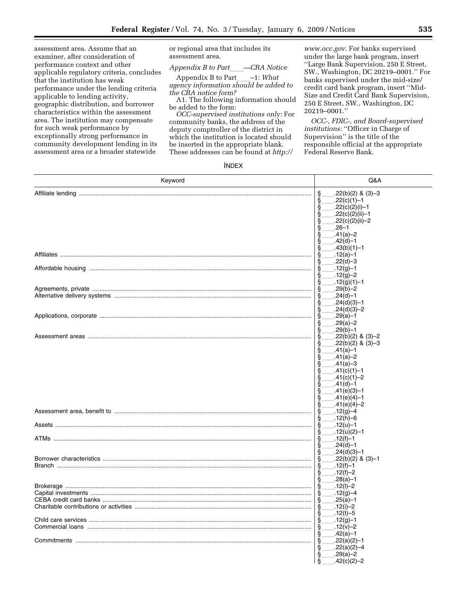assessment area. Assume that an examiner, after consideration of performance context and other applicable regulatory criteria, concludes that the institution has weak performance under the lending criteria applicable to lending activity, geographic distribution, and borrower characteristics within the assessment area. The institution may compensate for such weak performance by exceptionally strong performance in community development lending in its assessment area or a broader statewide

or regional area that includes its assessment area.

*Appendix B to Part*<sub>*\_\_\_</sub>\_\_CRA Notice*<br>Appendix B to Part  $-1$ : *What*</sub> Appendix B to Part\_\_\_\_<sup>\_</sup>1: *What*<br>*agency information should be added to the CRA notice form?* 

A1. The following information should be added to the form:

*OCC-supervised institutions only:* For community banks, the address of the deputy comptroller of the district in which the institution is located should be inserted in the appropriate blank. These addresses can be found at *http://* 

*www.occ.gov.* For banks supervised under the large bank program, insert ''Large Bank Supervision, 250 E Street, SW., Washington, DC 20219–0001.'' For banks supervised under the mid-size/ credit card bank program, insert ''Mid-Size and Credit Card Bank Supervision, 250 E Street, SW., Washington, DC 20219–0001.''

*OCC-, FDIC-, and Board-supervised*  institutions: "Officer in Charge of Supervision'' is the title of the responsible official at the appropriate Federal Reserve Bank.

#### INDEX

| ş<br>$.22(b)(2)$ & $(3)-3$<br>.22(c)(1)-1                                           |  |
|-------------------------------------------------------------------------------------|--|
| .22(c)(2)(i)-1                                                                      |  |
| 69600<br>.22(c)(2)(ii)–1<br>.22(c)(2)(ii)-2<br>တွေတွ<br>$.26 - 1$<br>$.41(a)-2$     |  |
| $.42(d) - 1$<br>s<br>S<br>$.43(b)(1)-1$<br>$.12(a) - 1$                             |  |
| Ş<br>$.22(d)-3$<br>Ş<br>$.12(q) - 1$<br>Ş<br>$.12(g)-2$<br>$.12(g)(1) - 1$          |  |
| Š<br>S<br>$.29(b) - 2$<br>Ş<br>$.24(d) - 1$<br>Ş<br>$.24(d)(3)-1$                   |  |
| i<br>S<br>$.24(d)(3)-2$<br>$.29(a) - 1$<br>s<br>S<br>$.29(a) - 2$<br>$.29(b) - 1$   |  |
| Š<br>$.22(b)(2)$ & $(3)-2$<br>$.22(b)(2)$ & $(3)-3$<br>$.41(a) - 1$<br>$.41(a) - 2$ |  |
| ശായയായാണ<br>$.41(a)-3$<br>$.41(c)(1) - 1$<br>$.41(c)(1) - 2$<br>$.41(d) - 1$        |  |
| $.41(e)(3)-1$<br>$.41(e)(4)-1$<br>$.41(e)(4)-2$                                     |  |
| $.12(g)-4$<br>$.12(h)-6$<br>s<br>S<br>$.12(u) - 1$                                  |  |
| $.12(u)(2)-1$<br>မာမာမာ<br>$.12(f)-1$<br>$.24(d) - 1$<br>$.24(d)(3)-1$              |  |
| တတ္တတ္<br>$.22(b)(2)$ & $(3)-1$<br>$.12(f)-1$<br>$.12(f)-2$<br>$.28(a) - 1$         |  |
| §<br>§<br>$.12(1)-2$<br>Ş<br>$.12(g)-4$<br>§<br>§<br>$.25(a) - 1$<br>.12(i)-2       |  |
| ş<br>.12(t)-5<br>ş<br>$.12(g) - 1$<br>$.12(v) - 2$<br>Ş<br>Ş<br>$.42(a) - 1$        |  |
| ş<br>$.22(a)(2)-1$<br>S<br>S<br>$.22(a)(2)-4$<br>$.29(a) - 2$<br>$.42(c)(2)-2$      |  |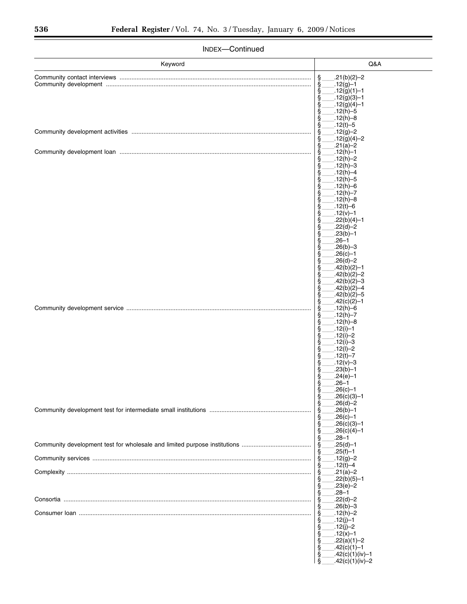| Keyword | Q&A                                            |
|---------|------------------------------------------------|
|         | $.21(b)(2)-2$<br>§.                            |
|         | ş<br>$.12(g)-1$<br>$.12(g)(1) - 1$<br>ş        |
|         | ş<br>$.12(g)(3)-1$                             |
|         | $.12(g)(4)-1$<br>ş<br>$.12(h) - 5$<br>ξ        |
|         | $.12(h)-8$<br>ş                                |
|         | $.12(t) - 5$<br>ş<br>$.12(g)-2$<br>ş           |
|         | $.12(g)(4)-2$<br>ş                             |
|         | $.21(a)-2$<br>ş<br>$.12(h)-1$<br>ş             |
|         | $.12(h)-2$<br>ş                                |
|         | $.12(h) - 3$<br>§<br>$.12(h) - 4$<br>ş         |
|         | $.12(h) - 5$<br>ş                              |
|         | $.12(h)-6$<br>ş<br>$.12(h) - 7$<br>ş           |
|         | $.12(h)-8$<br>ş                                |
|         | .12(t)-6<br>ş<br>$.12(v) - 1$<br>ş             |
|         | $.22(b)(4)-1$<br>ş                             |
|         | $.22(d)-2$<br>ş<br>$.23(b)-1$<br>ş             |
|         | .26–1<br>ş                                     |
|         | $.26(b)-3$<br>ş<br>$.26(c)-1$<br>ş             |
|         | $.26(d) - 2$<br>ş                              |
|         | $.42(b)(2)-1$<br>ş<br>$.42(b)(2)-2$<br>ş       |
|         | $.42(b)(2)-3$<br>§<br>$.42(b)(2)-4$            |
|         | ş<br>$.42(b)(2)-5$<br>§                        |
|         | ş<br>$.42(c)(2)-1$<br>$.12(h)-6$<br>ş          |
|         | $.12(h) - 7$<br>ş                              |
|         | $.12(h)-8$<br>ş<br>$.12(i)-1$<br>ş             |
|         | $.12(i)-2$<br>ş                                |
|         | $.12(i)-3$<br>S<br>$.12(1) - 2$<br>ş           |
|         | $.12(t) - 7$<br>ş                              |
|         | $.12(v) - 3$<br>ş<br>$.23(b)-1$<br>ş           |
|         | ş<br>$.24(e)-1$<br>$.26 - 1$                   |
|         | ş<br>Ş<br>$.26(c) - 1$                         |
|         | $.26(c)(3)-1$<br>s<br>§<br>$.26(d) - 2$        |
|         | Ş<br>$.26(b)-1$                                |
|         | $.26(c) - 1$<br>§<br>§<br>$.26(c)(3)-1$        |
|         | Ş<br>$.26(c)(4)-1$                             |
|         | §<br>$.28 - 1$<br>ş<br>$.25(d) - 1$            |
|         | $.25(f)-1$<br>ş<br>$.12(g)-2$                  |
|         | Ş<br>$.12(t) - 4$<br>ş                         |
|         | $.21(a) - 2$<br>Ş<br>$.22(b)(5)-1$<br>ş        |
|         | §<br>$.23(e)-2$                                |
|         | §<br>$.28 - 1$<br>$.22(d) - 2$<br>ş            |
|         | $.26(b)-3$<br>ş                                |
|         | $.12(h) - 2$<br>Ş<br>$.12(j)-1$<br>ş           |
|         | §<br>$.12(j)-2$                                |
|         | $.12(x) - 1$<br>§<br>§<br>$.22(a)(1)-2$        |
|         | $.42(c)(1)-1$<br>ş                             |
|         | $.42(c)(1)(iv) - 1$<br>ş<br>$42(c)(1)(iv) - 2$ |

 $\frac{1}{2}$ .42(c)(1)(iv)–2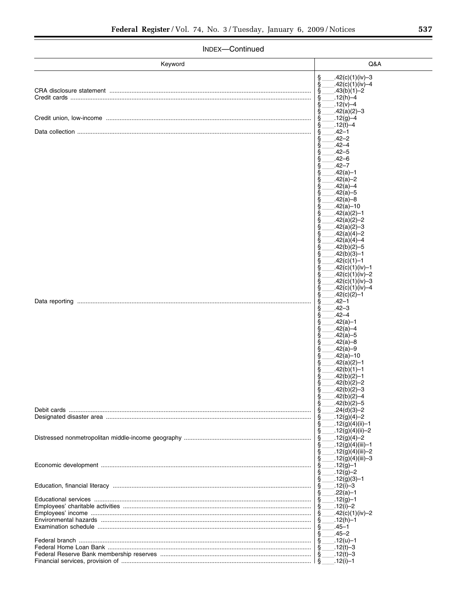| Keyword | Q&A                                            |
|---------|------------------------------------------------|
|         | ş<br>.42(c)(1)(iv)-3                           |
|         | ş<br>.42(c)(1)(iv)-4                           |
|         | $.43(b)(1) - 2$<br>ş                           |
|         | $.12(h) - 4$<br>ş<br>$.12(v) - 4$              |
|         | S<br>ş<br>$.42(a)(2)-3$                        |
|         | ş<br>$.12(g) - 4$                              |
|         | .12(t)-4<br>ş                                  |
|         | $.42 - 1$<br>ş                                 |
|         | .42–2<br>S                                     |
|         | .42–4<br>S                                     |
|         | $.42 - 5$<br>S                                 |
|         | .42–6<br>Š<br>.42–7                            |
|         | S<br>$.42(a) - 1$                              |
|         | S<br>$.42(a)-2$<br>S                           |
|         | $.42(a) - 4$<br>Š                              |
|         | $.42(a) - 5$<br>Š                              |
|         | .42(a)-8                                       |
|         | $.42(a) - 10$<br>S                             |
|         | $.42(a)(2)-1$                                  |
|         | $.42(a)(2)-2$<br>ş                             |
|         | $.42(a)(2)-3$<br>§                             |
|         | $.42(a)(4)-2$<br>ş                             |
|         | .42(a)(4)–4<br>ş<br>.42(b)(2)–5                |
|         | ş<br>.42(b)(3)–1<br>ş                          |
|         | .42(c)(1)–1<br>ş                               |
|         | §<br>.42(c)(1)(iv)-1                           |
|         | .42(c)(1)(iv)-2<br>ş                           |
|         | §<br>.42(c)(1)(iv)-3                           |
|         | .42(c)(1)(iv)-4<br>ş                           |
|         | ş<br>$.42(c)(2)-1$                             |
|         | .42–1<br>S                                     |
|         | .42–3<br>S<br>$.42 - 4$                        |
|         | S<br>§<br>$.42(a)-1$                           |
|         | $.42(a) - 4$<br>S                              |
|         | $.42(a) - 5$<br>ş                              |
|         | .42(a)-8<br>Š                                  |
|         | $.42(a) -9$<br>S                               |
|         | $.42(a) - 10$<br>Š                             |
|         | .42(a)(2)–1<br>S                               |
|         | .42(b)(1)–1<br>S<br>.42(b)(2)–1<br>ş           |
|         | .42(b)(2)-2<br>ş                               |
|         | ş<br>.42(b)(2)–3                               |
|         | $.42(b)(2)-4$                                  |
|         | ş<br>$.42(b)(2)-5$                             |
|         | $.24(d)(3)-2$<br>ş                             |
|         | $.12(g)(4)-2$<br>ş                             |
|         | .12(g)(4)(ii)-1<br>ş                           |
|         | ş<br>$-12(g)(4)(ii)-2$<br>Ş<br>$.12(g)(4) - 2$ |
|         | .12(g)(4)(iii)–1<br>ş                          |
|         | §<br>.12(g)(4)(iii)-2                          |
|         | ş<br>$.12(g)(4)(iii) - 3$                      |
|         | ş<br>$.12(g)-1$                                |
|         | $.12(g)-2$<br>ş                                |
|         | ş<br>$.12(g)(3)-1$                             |
|         | ş<br>.12(i)–3<br>$.22(a) - 1$                  |
|         | $.12(g) - 1$<br>Ş                              |
|         | .12(i)-2<br>S                                  |
|         | .42(c)(1)(iv)-2<br>S                           |
|         | $.12(h) - 1$<br>S                              |
|         | .45–1<br>S                                     |
|         | $.45 - 2$<br>S                                 |
|         | $.12(u) - 1$<br>ş                              |
|         | $.12(t) - 3$                                   |
|         | $.12(t) - 3$<br>ş                              |
|         | $.12(i)-1$                                     |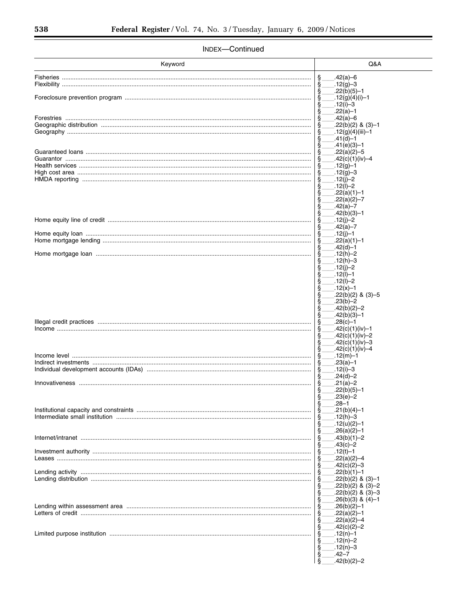| Keyword | Q&A                                                 |
|---------|-----------------------------------------------------|
|         |                                                     |
|         | $.42(a)-6$<br>ş<br>$.12(g)-3$                       |
|         | $.22(b)(5)-1$<br>ş                                  |
|         | $-12(g)(4)(i)-1$<br>ş                               |
|         | ş<br>.12(i)–3                                       |
|         | $.22(a) - 1$<br>ş                                   |
|         | .42(a)–6                                            |
|         | $.22(b)(2)$ & (3)-1<br>.12(g)(4)(iii)-1             |
|         | .41(d)-1                                            |
|         | §<br>.41(e)(3)–1                                    |
|         | $.22(a)(2)-5$                                       |
|         | .42(c)(1)(iv)–4                                     |
|         | $.12(g) - 1$<br>$.12(g)-3$                          |
|         | $.12(i)-2$                                          |
|         | .12(l)-2                                            |
|         | $.22(a)(1)-1$                                       |
|         | $.22(a)(2)-7$<br>S                                  |
|         | .42(a)–7                                            |
|         | .42(b)(3)–1<br>ş<br>$.12(i)-2$                      |
|         | $.42(a) - 7$<br>ş                                   |
|         | .12(j)-1                                            |
|         | .22(a)(1)–1                                         |
|         | .42(d)–1                                            |
|         | $.12(h)-2$                                          |
|         | $.12(h) - 3$<br>$.12(i)-2$<br>S                     |
|         | $.12(1)-1$                                          |
|         | $.12(1) - 2$<br>S                                   |
|         | $.12(x) - 1$<br>ş                                   |
|         | $.22(b)(2)$ & $(3)-5$<br>S                          |
|         | $.23(b)-2$<br>ş<br>.42(b)(2)-2<br>S                 |
|         | $.42(b)(3)-1$<br>ş                                  |
|         | $.28(c)-1$<br>ş                                     |
|         | .42(c)(1)(iv)-1                                     |
|         | .42(c)(1)(iv)–2<br>S                                |
|         | ş<br>.42(c)(1)(iv)–3<br>ş<br>.42(c)(1)(iv)–4        |
|         | .12(m)–1                                            |
|         | $.23(a) - 1$                                        |
|         | $.12(i)-3$                                          |
|         | $.24(d)-2$                                          |
|         | .21(a)-2<br>$.22(b)(5)-1$                           |
|         | S<br>.23(e)–2                                       |
|         | Ş<br>.28–1                                          |
|         | $.21(b)(4)-1$<br>ş                                  |
|         | $.12(h) - 3$                                        |
|         | ş<br>$.12(u)(2)-1$                                  |
|         | ş<br>$.26(a)(2)-1$<br>§<br>$.43(b)(1)-2$            |
|         | .43(c)–2                                            |
|         | §<br>$.12(t) - 1$                                   |
|         | $.22(a)(2)-4$                                       |
|         | $.42(c)(2)-3$                                       |
|         | §<br>$.22(b)(1)-1$                                  |
|         | $.22(b)(2)$ & $(3)-1$<br>ş<br>$.22(b)(2)$ & $(3)-2$ |
|         | ş<br>$.22(b)(2)$ & $(3)-3$                          |
|         | Ş<br>$.26(b)(3)$ & $(4)-1$                          |
|         | §<br>.26(b)(2)–1                                    |
|         | $.22(a)(2)-1$                                       |
|         | $.22(a)(2)-4$<br>ş                                  |
|         | §<br>$.42(c)(2)-2$                                  |
|         | §<br>.12(n)-1<br>$.12(n)-2$                         |
|         | ş<br>$.12(n)-3$                                     |
|         | ş<br>.42–7                                          |
|         | ş<br>.42(b)(2)-2                                    |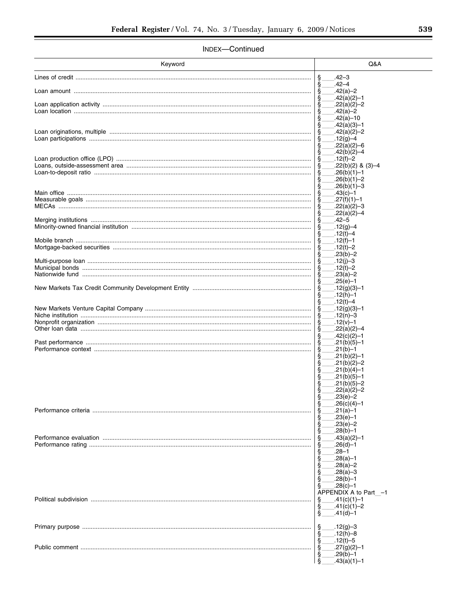| Keyword | Q&A                                   |
|---------|---------------------------------------|
|         | .42–3                                 |
|         | $.42 - 4$<br>$.42(a)-2$               |
|         | $.42(a)(2)-1$<br>ş                    |
|         | $.22(a)(2)-2$                         |
|         | $.42(a)-2$                            |
|         | $.42(a) - 10$                         |
|         | ş<br>$.42(a)(3)-1$<br>$.42(a)(2)-2$   |
|         | $.12(g)-4$                            |
|         | $.22(a)(2)-6$                         |
|         | Ş<br>$.42(b)(2)-4$                    |
|         | $.12(f)-2$<br>$.22(b)(2)$ & $(3)-4$   |
|         | $.26(b)(1)-1$                         |
|         | .26(b)(1)–2<br>ş                      |
|         | ş<br>.26(b)(1)–3                      |
|         | .43(c)–1<br>ş<br>$.27(f)(1)-1$        |
|         | $.22(a)(2)-3$<br>S                    |
|         | $.22(a)(2)-4$<br>ş                    |
|         | $.42 - 5$<br>ş                        |
|         | $.12(g) - 4$                          |
|         | .12(t)-4<br>ş<br>$.12(f)-1$           |
|         | .12(t)-2                              |
|         | $.23(b) - 2$<br>ş                     |
|         | $.12(i)-3$                            |
|         | .12(t)-2<br>$.23(a)-2$                |
|         | $.25(e)-1$                            |
|         | $.12(g)(3) - 1$                       |
|         | $.12(h) - 1$<br>ş                     |
|         | $.12(t) - 4$                          |
|         | $.12(g)(3) - 1$<br>$.12(n)-3$         |
|         | .12(v)–1                              |
|         | $.22(a)(2)-4$                         |
|         | ş<br>$.42(c)(2)-1$                    |
|         | $.21(b)(5)-1$<br>$.21(b) - 1$         |
|         | $.21(b)(2)-1$                         |
|         | §<br>$.21(b)(2)-2$                    |
|         | $.21(b)(4)-1$                         |
|         | .21(b)(5)–1<br>ş<br>Ş<br>.21(b)(5)–2  |
|         | ş<br>.22(a)(2)–2                      |
|         | $.23(e) - 2$<br>Ş                     |
|         | ş<br>$.26(c)(4)-1$                    |
|         | .21(a)–1<br>$.23(e)-1$                |
|         | ş<br>.23(e)–2                         |
|         | $.28(b)-1$<br>ş                       |
|         | ş<br>.43(a)(2)–1                      |
|         | .26(d)–1<br>.28–1                     |
|         | §<br>.28(a)–1                         |
|         | $.28(a) - 2$<br>ş                     |
|         | $.28(a) - 3$<br>S                     |
|         | $.28(b)-1$<br>$.28(c)-1$              |
|         | Š<br>APPENDIX A to Part -1            |
|         | $.41(c)(1)-1$<br>ş                    |
|         | Ş<br>$.41(c)(1)-2$                    |
|         | ş<br>$.41(d) - 1$                     |
|         | §<br>$.12(g)-3$                       |
|         | $.12(h)-8$<br>ş                       |
|         | $.12(t) - 5$<br>Ş                     |
|         | ş<br>$.27(g)(2)-1$                    |
|         | .29(b)–1<br>Ş<br>ş<br>$.43(a)(1) - 1$ |
|         |                                       |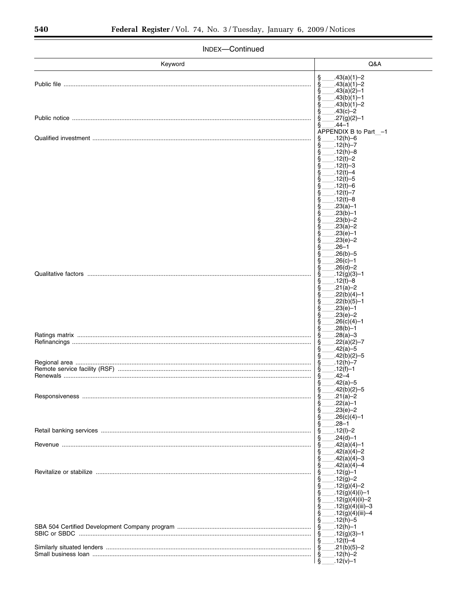| Keyword<br>Q&A<br>§<br>§<br>$.43(a)(1)-2$<br>$.43(a)(1)-2$<br>$.43(a)(2)-1$<br>ş<br>§<br>$.43(b)(1)-1$<br>ş<br>$.43(b)(1)-2$<br>ş<br>.43(c)–2<br>§<br>$.27(g)(2)-1$<br>ş<br>.44–1<br>APPENDIX B to Part_-1<br>.12(h)-6<br>ş<br>.12(h)–7<br>ş<br>$.12(h)-8$<br>$.12(t) - 2$<br>ş<br>$.12(t) - 3$<br>$.12(t) - 4$<br>ş<br>$.12(t) - 5$<br>$.12(t) - 6$<br>$.12(t) - 7$<br>$.12(t) - 8$<br>S<br>$.23(a) - 1$<br>$.23(b)-1$<br>ş<br>$.23(b)-2$<br>ş<br>$.23(a)-2$<br>ş<br>$.23(e)-1$<br>ş<br>.23(e)–2<br>ş<br>.26–1<br>ş<br>.26(b)–5<br>ş<br>§<br>.26(c)–1<br>.26(d)-2<br>ş<br>.12(g)(3)–1<br>.12(t)-8<br>ş<br>.21(a)–2<br>.22(b)(4)–1<br>$.22(b)(5)-1$<br>ş<br>$.23(e)-1$<br>§<br>$.23(e)-2$<br>ş<br>$.26(c)(4)-1$<br>§<br>.28(b)–1<br>.28(a)–3<br>.22(a)(2)–7<br>$.42(a) - 5$<br>ş<br>ş<br>.42(b)(2)–5<br>.12(h)–7<br>$.12(f)-1$<br>.42–4<br>န္<br>န<br>.42(a)–5<br>$.42(b)(2)-5$<br>§<br>$.21(a)-2$<br>.22(a)–1<br>$.23(e)-2$<br>ş<br>Ş<br>$.26(c)(4)-1$<br>§<br>.28–1<br>.12(l)-2<br>.24(d)–1<br>$.42(a)(4)-1$<br>$.42(a)(4)-2$<br>§<br>$.42(a)(4)-3$<br>Ş<br>$.42(a)(4)-4$<br>$.12(g) - 1$<br>$.12(g)-2$<br>$.12(g)(4)-2$<br>$-12(g)(4)(i)-1$<br>ş<br>$.12(g)(4)(ii) - 2$<br>.12(g)(4)(iii)–3<br>S<br>.12(g)(4)(iii)-4<br>$.12(h) - 5$<br>ş<br>$.12(h) - 1$<br>$.12(g)(3)-1$<br>.12(t)-4 | INDEX-CONTINUED |  |  |  |
|-------------------------------------------------------------------------------------------------------------------------------------------------------------------------------------------------------------------------------------------------------------------------------------------------------------------------------------------------------------------------------------------------------------------------------------------------------------------------------------------------------------------------------------------------------------------------------------------------------------------------------------------------------------------------------------------------------------------------------------------------------------------------------------------------------------------------------------------------------------------------------------------------------------------------------------------------------------------------------------------------------------------------------------------------------------------------------------------------------------------------------------------------------------------------------------------------------------------------------------------------------------------------------------------|-----------------|--|--|--|
|                                                                                                                                                                                                                                                                                                                                                                                                                                                                                                                                                                                                                                                                                                                                                                                                                                                                                                                                                                                                                                                                                                                                                                                                                                                                                           |                 |  |  |  |
|                                                                                                                                                                                                                                                                                                                                                                                                                                                                                                                                                                                                                                                                                                                                                                                                                                                                                                                                                                                                                                                                                                                                                                                                                                                                                           |                 |  |  |  |
|                                                                                                                                                                                                                                                                                                                                                                                                                                                                                                                                                                                                                                                                                                                                                                                                                                                                                                                                                                                                                                                                                                                                                                                                                                                                                           |                 |  |  |  |
|                                                                                                                                                                                                                                                                                                                                                                                                                                                                                                                                                                                                                                                                                                                                                                                                                                                                                                                                                                                                                                                                                                                                                                                                                                                                                           |                 |  |  |  |
|                                                                                                                                                                                                                                                                                                                                                                                                                                                                                                                                                                                                                                                                                                                                                                                                                                                                                                                                                                                                                                                                                                                                                                                                                                                                                           |                 |  |  |  |
|                                                                                                                                                                                                                                                                                                                                                                                                                                                                                                                                                                                                                                                                                                                                                                                                                                                                                                                                                                                                                                                                                                                                                                                                                                                                                           |                 |  |  |  |
|                                                                                                                                                                                                                                                                                                                                                                                                                                                                                                                                                                                                                                                                                                                                                                                                                                                                                                                                                                                                                                                                                                                                                                                                                                                                                           |                 |  |  |  |
|                                                                                                                                                                                                                                                                                                                                                                                                                                                                                                                                                                                                                                                                                                                                                                                                                                                                                                                                                                                                                                                                                                                                                                                                                                                                                           |                 |  |  |  |
|                                                                                                                                                                                                                                                                                                                                                                                                                                                                                                                                                                                                                                                                                                                                                                                                                                                                                                                                                                                                                                                                                                                                                                                                                                                                                           |                 |  |  |  |
|                                                                                                                                                                                                                                                                                                                                                                                                                                                                                                                                                                                                                                                                                                                                                                                                                                                                                                                                                                                                                                                                                                                                                                                                                                                                                           |                 |  |  |  |
|                                                                                                                                                                                                                                                                                                                                                                                                                                                                                                                                                                                                                                                                                                                                                                                                                                                                                                                                                                                                                                                                                                                                                                                                                                                                                           |                 |  |  |  |
|                                                                                                                                                                                                                                                                                                                                                                                                                                                                                                                                                                                                                                                                                                                                                                                                                                                                                                                                                                                                                                                                                                                                                                                                                                                                                           |                 |  |  |  |
|                                                                                                                                                                                                                                                                                                                                                                                                                                                                                                                                                                                                                                                                                                                                                                                                                                                                                                                                                                                                                                                                                                                                                                                                                                                                                           |                 |  |  |  |
|                                                                                                                                                                                                                                                                                                                                                                                                                                                                                                                                                                                                                                                                                                                                                                                                                                                                                                                                                                                                                                                                                                                                                                                                                                                                                           |                 |  |  |  |
|                                                                                                                                                                                                                                                                                                                                                                                                                                                                                                                                                                                                                                                                                                                                                                                                                                                                                                                                                                                                                                                                                                                                                                                                                                                                                           |                 |  |  |  |
|                                                                                                                                                                                                                                                                                                                                                                                                                                                                                                                                                                                                                                                                                                                                                                                                                                                                                                                                                                                                                                                                                                                                                                                                                                                                                           |                 |  |  |  |
|                                                                                                                                                                                                                                                                                                                                                                                                                                                                                                                                                                                                                                                                                                                                                                                                                                                                                                                                                                                                                                                                                                                                                                                                                                                                                           |                 |  |  |  |
|                                                                                                                                                                                                                                                                                                                                                                                                                                                                                                                                                                                                                                                                                                                                                                                                                                                                                                                                                                                                                                                                                                                                                                                                                                                                                           |                 |  |  |  |
|                                                                                                                                                                                                                                                                                                                                                                                                                                                                                                                                                                                                                                                                                                                                                                                                                                                                                                                                                                                                                                                                                                                                                                                                                                                                                           |                 |  |  |  |
|                                                                                                                                                                                                                                                                                                                                                                                                                                                                                                                                                                                                                                                                                                                                                                                                                                                                                                                                                                                                                                                                                                                                                                                                                                                                                           |                 |  |  |  |
|                                                                                                                                                                                                                                                                                                                                                                                                                                                                                                                                                                                                                                                                                                                                                                                                                                                                                                                                                                                                                                                                                                                                                                                                                                                                                           |                 |  |  |  |
| $.21(b)(5)-2$<br>ş<br>$.12(h)-2$<br>ş<br>$.12(v) - 1$                                                                                                                                                                                                                                                                                                                                                                                                                                                                                                                                                                                                                                                                                                                                                                                                                                                                                                                                                                                                                                                                                                                                                                                                                                     |                 |  |  |  |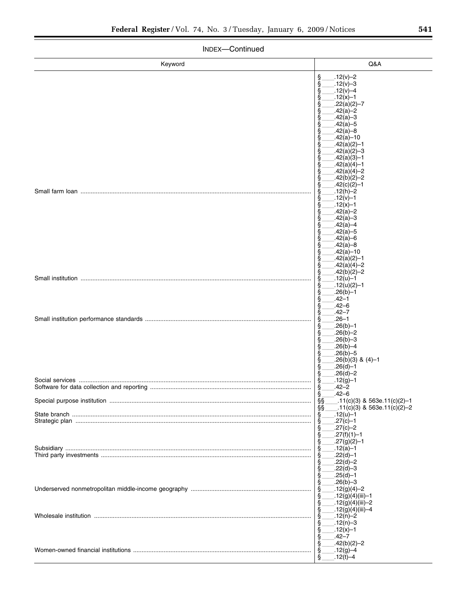| INDEX-Continued                            |                                                                                               |  |  |
|--------------------------------------------|-----------------------------------------------------------------------------------------------|--|--|
| Keyword                                    | Q&A                                                                                           |  |  |
|                                            | Ş<br>$.12(v) - 2$<br>§<br>$.12(v) - 3$<br>.12( $v$ )-4<br>ş                                   |  |  |
|                                            | $.12(x) - 1$<br>ş<br>.22(a)(2)–7<br>ş<br>.42(a)–2                                             |  |  |
|                                            | $.42(a)-3$<br>$.42(a) - 5$<br>$.42(a)-8$<br>ş<br>$.42(a) - 10$                                |  |  |
|                                            | $.42(a)(2)-1$<br>$.42(a)(2)-3$<br>ş<br>§<br>$.42(a)(3)-1$<br>$.42(a)(4)-1$<br>§               |  |  |
|                                            | $.42(a)(4)-2$<br>§<br>$.42(b)(2)-2$<br>ş<br>$.42(c)(2)-1$<br>§                                |  |  |
|                                            | $.12(h)-2$<br>ş<br>$.12(v) - 1$<br>ş<br>§<br>.12(x)-1<br>$.42(a)-2$                           |  |  |
|                                            | $.42(a)-3$<br>$.42(a) - 4$<br>$.42(a) - 5$                                                    |  |  |
|                                            | ş<br>$.42(a) - 6$<br>$.42(a)-8$<br>$.42(a) - 10$<br>ş<br>Ş<br>$.42(a)(2)-1$                   |  |  |
|                                            | $.42(a)(4)-2$<br>§<br>$.42(b)(2)-2$<br>ş<br>$.12(u) - 1$<br>ş<br>$.12(u)(2)-1$<br>ş           |  |  |
|                                            | .26(b)–1<br>ş<br>.42–1<br>ş<br>.42–6<br>ş                                                     |  |  |
|                                            | §<br>.42–7<br>.26–1<br>.26(b)–1<br>ş<br>$.26(b)-2$<br>§                                       |  |  |
|                                            | $.26(b)-3$<br>§<br>$.26(b) - 4$<br>$.26(b) - 5$<br>ş                                          |  |  |
|                                            | $.26(b)(3)$ & (4)-1<br>ş<br>Ş<br>$.26(d) - 1$<br>$.26(d) - 2$<br>§<br>§<br>$.12(g)-1$         |  |  |
| Software for data collection and reporting | $-42 - 2$<br>§<br>.42–6                                                                       |  |  |
|                                            | $\bar{\S} \bar{\S}$<br>_.11(c)(3) & 563e.11(c)(2)–1<br>§§<br>$11(c)(3)$ & 563e.11(c)(2)–2.    |  |  |
|                                            | S.<br>.12(u)-1<br>§<br>§<br>.27(c)–1<br>$.27(c)-2$<br>$.27(f)(1)-1$                           |  |  |
|                                            | §<br>§<br>$.27(g)(2)-1$<br>ş<br>$.12(a) - 1$<br>$.22(d) - 1$<br>$.22(d)-2$                    |  |  |
|                                            | §<br>ş<br>$.22(d)-3$<br>$.25(d)-1$<br>§<br>§<br>$.26(b) - 3$                                  |  |  |
|                                            | ş<br>$-12(g)(4)-2$<br>§<br>.12(g)(4)(iii)–1<br>ş<br>Ş<br>.12(g)(4)(iii)–2<br>.12(g)(4)(iii)–4 |  |  |
|                                            | §<br>.12(n)-2<br>$.12(n)-3$<br>Ş<br>Ş<br>$.12(x) - 1$                                         |  |  |
|                                            | Ş<br>.42–7<br>Ş<br>$.42(b)(2)-2$<br>ş<br>$.12(g)-4$<br>$12(H)-4$                              |  |  |

 $\frac{\S_{\text{max}}-12(t)-4}{1}$